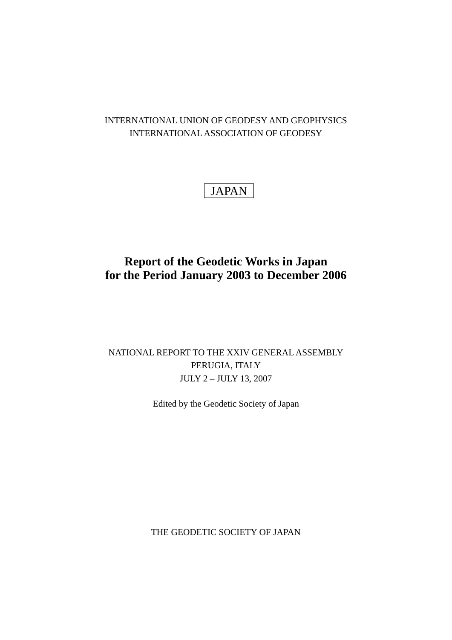### INTERNATIONAL UNION OF GEODESY AND GEOPHYSICS INTERNATIONAL ASSOCIATION OF GEODESY

# JAPAN

## **Report of the Geodetic Works in Japan for the Period January 2003 to December 2006**

## NATIONAL REPORT TO THE XXIV GENERAL ASSEMBLY PERUGIA, ITALY JULY 2 – JULY 13, 2007

Edited by the Geodetic Society of Japan

THE GEODETIC SOCIETY OF JAPAN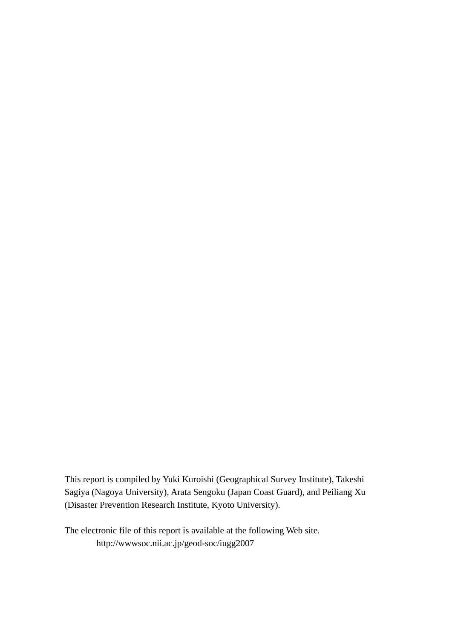This report is compiled by Yuki Kuroishi (Geographical Survey Institute), Takeshi Sagiya (Nagoya University), Arata Sengoku (Japan Coast Guard), and Peiliang Xu (Disaster Prevention Research Institute, Kyoto University).

The electronic file of this report is available at the following Web site. http://wwwsoc.nii.ac.jp/geod-soc/iugg2007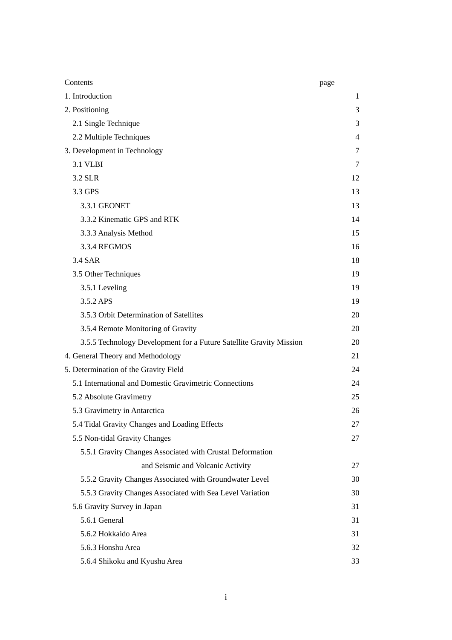| Contents                                                            | page           |
|---------------------------------------------------------------------|----------------|
| 1. Introduction                                                     | $\mathbf{1}$   |
| 2. Positioning                                                      | 3              |
| 2.1 Single Technique                                                | 3              |
| 2.2 Multiple Techniques                                             | $\overline{4}$ |
| 3. Development in Technology                                        | 7              |
| <b>3.1 VLBI</b>                                                     | 7              |
| 3.2 SLR                                                             | 12             |
| 3.3 GPS                                                             | 13             |
| 3.3.1 GEONET                                                        | 13             |
| 3.3.2 Kinematic GPS and RTK                                         | 14             |
| 3.3.3 Analysis Method                                               | 15             |
| 3.3.4 REGMOS                                                        | 16             |
| 3.4 SAR                                                             | 18             |
| 3.5 Other Techniques                                                | 19             |
| 3.5.1 Leveling                                                      | 19             |
| 3.5.2 APS                                                           | 19             |
| 3.5.3 Orbit Determination of Satellites                             | 20             |
| 3.5.4 Remote Monitoring of Gravity                                  | 20             |
| 3.5.5 Technology Development for a Future Satellite Gravity Mission | 20             |
| 4. General Theory and Methodology                                   | 21             |
| 5. Determination of the Gravity Field                               | 24             |
| 5.1 International and Domestic Gravimetric Connections              | 24             |
| 5.2 Absolute Gravimetry                                             | 25             |
| 5.3 Gravimetry in Antarctica                                        | 26             |
| 5.4 Tidal Gravity Changes and Loading Effects                       | 27             |
| 5.5 Non-tidal Gravity Changes                                       | 27             |
| 5.5.1 Gravity Changes Associated with Crustal Deformation           |                |
| and Seismic and Volcanic Activity                                   | 27             |
| 5.5.2 Gravity Changes Associated with Groundwater Level             | 30             |
| 5.5.3 Gravity Changes Associated with Sea Level Variation           | 30             |
| 5.6 Gravity Survey in Japan                                         | 31             |
| 5.6.1 General                                                       | 31             |
| 5.6.2 Hokkaido Area                                                 | 31             |
| 5.6.3 Honshu Area                                                   | 32             |
| 5.6.4 Shikoku and Kyushu Area                                       | 33             |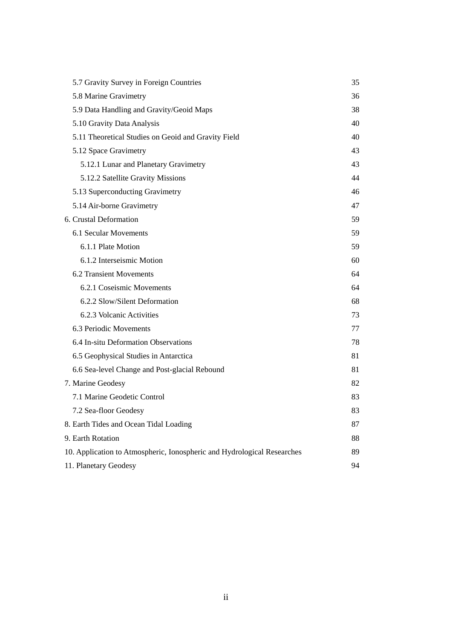| 5.7 Gravity Survey in Foreign Countries                                 | 35  |
|-------------------------------------------------------------------------|-----|
| 5.8 Marine Gravimetry                                                   | 36  |
| 5.9 Data Handling and Gravity/Geoid Maps                                | 38  |
| 5.10 Gravity Data Analysis                                              | 40  |
| 5.11 Theoretical Studies on Geoid and Gravity Field                     | 40  |
| 5.12 Space Gravimetry                                                   | 43  |
| 5.12.1 Lunar and Planetary Gravimetry                                   | 43  |
| 5.12.2 Satellite Gravity Missions                                       | 44  |
| 5.13 Superconducting Gravimetry                                         | 46  |
| 5.14 Air-borne Gravimetry                                               | 47  |
| 6. Crustal Deformation                                                  | 59  |
| 6.1 Secular Movements                                                   | 59. |
| 6.1.1 Plate Motion                                                      | 59  |
| 6.1.2 Interseismic Motion                                               | 60  |
| 6.2 Transient Movements                                                 | 64  |
| 6.2.1 Coseismic Movements                                               | 64  |
| 6.2.2 Slow/Silent Deformation                                           | 68  |
| 6.2.3 Volcanic Activities                                               | 73  |
| 6.3 Periodic Movements                                                  | 77  |
| 6.4 In-situ Deformation Observations                                    | 78  |
| 6.5 Geophysical Studies in Antarctica                                   | 81  |
| 6.6 Sea-level Change and Post-glacial Rebound                           | 81  |
| 7. Marine Geodesy                                                       | 82  |
| 7.1 Marine Geodetic Control                                             | 83  |
| 7.2 Sea-floor Geodesy                                                   | 83  |
| 8. Earth Tides and Ocean Tidal Loading                                  | 87  |
| 9. Earth Rotation                                                       | 88  |
| 10. Application to Atmospheric, Ionospheric and Hydrological Researches | 89  |
| 11. Planetary Geodesy                                                   | 94  |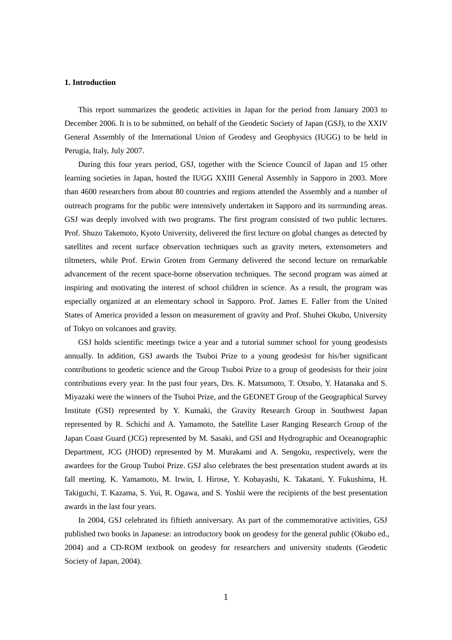#### **1. Introduction**

This report summarizes the geodetic activities in Japan for the period from January 2003 to December 2006. It is to be submitted, on behalf of the Geodetic Society of Japan (GSJ), to the XXIV General Assembly of the International Union of Geodesy and Geophysics (IUGG) to be held in Perugia, Italy, July 2007.

During this four years period, GSJ, together with the Science Council of Japan and 15 other learning societies in Japan, hosted the IUGG XXIII General Assembly in Sapporo in 2003. More than 4600 researchers from about 80 countries and regions attended the Assembly and a number of outreach programs for the public were intensively undertaken in Sapporo and its surrounding areas. GSJ was deeply involved with two programs. The first program consisted of two public lectures. Prof. Shuzo Takemoto, Kyoto University, delivered the first lecture on global changes as detected by satellites and recent surface observation techniques such as gravity meters, extensometers and tiltmeters, while Prof. Erwin Groten from Germany delivered the second lecture on remarkable advancement of the recent space-borne observation techniques. The second program was aimed at inspiring and motivating the interest of school children in science. As a result, the program was especially organized at an elementary school in Sapporo. Prof. James E. Faller from the United States of America provided a lesson on measurement of gravity and Prof. Shuhei Okubo, University of Tokyo on volcanoes and gravity.

GSJ holds scientific meetings twice a year and a tutorial summer school for young geodesists annually. In addition, GSJ awards the Tsuboi Prize to a young geodesist for his/her significant contributions to geodetic science and the Group Tsuboi Prize to a group of geodesists for their joint contributions every year. In the past four years, Drs. K. Matsumoto, T. Otsubo, Y. Hatanaka and S. Miyazaki were the winners of the Tsuboi Prize, and the GEONET Group of the Geographical Survey Institute (GSI) represented by Y. Kumaki, the Gravity Research Group in Southwest Japan represented by R. Schichi and A. Yamamoto, the Satellite Laser Ranging Research Group of the Japan Coast Guard (JCG) represented by M. Sasaki, and GSI and Hydrographic and Oceanographic Department, JCG (JHOD) represented by M. Murakami and A. Sengoku, respectively, were the awardees for the Group Tsuboi Prize. GSJ also celebrates the best presentation student awards at its fall meeting. K. Yamamoto, M. Irwin, I. Hirose, Y. Kobayashi, K. Takatani, Y. Fukushima, H. Takiguchi, T. Kazama, S. Yui, R. Ogawa, and S. Yoshii were the recipients of the best presentation awards in the last four years.

In 2004, GSJ celebrated its fiftieth anniversary. As part of the commemorative activities, GSJ published two books in Japanese: an introductory book on geodesy for the general public (Okubo ed., 2004) and a CD-ROM textbook on geodesy for researchers and university students (Geodetic Society of Japan, 2004).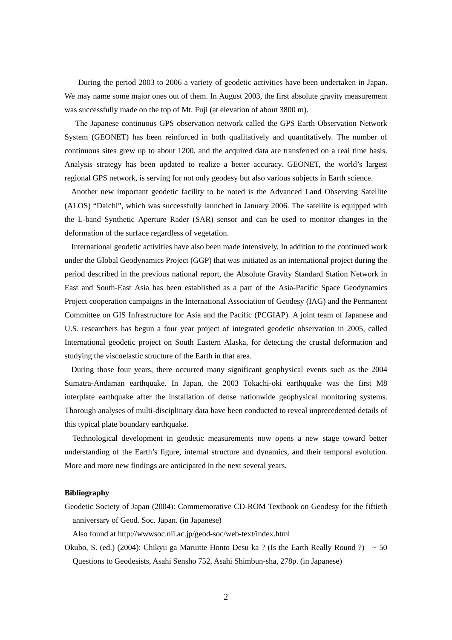During the period 2003 to 2006 a variety of geodetic activities have been undertaken in Japan. We may name some major ones out of them. In August 2003, the first absolute gravity measurement was successfully made on the top of Mt. Fuji (at elevation of about 3800 m).

 The Japanese continuous GPS observation network called the GPS Earth Observation Network System (GEONET) has been reinforced in both qualitatively and quantitatively. The number of continuous sites grew up to about 1200, and the acquired data are transferred on a real time basis. Analysis strategy has been updated to realize a better accuracy. GEONET, the world's largest regional GPS network, is serving for not only geodesy but also various subjects in Earth science.

Another new important geodetic facility to be noted is the Advanced Land Observing Satellite (ALOS) "Daichi", which was successfully launched in January 2006. The satellite is equipped with the L-band Synthetic Aperture Rader (SAR) sensor and can be used to monitor changes in the deformation of the surface regardless of vegetation.

International geodetic activities have also been made intensively. In addition to the continued work under the Global Geodynamics Project (GGP) that was initiated as an international project during the period described in the previous national report, the Absolute Gravity Standard Station Network in East and South-East Asia has been established as a part of the Asia-Pacific Space Geodynamics Project cooperation campaigns in the International Association of Geodesy (IAG) and the Permanent Committee on GIS Infrastructure for Asia and the Pacific (PCGIAP). A joint team of Japanese and U.S. researchers has begun a four year project of integrated geodetic observation in 2005, called International geodetic project on South Eastern Alaska, for detecting the crustal deformation and studying the viscoelastic structure of the Earth in that area.

During those four years, there occurred many significant geophysical events such as the 2004 Sumatra-Andaman earthquake. In Japan, the 2003 Tokachi-oki earthquake was the first M8 interplate earthquake after the installation of dense nationwide geophysical monitoring systems. Thorough analyses of multi-disciplinary data have been conducted to reveal unprecedented details of this typical plate boundary earthquake.

 Technological development in geodetic measurements now opens a new stage toward better understanding of the Earth's figure, internal structure and dynamics, and their temporal evolution. More and more new findings are anticipated in the next several years.

#### **Bibliography**

Geodetic Society of Japan (2004): Commemorative CD-ROM Textbook on Geodesy for the fiftieth anniversary of Geod. Soc. Japan. (in Japanese)

Also found at http://wwwsoc.nii.ac.jp/geod-soc/web-text/index.html

Okubo, S. (ed.) (2004): Chikyu ga Maruitte Honto Desu ka ? (Is the Earth Really Round ?) ~ 50 Questions to Geodesists, Asahi Sensho 752, Asahi Shimbun-sha, 278p. (in Japanese)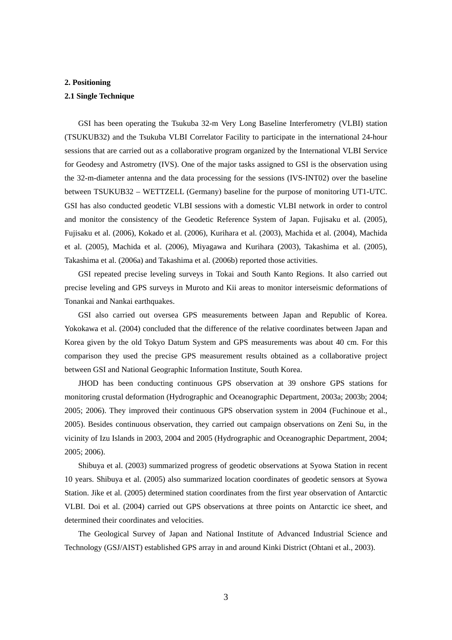#### **2. Positioning**

#### **2.1 Single Technique**

GSI has been operating the Tsukuba 32-m Very Long Baseline Interferometry (VLBI) station (TSUKUB32) and the Tsukuba VLBI Correlator Facility to participate in the international 24-hour sessions that are carried out as a collaborative program organized by the International VLBI Service for Geodesy and Astrometry (IVS). One of the major tasks assigned to GSI is the observation using the 32-m-diameter antenna and the data processing for the sessions (IVS-INT02) over the baseline between TSUKUB32 – WETTZELL (Germany) baseline for the purpose of monitoring UT1-UTC. GSI has also conducted geodetic VLBI sessions with a domestic VLBI network in order to control and monitor the consistency of the Geodetic Reference System of Japan. Fujisaku et al. (2005), Fujisaku et al. (2006), Kokado et al. (2006), Kurihara et al. (2003), Machida et al. (2004), Machida et al. (2005), Machida et al. (2006), Miyagawa and Kurihara (2003), Takashima et al. (2005), Takashima et al. (2006a) and Takashima et al. (2006b) reported those activities.

GSI repeated precise leveling surveys in Tokai and South Kanto Regions. It also carried out precise leveling and GPS surveys in Muroto and Kii areas to monitor interseismic deformations of Tonankai and Nankai earthquakes.

GSI also carried out oversea GPS measurements between Japan and Republic of Korea. Yokokawa et al. (2004) concluded that the difference of the relative coordinates between Japan and Korea given by the old Tokyo Datum System and GPS measurements was about 40 cm. For this comparison they used the precise GPS measurement results obtained as a collaborative project between GSI and National Geographic Information Institute, South Korea.

JHOD has been conducting continuous GPS observation at 39 onshore GPS stations for monitoring crustal deformation (Hydrographic and Oceanographic Department, 2003a; 2003b; 2004; 2005; 2006). They improved their continuous GPS observation system in 2004 (Fuchinoue et al., 2005). Besides continuous observation, they carried out campaign observations on Zeni Su, in the vicinity of Izu Islands in 2003, 2004 and 2005 (Hydrographic and Oceanographic Department, 2004; 2005; 2006).

Shibuya et al. (2003) summarized progress of geodetic observations at Syowa Station in recent 10 years. Shibuya et al. (2005) also summarized location coordinates of geodetic sensors at Syowa Station. Jike et al. (2005) determined station coordinates from the first year observation of Antarctic VLBI. Doi et al. (2004) carried out GPS observations at three points on Antarctic ice sheet, and determined their coordinates and velocities.

The Geological Survey of Japan and National Institute of Advanced Industrial Science and Technology (GSJ/AIST) established GPS array in and around Kinki District (Ohtani et al., 2003).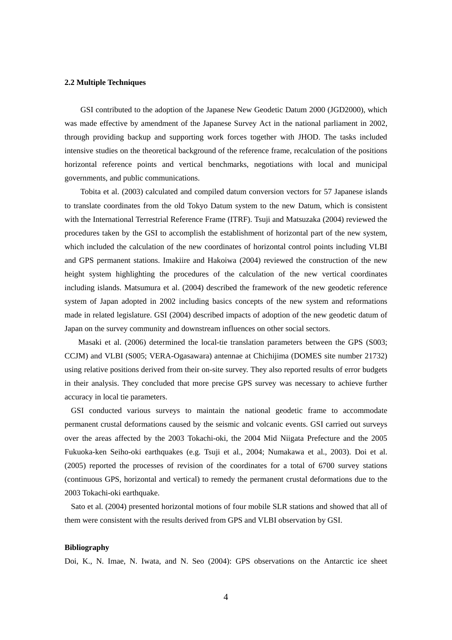#### **2.2 Multiple Techniques**

GSI contributed to the adoption of the Japanese New Geodetic Datum 2000 (JGD2000), which was made effective by amendment of the Japanese Survey Act in the national parliament in 2002, through providing backup and supporting work forces together with JHOD. The tasks included intensive studies on the theoretical background of the reference frame, recalculation of the positions horizontal reference points and vertical benchmarks, negotiations with local and municipal governments, and public communications.

Tobita et al. (2003) calculated and compiled datum conversion vectors for 57 Japanese islands to translate coordinates from the old Tokyo Datum system to the new Datum, which is consistent with the International Terrestrial Reference Frame (ITRF). Tsuji and Matsuzaka (2004) reviewed the procedures taken by the GSI to accomplish the establishment of horizontal part of the new system, which included the calculation of the new coordinates of horizontal control points including VLBI and GPS permanent stations. Imakiire and Hakoiwa (2004) reviewed the construction of the new height system highlighting the procedures of the calculation of the new vertical coordinates including islands. Matsumura et al. (2004) described the framework of the new geodetic reference system of Japan adopted in 2002 including basics concepts of the new system and reformations made in related legislature. GSI (2004) described impacts of adoption of the new geodetic datum of Japan on the survey community and downstream influences on other social sectors.

Masaki et al. (2006) determined the local-tie translation parameters between the GPS (S003; CCJM) and VLBI (S005; VERA-Ogasawara) antennae at Chichijima (DOMES site number 21732) using relative positions derived from their on-site survey. They also reported results of error budgets in their analysis. They concluded that more precise GPS survey was necessary to achieve further accuracy in local tie parameters.

GSI conducted various surveys to maintain the national geodetic frame to accommodate permanent crustal deformations caused by the seismic and volcanic events. GSI carried out surveys over the areas affected by the 2003 Tokachi-oki, the 2004 Mid Niigata Prefecture and the 2005 Fukuoka-ken Seiho-oki earthquakes (e.g. Tsuji et al., 2004; Numakawa et al., 2003). Doi et al. (2005) reported the processes of revision of the coordinates for a total of 6700 survey stations (continuous GPS, horizontal and vertical) to remedy the permanent crustal deformations due to the 2003 Tokachi-oki earthquake.

Sato et al. (2004) presented horizontal motions of four mobile SLR stations and showed that all of them were consistent with the results derived from GPS and VLBI observation by GSI.

#### **Bibliography**

Doi, K., N. Imae, N. Iwata, and N. Seo (2004): GPS observations on the Antarctic ice sheet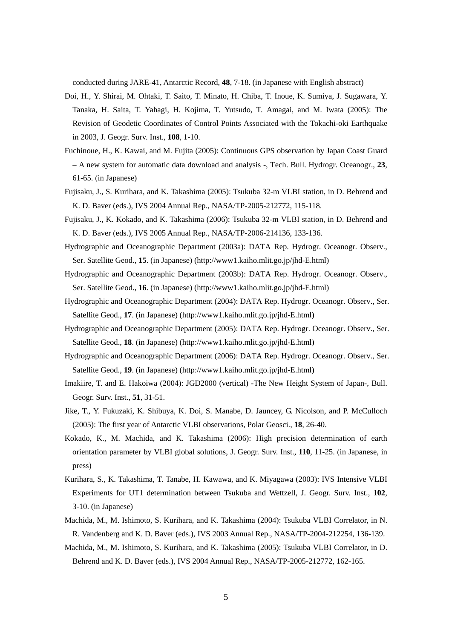conducted during JARE-41, Antarctic Record, **48**, 7-18. (in Japanese with English abstract)

- Doi, H., Y. Shirai, M. Ohtaki, T. Saito, T. Minato, H. Chiba, T. Inoue, K. Sumiya, J. Sugawara, Y. Tanaka, H. Saita, T. Yahagi, H. Kojima, T. Yutsudo, T. Amagai, and M. Iwata (2005): The Revision of Geodetic Coordinates of Control Points Associated with the Tokachi-oki Earthquake in 2003, J. Geogr. Surv. Inst., **108**, 1-10.
- Fuchinoue, H., K. Kawai, and M. Fujita (2005): Continuous GPS observation by Japan Coast Guard – A new system for automatic data download and analysis -, Tech. Bull. Hydrogr. Oceanogr., **23**, 61-65. (in Japanese)
- Fujisaku, J., S. Kurihara, and K. Takashima (2005): Tsukuba 32-m VLBI station, in D. Behrend and K. D. Baver (eds.), IVS 2004 Annual Rep., NASA/TP-2005-212772, 115-118.
- Fujisaku, J., K. Kokado, and K. Takashima (2006): Tsukuba 32-m VLBI station, in D. Behrend and K. D. Baver (eds.), IVS 2005 Annual Rep., NASA/TP-2006-214136, 133-136.
- Hydrographic and Oceanographic Department (2003a): DATA Rep. Hydrogr. Oceanogr. Observ., Ser. Satellite Geod., **15**. (in Japanese) (http://www1.kaiho.mlit.go.jp/jhd-E.html)
- Hydrographic and Oceanographic Department (2003b): DATA Rep. Hydrogr. Oceanogr. Observ., Ser. Satellite Geod., **16**. (in Japanese) (http://www1.kaiho.mlit.go.jp/jhd-E.html)
- Hydrographic and Oceanographic Department (2004): DATA Rep. Hydrogr. Oceanogr. Observ., Ser. Satellite Geod., **17**. (in Japanese) (http://www1.kaiho.mlit.go.jp/jhd-E.html)
- Hydrographic and Oceanographic Department (2005): DATA Rep. Hydrogr. Oceanogr. Observ., Ser. Satellite Geod., **18**. (in Japanese) (http://www1.kaiho.mlit.go.jp/jhd-E.html)
- Hydrographic and Oceanographic Department (2006): DATA Rep. Hydrogr. Oceanogr. Observ., Ser. Satellite Geod., **19**. (in Japanese) (http://www1.kaiho.mlit.go.jp/jhd-E.html)
- Imakiire, T. and E. Hakoiwa (2004): JGD2000 (vertical) -The New Height System of Japan-, Bull. Geogr. Surv. Inst., **51**, 31-51.
- Jike, T., Y. Fukuzaki, K. Shibuya, K. Doi, S. Manabe, D. Jauncey, G. Nicolson, and P. McCulloch (2005): The first year of Antarctic VLBI observations, Polar Geosci., **18**, 26-40.
- Kokado, K., M. Machida, and K. Takashima (2006): High precision determination of earth orientation parameter by VLBI global solutions, J. Geogr. Surv. Inst., **110**, 11-25. (in Japanese, in press)
- Kurihara, S., K. Takashima, T. Tanabe, H. Kawawa, and K. Miyagawa (2003): IVS Intensive VLBI Experiments for UT1 determination between Tsukuba and Wettzell, J. Geogr. Surv. Inst., **102**, 3-10. (in Japanese)
- Machida, M., M. Ishimoto, S. Kurihara, and K. Takashima (2004): Tsukuba VLBI Correlator, in N. R. Vandenberg and K. D. Baver (eds.), IVS 2003 Annual Rep., NASA/TP-2004-212254, 136-139.
- Machida, M., M. Ishimoto, S. Kurihara, and K. Takashima (2005): Tsukuba VLBI Correlator, in D. Behrend and K. D. Baver (eds.), IVS 2004 Annual Rep., NASA/TP-2005-212772, 162-165.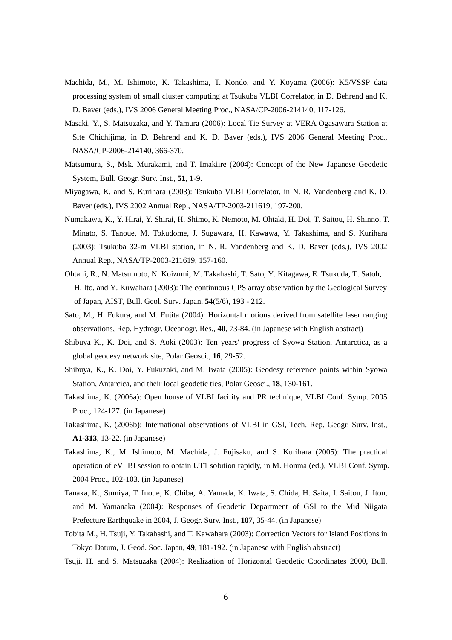- Machida, M., M. Ishimoto, K. Takashima, T. Kondo, and Y. Koyama (2006): K5/VSSP data processing system of small cluster computing at Tsukuba VLBI Correlator, in D. Behrend and K. D. Baver (eds.), IVS 2006 General Meeting Proc., NASA/CP-2006-214140, 117-126.
- Masaki, Y., S. Matsuzaka, and Y. Tamura (2006): Local Tie Survey at VERA Ogasawara Station at Site Chichijima, in D. Behrend and K. D. Baver (eds.), IVS 2006 General Meeting Proc., NASA/CP-2006-214140, 366-370.
- Matsumura, S., Msk. Murakami, and T. Imakiire (2004): Concept of the New Japanese Geodetic System, Bull. Geogr. Surv. Inst., **51**, 1-9.
- Miyagawa, K. and S. Kurihara (2003): Tsukuba VLBI Correlator, in N. R. Vandenberg and K. D. Baver (eds.), IVS 2002 Annual Rep., NASA/TP-2003-211619, 197-200.
- Numakawa, K., Y. Hirai, Y. Shirai, H. Shimo, K. Nemoto, M. Ohtaki, H. Doi, T. Saitou, H. Shinno, T. Minato, S. Tanoue, M. Tokudome, J. Sugawara, H. Kawawa, Y. Takashima, and S. Kurihara (2003): Tsukuba 32-m VLBI station, in N. R. Vandenberg and K. D. Baver (eds.), IVS 2002 Annual Rep., NASA/TP-2003-211619, 157-160.
- Ohtani, R., N. Matsumoto, N. Koizumi, M. Takahashi, T. Sato, Y. Kitagawa, E. Tsukuda, T. Satoh, H. Ito, and Y. Kuwahara (2003): The continuous GPS array observation by the Geological Survey of Japan, AIST, Bull. Geol. Surv. Japan, **54**(5/6), 193 - 212.
- Sato, M., H. Fukura, and M. Fujita (2004): Horizontal motions derived from satellite laser ranging observations, Rep. Hydrogr. Oceanogr. Res., **40**, 73-84. (in Japanese with English abstract)
- Shibuya K., K. Doi, and S. Aoki (2003): Ten years' progress of Syowa Station, Antarctica, as a global geodesy network site, Polar Geosci., **16**, 29-52.
- Shibuya, K., K. Doi, Y. Fukuzaki, and M. Iwata (2005): Geodesy reference points within Syowa Station, Antarcica, and their local geodetic ties, Polar Geosci., **18**, 130-161.
- Takashima, K. (2006a): Open house of VLBI facility and PR technique, VLBI Conf. Symp. 2005 Proc., 124-127. (in Japanese)
- Takashima, K. (2006b): International observations of VLBI in GSI, Tech. Rep. Geogr. Surv. Inst., **A1-313**, 13-22. (in Japanese)
- Takashima, K., M. Ishimoto, M. Machida, J. Fujisaku, and S. Kurihara (2005): The practical operation of eVLBI session to obtain UT1 solution rapidly, in M. Honma (ed.), VLBI Conf. Symp. 2004 Proc., 102-103. (in Japanese)
- Tanaka, K., Sumiya, T. Inoue, K. Chiba, A. Yamada, K. Iwata, S. Chida, H. Saita, I. Saitou, J. Itou, and M. Yamanaka (2004): Responses of Geodetic Department of GSI to the Mid Niigata Prefecture Earthquake in 2004, J. Geogr. Surv. Inst., **107**, 35-44. (in Japanese)
- Tobita M., H. Tsuji, Y. Takahashi, and T. Kawahara (2003): Correction Vectors for Island Positions in Tokyo Datum, J. Geod. Soc. Japan, **49**, 181-192. (in Japanese with English abstract)
- Tsuji, H. and S. Matsuzaka (2004): Realization of Horizontal Geodetic Coordinates 2000, Bull.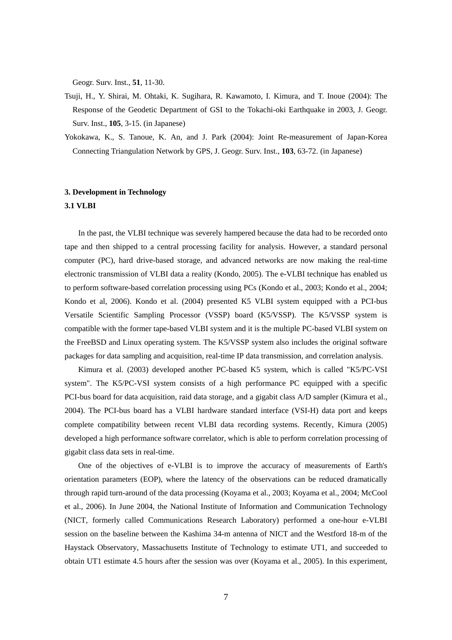Geogr. Surv. Inst., **51**, 11-30.

- Tsuji, H., Y. Shirai, M. Ohtaki, K. Sugihara, R. Kawamoto, I. Kimura, and T. Inoue (2004): The Response of the Geodetic Department of GSI to the Tokachi-oki Earthquake in 2003, J. Geogr. Surv. Inst., **105**, 3-15. (in Japanese)
- Yokokawa, K., S. Tanoue, K. An, and J. Park (2004): Joint Re-measurement of Japan-Korea Connecting Triangulation Network by GPS, J. Geogr. Surv. Inst., **103**, 63-72. (in Japanese)

### **3. Development in Technology**

#### **3.1 VLBI**

In the past, the VLBI technique was severely hampered because the data had to be recorded onto tape and then shipped to a central processing facility for analysis. However, a standard personal computer (PC), hard drive-based storage, and advanced networks are now making the real-time electronic transmission of VLBI data a reality (Kondo, 2005). The e-VLBI technique has enabled us to perform software-based correlation processing using PCs (Kondo et al., 2003; Kondo et al., 2004; Kondo et al, 2006). Kondo et al. (2004) presented K5 VLBI system equipped with a PCI-bus Versatile Scientific Sampling Processor (VSSP) board (K5/VSSP). The K5/VSSP system is compatible with the former tape-based VLBI system and it is the multiple PC-based VLBI system on the FreeBSD and Linux operating system. The K5/VSSP system also includes the original software packages for data sampling and acquisition, real-time IP data transmission, and correlation analysis.

Kimura et al. (2003) developed another PC-based K5 system, which is called "K5/PC-VSI system". The K5/PC-VSI system consists of a high performance PC equipped with a specific PCI-bus board for data acquisition, raid data storage, and a gigabit class A/D sampler (Kimura et al., 2004). The PCI-bus board has a VLBI hardware standard interface (VSI-H) data port and keeps complete compatibility between recent VLBI data recording systems. Recently, Kimura (2005) developed a high performance software correlator, which is able to perform correlation processing of gigabit class data sets in real-time.

One of the objectives of e-VLBI is to improve the accuracy of measurements of Earth's orientation parameters (EOP), where the latency of the observations can be reduced dramatically through rapid turn-around of the data processing (Koyama et al., 2003; Koyama et al., 2004; McCool et al., 2006). In June 2004, the National Institute of Information and Communication Technology (NICT, formerly called Communications Research Laboratory) performed a one-hour e-VLBI session on the baseline between the Kashima 34-m antenna of NICT and the Westford 18-m of the Haystack Observatory, Massachusetts Institute of Technology to estimate UT1, and succeeded to obtain UT1 estimate 4.5 hours after the session was over (Koyama et al., 2005). In this experiment,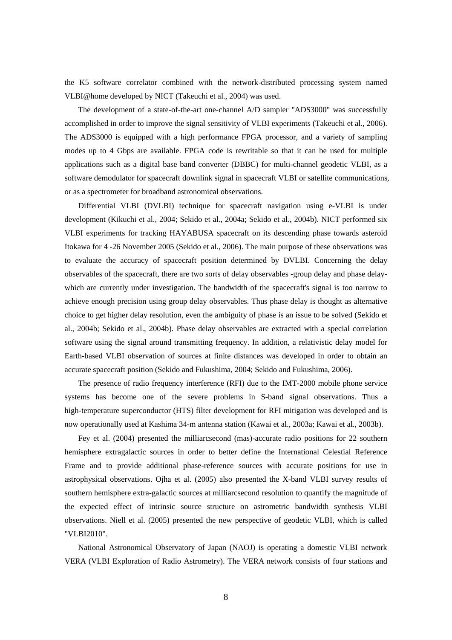the K5 software correlator combined with the network-distributed processing system named VLBI@home developed by NICT (Takeuchi et al., 2004) was used.

The development of a state-of-the-art one-channel A/D sampler "ADS3000" was successfully accomplished in order to improve the signal sensitivity of VLBI experiments (Takeuchi et al., 2006). The ADS3000 is equipped with a high performance FPGA processor, and a variety of sampling modes up to 4 Gbps are available. FPGA code is rewritable so that it can be used for multiple applications such as a digital base band converter (DBBC) for multi-channel geodetic VLBI, as a software demodulator for spacecraft downlink signal in spacecraft VLBI or satellite communications, or as a spectrometer for broadband astronomical observations.

Differential VLBI (DVLBI) technique for spacecraft navigation using e-VLBI is under development (Kikuchi et al., 2004; Sekido et al., 2004a; Sekido et al., 2004b). NICT performed six VLBI experiments for tracking HAYABUSA spacecraft on its descending phase towards asteroid Itokawa for 4 -26 November 2005 (Sekido et al., 2006). The main purpose of these observations was to evaluate the accuracy of spacecraft position determined by DVLBI. Concerning the delay observables of the spacecraft, there are two sorts of delay observables -group delay and phase delaywhich are currently under investigation. The bandwidth of the spacecraft's signal is too narrow to achieve enough precision using group delay observables. Thus phase delay is thought as alternative choice to get higher delay resolution, even the ambiguity of phase is an issue to be solved (Sekido et al., 2004b; Sekido et al., 2004b). Phase delay observables are extracted with a special correlation software using the signal around transmitting frequency. In addition, a relativistic delay model for Earth-based VLBI observation of sources at finite distances was developed in order to obtain an accurate spacecraft position (Sekido and Fukushima, 2004; Sekido and Fukushima, 2006).

The presence of radio frequency interference (RFI) due to the IMT-2000 mobile phone service systems has become one of the severe problems in S-band signal observations. Thus a high-temperature superconductor (HTS) filter development for RFI mitigation was developed and is now operationally used at Kashima 34-m antenna station (Kawai et al., 2003a; Kawai et al., 2003b).

Fey et al. (2004) presented the milliarcsecond (mas)-accurate radio positions for 22 southern hemisphere extragalactic sources in order to better define the International Celestial Reference Frame and to provide additional phase-reference sources with accurate positions for use in astrophysical observations. Ojha et al. (2005) also presented the X-band VLBI survey results of southern hemisphere extra-galactic sources at milliarcsecond resolution to quantify the magnitude of the expected effect of intrinsic source structure on astrometric bandwidth synthesis VLBI observations. Niell et al. (2005) presented the new perspective of geodetic VLBI, which is called "VLBI2010".

National Astronomical Observatory of Japan (NAOJ) is operating a domestic VLBI network VERA (VLBI Exploration of Radio Astrometry). The VERA network consists of four stations and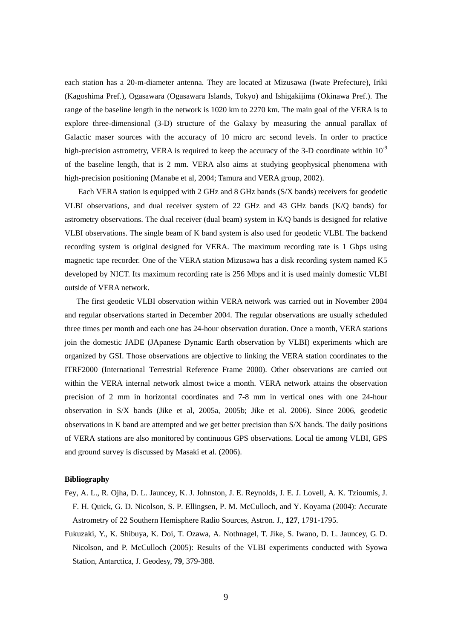each station has a 20-m-diameter antenna. They are located at Mizusawa (Iwate Prefecture), Iriki (Kagoshima Pref.), Ogasawara (Ogasawara Islands, Tokyo) and Ishigakijima (Okinawa Pref.). The range of the baseline length in the network is 1020 km to 2270 km. The main goal of the VERA is to explore three-dimensional (3-D) structure of the Galaxy by measuring the annual parallax of Galactic maser sources with the accuracy of 10 micro arc second levels. In order to practice high-precision astrometry, VERA is required to keep the accuracy of the 3-D coordinate within  $10^{-9}$ of the baseline length, that is 2 mm. VERA also aims at studying geophysical phenomena with high-precision positioning (Manabe et al, 2004; Tamura and VERA group, 2002).

Each VERA station is equipped with 2 GHz and 8 GHz bands (S/X bands) receivers for geodetic VLBI observations, and dual receiver system of 22 GHz and 43 GHz bands (K/Q bands) for astrometry observations. The dual receiver (dual beam) system in K/Q bands is designed for relative VLBI observations. The single beam of K band system is also used for geodetic VLBI. The backend recording system is original designed for VERA. The maximum recording rate is 1 Gbps using magnetic tape recorder. One of the VERA station Mizusawa has a disk recording system named K5 developed by NICT. Its maximum recording rate is 256 Mbps and it is used mainly domestic VLBI outside of VERA network.

The first geodetic VLBI observation within VERA network was carried out in November 2004 and regular observations started in December 2004. The regular observations are usually scheduled three times per month and each one has 24-hour observation duration. Once a month, VERA stations join the domestic JADE (JApanese Dynamic Earth observation by VLBI) experiments which are organized by GSI. Those observations are objective to linking the VERA station coordinates to the ITRF2000 (International Terrestrial Reference Frame 2000). Other observations are carried out within the VERA internal network almost twice a month. VERA network attains the observation precision of 2 mm in horizontal coordinates and 7-8 mm in vertical ones with one 24-hour observation in S/X bands (Jike et al, 2005a, 2005b; Jike et al. 2006). Since 2006, geodetic observations in K band are attempted and we get better precision than S/X bands. The daily positions of VERA stations are also monitored by continuous GPS observations. Local tie among VLBI, GPS and ground survey is discussed by Masaki et al. (2006).

#### **Bibliography**

- Fey, A. L., R. Ojha, D. L. Jauncey, K. J. Johnston, J. E. Reynolds, J. E. J. Lovell, A. K. Tzioumis, J. F. H. Quick, G. D. Nicolson, S. P. Ellingsen, P. M. McCulloch, and Y. Koyama (2004): Accurate Astrometry of 22 Southern Hemisphere Radio Sources, Astron. J., **127**, 1791-1795.
- Fukuzaki, Y., K. Shibuya, K. Doi, T. Ozawa, A. Nothnagel, T. Jike, S. Iwano, D. L. Jauncey, G. D. Nicolson, and P. McCulloch (2005): Results of the VLBI experiments conducted with Syowa Station, Antarctica, J. Geodesy, **79**, 379-388.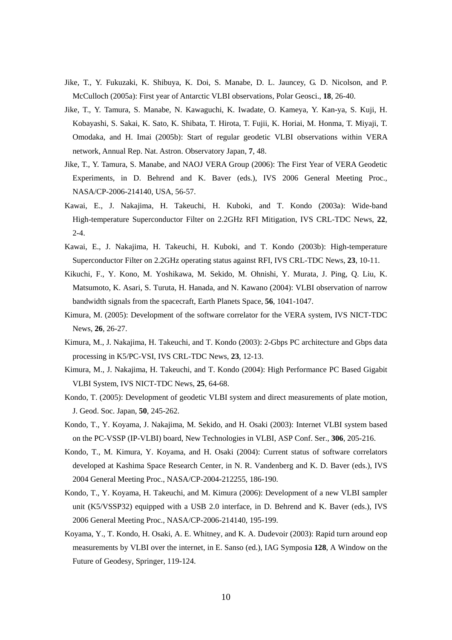- Jike, T., Y. Fukuzaki, K. Shibuya, K. Doi, S. Manabe, D. L. Jauncey, G. D. Nicolson, and P. McCulloch (2005a): First year of Antarctic VLBI observations, Polar Geosci., **18**, 26-40.
- Jike, T., Y. Tamura, S. Manabe, N. Kawaguchi, K. Iwadate, O. Kameya, Y. Kan-ya, S. Kuji, H. Kobayashi, S. Sakai, K. Sato, K. Shibata, T. Hirota, T. Fujii, K. Horiai, M. Honma, T. Miyaji, T. Omodaka, and H. Imai (2005b): Start of regular geodetic VLBI observations within VERA network, Annual Rep. Nat. Astron. Observatory Japan, **7**, 48.
- Jike, T., Y. Tamura, S. Manabe, and NAOJ VERA Group (2006): The First Year of VERA Geodetic Experiments, in D. Behrend and K. Baver (eds.), IVS 2006 General Meeting Proc., NASA/CP-2006-214140, USA, 56-57.
- Kawai, E., J. Nakajima, H. Takeuchi, H. Kuboki, and T. Kondo (2003a): Wide-band High-temperature Superconductor Filter on 2.2GHz RFI Mitigation, IVS CRL-TDC News, **22**,  $2 - 4$ .
- Kawai, E., J. Nakajima, H. Takeuchi, H. Kuboki, and T. Kondo (2003b): High-temperature Superconductor Filter on 2.2GHz operating status against RFI, IVS CRL-TDC News, **23**, 10-11.
- Kikuchi, F., Y. Kono, M. Yoshikawa, M. Sekido, M. Ohnishi, Y. Murata, J. Ping, Q. Liu, K. Matsumoto, K. Asari, S. Turuta, H. Hanada, and N. Kawano (2004): VLBI observation of narrow bandwidth signals from the spacecraft, Earth Planets Space, **56**, 1041-1047.
- Kimura, M. (2005): Development of the software correlator for the VERA system, IVS NICT-TDC News, **26**, 26-27.
- Kimura, M., J. Nakajima, H. Takeuchi, and T. Kondo (2003): 2-Gbps PC architecture and Gbps data processing in K5/PC-VSI, IVS CRL-TDC News, **23**, 12-13.
- Kimura, M., J. Nakajima, H. Takeuchi, and T. Kondo (2004): High Performance PC Based Gigabit VLBI System, IVS NICT-TDC News, **25**, 64-68.
- Kondo, T. (2005): Development of geodetic VLBI system and direct measurements of plate motion, J. Geod. Soc. Japan, **50**, 245-262.
- Kondo, T., Y. Koyama, J. Nakajima, M. Sekido, and H. Osaki (2003): Internet VLBI system based on the PC-VSSP (IP-VLBI) board, New Technologies in VLBI, ASP Conf. Ser., **306**, 205-216.
- Kondo, T., M. Kimura, Y. Koyama, and H. Osaki (2004): Current status of software correlators developed at Kashima Space Research Center, in N. R. Vandenberg and K. D. Baver (eds.), IVS 2004 General Meeting Proc., NASA/CP-2004-212255, 186-190.
- Kondo, T., Y. Koyama, H. Takeuchi, and M. Kimura (2006): Development of a new VLBI sampler unit (K5/VSSP32) equipped with a USB 2.0 interface, in D. Behrend and K. Baver (eds.), IVS 2006 General Meeting Proc., NASA/CP-2006-214140, 195-199.
- Koyama, Y., T. Kondo, H. Osaki, A. E. Whitney, and K. A. Dudevoir (2003): Rapid turn around eop measurements by VLBI over the internet, in E. Sanso (ed.), IAG Symposia **128**, A Window on the Future of Geodesy, Springer, 119-124.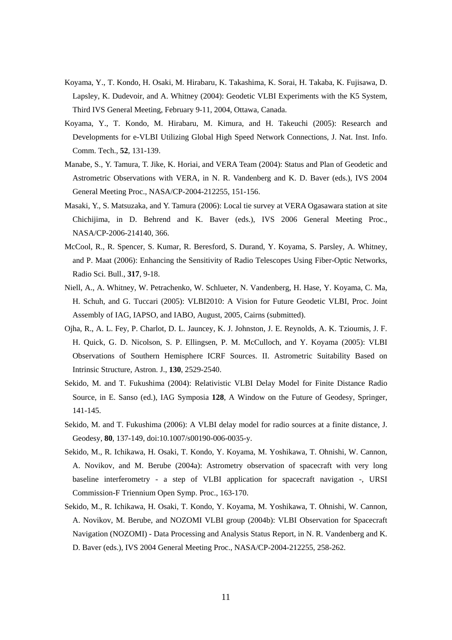- Koyama, Y., T. Kondo, H. Osaki, M. Hirabaru, K. Takashima, K. Sorai, H. Takaba, K. Fujisawa, D. Lapsley, K. Dudevoir, and A. Whitney (2004): Geodetic VLBI Experiments with the K5 System, Third IVS General Meeting, February 9-11, 2004, Ottawa, Canada.
- Koyama, Y., T. Kondo, M. Hirabaru, M. Kimura, and H. Takeuchi (2005): Research and Developments for e-VLBI Utilizing Global High Speed Network Connections, J. Nat. Inst. Info. Comm. Tech., **52**, 131-139.
- Manabe, S., Y. Tamura, T. Jike, K. Horiai, and VERA Team (2004): Status and Plan of Geodetic and Astrometric Observations with VERA, in N. R. Vandenberg and K. D. Baver (eds.), IVS 2004 General Meeting Proc., NASA/CP-2004-212255, 151-156.
- Masaki, Y., S. Matsuzaka, and Y. Tamura (2006): Local tie survey at VERA Ogasawara station at site Chichijima, in D. Behrend and K. Baver (eds.), IVS 2006 General Meeting Proc., NASA/CP-2006-214140, 366.
- McCool, R., R. Spencer, S. Kumar, R. Beresford, S. Durand, Y. Koyama, S. Parsley, A. Whitney, and P. Maat (2006): Enhancing the Sensitivity of Radio Telescopes Using Fiber-Optic Networks, Radio Sci. Bull., **317**, 9-18.
- Niell, A., A. Whitney, W. Petrachenko, W. Schlueter, N. Vandenberg, H. Hase, Y. Koyama, C. Ma, H. Schuh, and G. Tuccari (2005): VLBI2010: A Vision for Future Geodetic VLBI, Proc. Joint Assembly of IAG, IAPSO, and IABO, August, 2005, Cairns (submitted).
- Ojha, R., A. L. Fey, P. Charlot, D. L. Jauncey, K. J. Johnston, J. E. Reynolds, A. K. Tzioumis, J. F. H. Quick, G. D. Nicolson, S. P. Ellingsen, P. M. McCulloch, and Y. Koyama (2005): VLBI Observations of Southern Hemisphere ICRF Sources. II. Astrometric Suitability Based on Intrinsic Structure, Astron. J., **130**, 2529-2540.
- Sekido, M. and T. Fukushima (2004): Relativistic VLBI Delay Model for Finite Distance Radio Source, in E. Sanso (ed.), IAG Symposia **128**, A Window on the Future of Geodesy, Springer, 141-145.
- Sekido, M. and T. Fukushima (2006): A VLBI delay model for radio sources at a finite distance, J. Geodesy, **80**, 137-149, doi:10.1007/s00190-006-0035-y.
- Sekido, M., R. Ichikawa, H. Osaki, T. Kondo, Y. Koyama, M. Yoshikawa, T. Ohnishi, W. Cannon, A. Novikov, and M. Berube (2004a): Astrometry observation of spacecraft with very long baseline interferometry - a step of VLBI application for spacecraft navigation -, URSI Commission-F Triennium Open Symp. Proc., 163-170.
- Sekido, M., R. Ichikawa, H. Osaki, T. Kondo, Y. Koyama, M. Yoshikawa, T. Ohnishi, W. Cannon, A. Novikov, M. Berube, and NOZOMI VLBI group (2004b): VLBI Observation for Spacecraft Navigation (NOZOMI) - Data Processing and Analysis Status Report, in N. R. Vandenberg and K. D. Baver (eds.), IVS 2004 General Meeting Proc., NASA/CP-2004-212255, 258-262.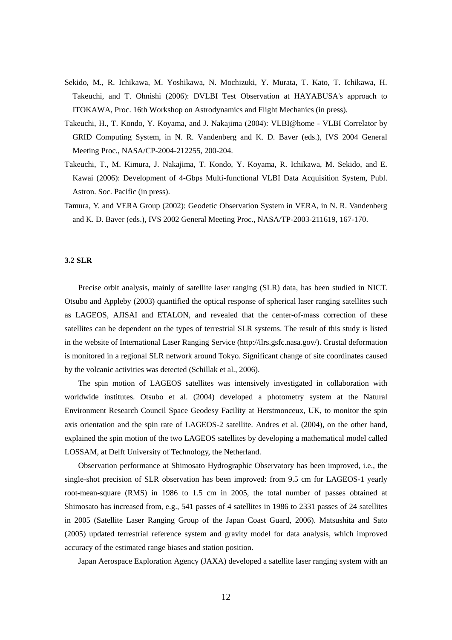- Sekido, M., R. Ichikawa, M. Yoshikawa, N. Mochizuki, Y. Murata, T. Kato, T. Ichikawa, H. Takeuchi, and T. Ohnishi (2006): DVLBI Test Observation at HAYABUSA's approach to ITOKAWA, Proc. 16th Workshop on Astrodynamics and Flight Mechanics (in press).
- Takeuchi, H., T. Kondo, Y. Koyama, and J. Nakajima (2004): VLBI@home VLBI Correlator by GRID Computing System, in N. R. Vandenberg and K. D. Baver (eds.), IVS 2004 General Meeting Proc., NASA/CP-2004-212255, 200-204.
- Takeuchi, T., M. Kimura, J. Nakajima, T. Kondo, Y. Koyama, R. Ichikawa, M. Sekido, and E. Kawai (2006): Development of 4-Gbps Multi-functional VLBI Data Acquisition System, Publ. Astron. Soc. Pacific (in press).
- Tamura, Y. and VERA Group (2002): Geodetic Observation System in VERA, in N. R. Vandenberg and K. D. Baver (eds.), IVS 2002 General Meeting Proc., NASA/TP-2003-211619, 167-170.

#### **3.2 SLR**

Precise orbit analysis, mainly of satellite laser ranging (SLR) data, has been studied in NICT. Otsubo and Appleby (2003) quantified the optical response of spherical laser ranging satellites such as LAGEOS, AJISAI and ETALON, and revealed that the center-of-mass correction of these satellites can be dependent on the types of terrestrial SLR systems. The result of this study is listed in the website of International Laser Ranging Service (http://ilrs.gsfc.nasa.gov/). Crustal deformation is monitored in a regional SLR network around Tokyo. Significant change of site coordinates caused by the volcanic activities was detected (Schillak et al., 2006).

The spin motion of LAGEOS satellites was intensively investigated in collaboration with worldwide institutes. Otsubo et al. (2004) developed a photometry system at the Natural Environment Research Council Space Geodesy Facility at Herstmonceux, UK, to monitor the spin axis orientation and the spin rate of LAGEOS-2 satellite. Andres et al. (2004), on the other hand, explained the spin motion of the two LAGEOS satellites by developing a mathematical model called LOSSAM, at Delft University of Technology, the Netherland.

Observation performance at Shimosato Hydrographic Observatory has been improved, i.e., the single-shot precision of SLR observation has been improved: from 9.5 cm for LAGEOS-1 yearly root-mean-square (RMS) in 1986 to 1.5 cm in 2005, the total number of passes obtained at Shimosato has increased from, e.g., 541 passes of 4 satellites in 1986 to 2331 passes of 24 satellites in 2005 (Satellite Laser Ranging Group of the Japan Coast Guard, 2006). Matsushita and Sato (2005) updated terrestrial reference system and gravity model for data analysis, which improved accuracy of the estimated range biases and station position.

Japan Aerospace Exploration Agency (JAXA) developed a satellite laser ranging system with an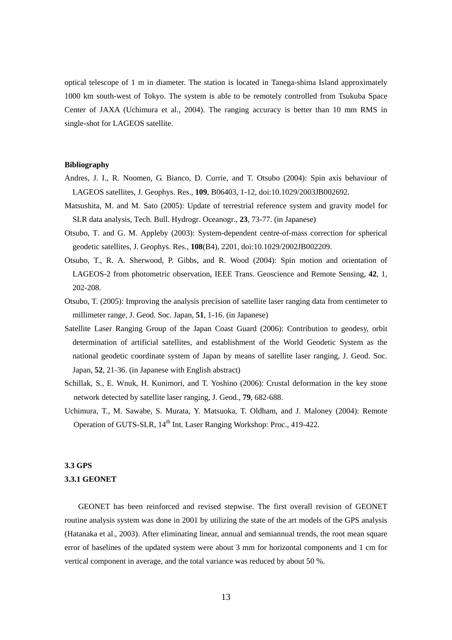optical telescope of 1 m in diameter. The station is located in Tanega-shima Island approximately 1000 km south-west of Tokyo. The system is able to be remotely controlled from Tsukuba Space Center of JAXA (Uchimura et al., 2004). The ranging accuracy is better than 10 mm RMS in single-shot for LAGEOS satellite.

#### **Bibliography**

- Andres, J. I., R. Noomen, G. Bianco, D. Currie, and T. Otsubo (2004): Spin axis behaviour of LAGEOS satellites, J. Geophys. Res., **109**, B06403, 1-12, doi:10.1029/2003JB002692.
- Matsushita, M. and M. Sato (2005): Update of terrestrial reference system and gravity model for SLR data analysis, Tech. Bull. Hydrogr. Oceanogr., **23**, 73-77. (in Japanese)
- Otsubo, T. and G. M. Appleby (2003): System-dependent centre-of-mass correction for spherical geodetic satellites, J. Geophys. Res., **108**(B4), 2201, doi:10.1029/2002JB002209.
- Otsubo, T., R. A. Sherwood, P. Gibbs, and R. Wood (2004): Spin motion and orientation of LAGEOS-2 from photometric observation, IEEE Trans. Geoscience and Remote Sensing, **42**, 1, 202-208.
- Otsubo, T. (2005): Improving the analysis precision of satellite laser ranging data from centimeter to millimeter range, J. Geod. Soc. Japan, **51**, 1-16. (in Japanese)
- Satellite Laser Ranging Group of the Japan Coast Guard (2006): Contribution to geodesy, orbit determination of artificial satellites, and establishment of the World Geodetic System as the national geodetic coordinate system of Japan by means of satellite laser ranging, J. Geod. Soc. Japan, **52**, 21-36. (in Japanese with English abstract)
- Schillak, S., E. Wnuk, H. Kunimori, and T. Yoshino (2006): Crustal deformation in the key stone network detected by satellite laser ranging, J. Geod., **79**, 682-688.
- Uchimura, T., M. Sawabe, S. Murata, Y. Matsuoka, T. Oldham, and J. Maloney (2004): Remote Operation of GUTS-SLR, 14<sup>th</sup> Int. Laser Ranging Workshop: Proc., 419-422.

#### **3.3 GPS**

#### **3.3.1 GEONET**

GEONET has been reinforced and revised stepwise. The first overall revision of GEONET routine analysis system was done in 2001 by utilizing the state of the art models of the GPS analysis (Hatanaka et al., 2003). After eliminating linear, annual and semiannual trends, the root mean square error of baselines of the updated system were about 3 mm for horizontal components and 1 cm for vertical component in average, and the total variance was reduced by about 50 %.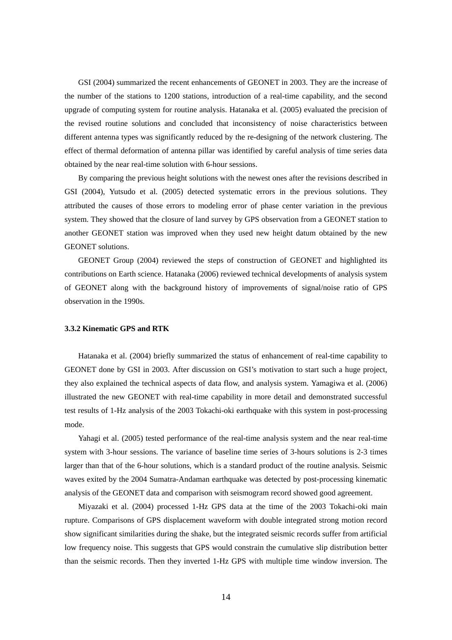GSI (2004) summarized the recent enhancements of GEONET in 2003. They are the increase of the number of the stations to 1200 stations, introduction of a real-time capability, and the second upgrade of computing system for routine analysis. Hatanaka et al. (2005) evaluated the precision of the revised routine solutions and concluded that inconsistency of noise characteristics between different antenna types was significantly reduced by the re-designing of the network clustering. The effect of thermal deformation of antenna pillar was identified by careful analysis of time series data obtained by the near real-time solution with 6-hour sessions.

By comparing the previous height solutions with the newest ones after the revisions described in GSI (2004), Yutsudo et al. (2005) detected systematic errors in the previous solutions. They attributed the causes of those errors to modeling error of phase center variation in the previous system. They showed that the closure of land survey by GPS observation from a GEONET station to another GEONET station was improved when they used new height datum obtained by the new GEONET solutions.

GEONET Group (2004) reviewed the steps of construction of GEONET and highlighted its contributions on Earth science. Hatanaka (2006) reviewed technical developments of analysis system of GEONET along with the background history of improvements of signal/noise ratio of GPS observation in the 1990s.

#### **3.3.2 Kinematic GPS and RTK**

Hatanaka et al. (2004) briefly summarized the status of enhancement of real-time capability to GEONET done by GSI in 2003. After discussion on GSI's motivation to start such a huge project, they also explained the technical aspects of data flow, and analysis system. Yamagiwa et al. (2006) illustrated the new GEONET with real-time capability in more detail and demonstrated successful test results of 1-Hz analysis of the 2003 Tokachi-oki earthquake with this system in post-processing mode.

Yahagi et al. (2005) tested performance of the real-time analysis system and the near real-time system with 3-hour sessions. The variance of baseline time series of 3-hours solutions is 2-3 times larger than that of the 6-hour solutions, which is a standard product of the routine analysis. Seismic waves exited by the 2004 Sumatra-Andaman earthquake was detected by post-processing kinematic analysis of the GEONET data and comparison with seismogram record showed good agreement.

Miyazaki et al. (2004) processed 1-Hz GPS data at the time of the 2003 Tokachi-oki main rupture. Comparisons of GPS displacement waveform with double integrated strong motion record show significant similarities during the shake, but the integrated seismic records suffer from artificial low frequency noise. This suggests that GPS would constrain the cumulative slip distribution better than the seismic records. Then they inverted 1-Hz GPS with multiple time window inversion. The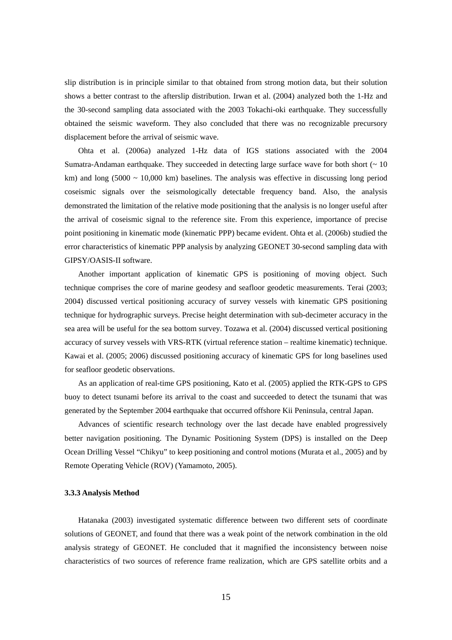slip distribution is in principle similar to that obtained from strong motion data, but their solution shows a better contrast to the afterslip distribution. Irwan et al. (2004) analyzed both the 1-Hz and the 30-second sampling data associated with the 2003 Tokachi-oki earthquake. They successfully obtained the seismic waveform. They also concluded that there was no recognizable precursory displacement before the arrival of seismic wave.

Ohta et al. (2006a) analyzed 1-Hz data of IGS stations associated with the 2004 Sumatra-Andaman earthquake. They succeeded in detecting large surface wave for both short ( $\sim 10$ ) km) and long (5000  $\sim$  10,000 km) baselines. The analysis was effective in discussing long period coseismic signals over the seismologically detectable frequency band. Also, the analysis demonstrated the limitation of the relative mode positioning that the analysis is no longer useful after the arrival of coseismic signal to the reference site. From this experience, importance of precise point positioning in kinematic mode (kinematic PPP) became evident. Ohta et al. (2006b) studied the error characteristics of kinematic PPP analysis by analyzing GEONET 30-second sampling data with GIPSY/OASIS-II software.

Another important application of kinematic GPS is positioning of moving object. Such technique comprises the core of marine geodesy and seafloor geodetic measurements. Terai (2003; 2004) discussed vertical positioning accuracy of survey vessels with kinematic GPS positioning technique for hydrographic surveys. Precise height determination with sub-decimeter accuracy in the sea area will be useful for the sea bottom survey. Tozawa et al. (2004) discussed vertical positioning accuracy of survey vessels with VRS-RTK (virtual reference station – realtime kinematic) technique. Kawai et al. (2005; 2006) discussed positioning accuracy of kinematic GPS for long baselines used for seafloor geodetic observations.

As an application of real-time GPS positioning, Kato et al. (2005) applied the RTK-GPS to GPS buoy to detect tsunami before its arrival to the coast and succeeded to detect the tsunami that was generated by the September 2004 earthquake that occurred offshore Kii Peninsula, central Japan.

Advances of scientific research technology over the last decade have enabled progressively better navigation positioning. The Dynamic Positioning System (DPS) is installed on the Deep Ocean Drilling Vessel "Chikyu" to keep positioning and control motions (Murata et al., 2005) and by Remote Operating Vehicle (ROV) (Yamamoto, 2005).

#### **3.3.3 Analysis Method**

Hatanaka (2003) investigated systematic difference between two different sets of coordinate solutions of GEONET, and found that there was a weak point of the network combination in the old analysis strategy of GEONET. He concluded that it magnified the inconsistency between noise characteristics of two sources of reference frame realization, which are GPS satellite orbits and a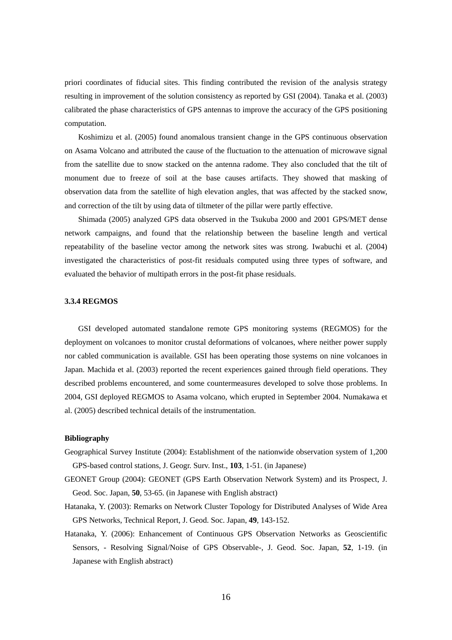priori coordinates of fiducial sites. This finding contributed the revision of the analysis strategy resulting in improvement of the solution consistency as reported by GSI (2004). Tanaka et al. (2003) calibrated the phase characteristics of GPS antennas to improve the accuracy of the GPS positioning computation.

Koshimizu et al. (2005) found anomalous transient change in the GPS continuous observation on Asama Volcano and attributed the cause of the fluctuation to the attenuation of microwave signal from the satellite due to snow stacked on the antenna radome. They also concluded that the tilt of monument due to freeze of soil at the base causes artifacts. They showed that masking of observation data from the satellite of high elevation angles, that was affected by the stacked snow, and correction of the tilt by using data of tiltmeter of the pillar were partly effective.

Shimada (2005) analyzed GPS data observed in the Tsukuba 2000 and 2001 GPS/MET dense network campaigns, and found that the relationship between the baseline length and vertical repeatability of the baseline vector among the network sites was strong. Iwabuchi et al. (2004) investigated the characteristics of post-fit residuals computed using three types of software, and evaluated the behavior of multipath errors in the post-fit phase residuals.

#### **3.3.4 REGMOS**

GSI developed automated standalone remote GPS monitoring systems (REGMOS) for the deployment on volcanoes to monitor crustal deformations of volcanoes, where neither power supply nor cabled communication is available. GSI has been operating those systems on nine volcanoes in Japan. Machida et al. (2003) reported the recent experiences gained through field operations. They described problems encountered, and some countermeasures developed to solve those problems. In 2004, GSI deployed REGMOS to Asama volcano, which erupted in September 2004. Numakawa et al. (2005) described technical details of the instrumentation.

#### **Bibliography**

- Geographical Survey Institute (2004): Establishment of the nationwide observation system of 1,200 GPS-based control stations, J. Geogr. Surv. Inst., **103**, 1-51. (in Japanese)
- GEONET Group (2004): GEONET (GPS Earth Observation Network System) and its Prospect, J. Geod. Soc. Japan, **50**, 53-65. (in Japanese with English abstract)
- Hatanaka, Y. (2003): Remarks on Network Cluster Topology for Distributed Analyses of Wide Area GPS Networks, Technical Report, J. Geod. Soc. Japan, **49**, 143-152.
- Hatanaka, Y. (2006): Enhancement of Continuous GPS Observation Networks as Geoscientific Sensors, - Resolving Signal/Noise of GPS Observable-, J. Geod. Soc. Japan, **52**, 1-19. (in Japanese with English abstract)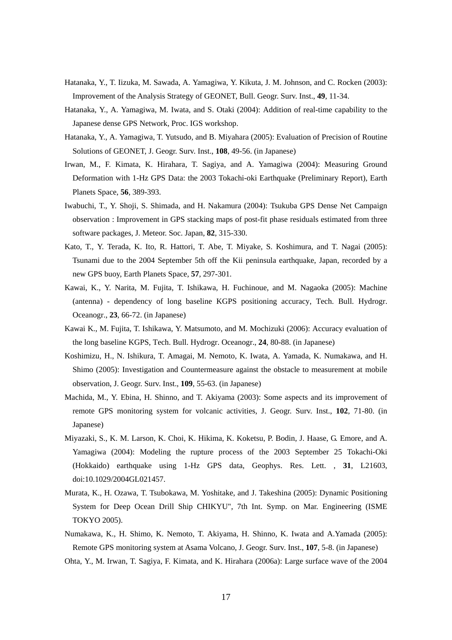- Hatanaka, Y., T. Iizuka, M. Sawada, A. Yamagiwa, Y. Kikuta, J. M. Johnson, and C. Rocken (2003): Improvement of the Analysis Strategy of GEONET, Bull. Geogr. Surv. Inst., **49**, 11-34.
- Hatanaka, Y., A. Yamagiwa, M. Iwata, and S. Otaki (2004): Addition of real-time capability to the Japanese dense GPS Network, Proc. IGS workshop.
- Hatanaka, Y., A. Yamagiwa, T. Yutsudo, and B. Miyahara (2005): Evaluation of Precision of Routine Solutions of GEONET, J. Geogr. Surv. Inst., **108**, 49-56. (in Japanese)
- Irwan, M., F. Kimata, K. Hirahara, T. Sagiya, and A. Yamagiwa (2004): Measuring Ground Deformation with 1-Hz GPS Data: the 2003 Tokachi-oki Earthquake (Preliminary Report), Earth Planets Space, **56**, 389-393.
- Iwabuchi, T., Y. Shoji, S. Shimada, and H. Nakamura (2004): Tsukuba GPS Dense Net Campaign observation : Improvement in GPS stacking maps of post-fit phase residuals estimated from three software packages, J. Meteor. Soc. Japan, **82**, 315-330.
- Kato, T., Y. Terada, K. Ito, R. Hattori, T. Abe, T. Miyake, S. Koshimura, and T. Nagai (2005): Tsunami due to the 2004 September 5th off the Kii peninsula earthquake, Japan, recorded by a new GPS buoy, Earth Planets Space, **57**, 297-301.
- Kawai, K., Y. Narita, M. Fujita, T. Ishikawa, H. Fuchinoue, and M. Nagaoka (2005): Machine (antenna) - dependency of long baseline KGPS positioning accuracy, Tech. Bull. Hydrogr. Oceanogr., **23**, 66-72. (in Japanese)
- Kawai K., M. Fujita, T. Ishikawa, Y. Matsumoto, and M. Mochizuki (2006): Accuracy evaluation of the long baseline KGPS, Tech. Bull. Hydrogr. Oceanogr., **24**, 80-88. (in Japanese)
- Koshimizu, H., N. Ishikura, T. Amagai, M. Nemoto, K. Iwata, A. Yamada, K. Numakawa, and H. Shimo (2005): Investigation and Countermeasure against the obstacle to measurement at mobile observation, J. Geogr. Surv. Inst., **109**, 55-63. (in Japanese)
- Machida, M., Y. Ebina, H. Shinno, and T. Akiyama (2003): Some aspects and its improvement of remote GPS monitoring system for volcanic activities, J. Geogr. Surv. Inst., **102**, 71-80. (in Japanese)
- Miyazaki, S., K. M. Larson, K. Choi, K. Hikima, K. Koketsu, P. Bodin, J. Haase, G. Emore, and A. Yamagiwa (2004): Modeling the rupture process of the 2003 September 25 Tokachi-Oki (Hokkaido) earthquake using 1-Hz GPS data, Geophys. Res. Lett. , **31**, L21603, doi:10.1029/2004GL021457.
- Murata, K., H. Ozawa, T. Tsubokawa, M. Yoshitake, and J. Takeshina (2005): Dynamic Positioning System for Deep Ocean Drill Ship CHIKYU", 7th Int. Symp. on Mar. Engineering (ISME TOKYO 2005).
- Numakawa, K., H. Shimo, K. Nemoto, T. Akiyama, H. Shinno, K. Iwata and A.Yamada (2005): Remote GPS monitoring system at Asama Volcano, J. Geogr. Surv. Inst., **107**, 5-8. (in Japanese)
- Ohta, Y., M. Irwan, T. Sagiya, F. Kimata, and K. Hirahara (2006a): Large surface wave of the 2004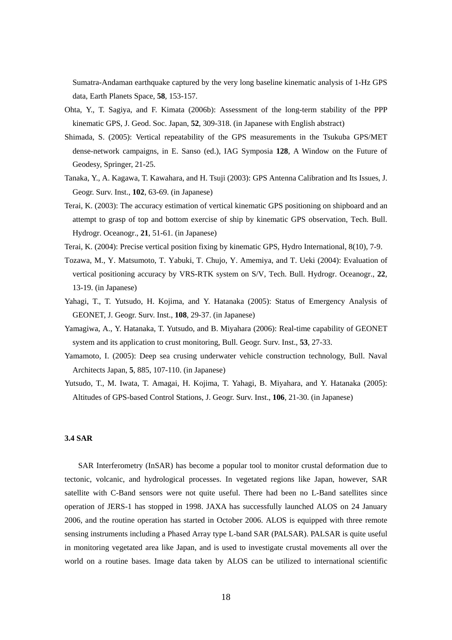Sumatra-Andaman earthquake captured by the very long baseline kinematic analysis of 1-Hz GPS data, Earth Planets Space, **58**, 153-157.

- Ohta, Y., T. Sagiya, and F. Kimata (2006b): Assessment of the long-term stability of the PPP kinematic GPS, J. Geod. Soc. Japan, **52**, 309-318. (in Japanese with English abstract)
- Shimada, S. (2005): Vertical repeatability of the GPS measurements in the Tsukuba GPS/MET dense-network campaigns, in E. Sanso (ed.), IAG Symposia **128**, A Window on the Future of Geodesy, Springer, 21-25.
- Tanaka, Y., A. Kagawa, T. Kawahara, and H. Tsuji (2003): GPS Antenna Calibration and Its Issues, J. Geogr. Surv. Inst., **102**, 63-69. (in Japanese)
- Terai, K. (2003): The accuracy estimation of vertical kinematic GPS positioning on shipboard and an attempt to grasp of top and bottom exercise of ship by kinematic GPS observation, Tech. Bull. Hydrogr. Oceanogr., **21**, 51-61. (in Japanese)
- Terai, K. (2004): Precise vertical position fixing by kinematic GPS, Hydro International, 8(10), 7-9.
- Tozawa, M., Y. Matsumoto, T. Yabuki, T. Chujo, Y. Amemiya, and T. Ueki (2004): Evaluation of vertical positioning accuracy by VRS-RTK system on S/V, Tech. Bull. Hydrogr. Oceanogr., **22**, 13-19. (in Japanese)
- Yahagi, T., T. Yutsudo, H. Kojima, and Y. Hatanaka (2005): Status of Emergency Analysis of GEONET, J. Geogr. Surv. Inst., **108**, 29-37. (in Japanese)
- Yamagiwa, A., Y. Hatanaka, T. Yutsudo, and B. Miyahara (2006): Real-time capability of GEONET system and its application to crust monitoring, Bull. Geogr. Surv. Inst., **53**, 27-33.
- Yamamoto, I. (2005): Deep sea crusing underwater vehicle construction technology, Bull. Naval Architects Japan, **5**, 885, 107-110. (in Japanese)
- Yutsudo, T., M. Iwata, T. Amagai, H. Kojima, T. Yahagi, B. Miyahara, and Y. Hatanaka (2005): Altitudes of GPS-based Control Stations, J. Geogr. Surv. Inst., **106**, 21-30. (in Japanese)

#### **3.4 SAR**

SAR Interferometry (InSAR) has become a popular tool to monitor crustal deformation due to tectonic, volcanic, and hydrological processes. In vegetated regions like Japan, however, SAR satellite with C-Band sensors were not quite useful. There had been no L-Band satellites since operation of JERS-1 has stopped in 1998. JAXA has successfully launched ALOS on 24 January 2006, and the routine operation has started in October 2006. ALOS is equipped with three remote sensing instruments including a Phased Array type L-band SAR (PALSAR). PALSAR is quite useful in monitoring vegetated area like Japan, and is used to investigate crustal movements all over the world on a routine bases. Image data taken by ALOS can be utilized to international scientific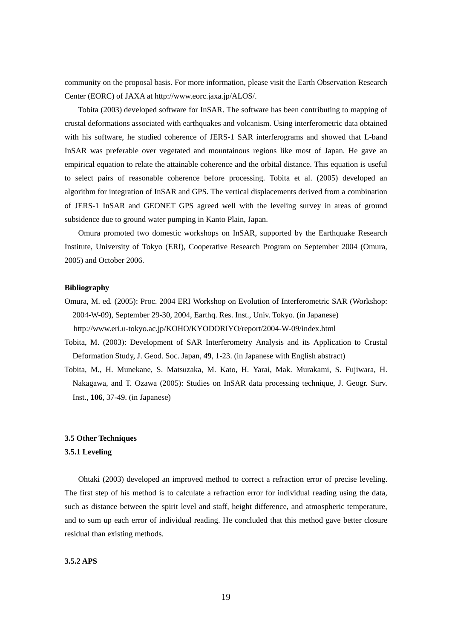community on the proposal basis. For more information, please visit the Earth Observation Research Center (EORC) of JAXA at http://www.eorc.jaxa.jp/ALOS/.

Tobita (2003) developed software for InSAR. The software has been contributing to mapping of crustal deformations associated with earthquakes and volcanism. Using interferometric data obtained with his software, he studied coherence of JERS-1 SAR interferograms and showed that L-band InSAR was preferable over vegetated and mountainous regions like most of Japan. He gave an empirical equation to relate the attainable coherence and the orbital distance. This equation is useful to select pairs of reasonable coherence before processing. Tobita et al. (2005) developed an algorithm for integration of InSAR and GPS. The vertical displacements derived from a combination of JERS-1 InSAR and GEONET GPS agreed well with the leveling survey in areas of ground subsidence due to ground water pumping in Kanto Plain, Japan.

Omura promoted two domestic workshops on InSAR, supported by the Earthquake Research Institute, University of Tokyo (ERI), Cooperative Research Program on September 2004 (Omura, 2005) and October 2006.

#### **Bibliography**

- Omura, M. ed*.* (2005): Proc. 2004 ERI Workshop on Evolution of Interferometric SAR (Workshop: 2004-W-09), September 29-30, 2004, Earthq. Res. Inst., Univ. Tokyo. (in Japanese) http://www.eri.u-tokyo.ac.jp/KOHO/KYODORIYO/report/2004-W-09/index.html
- Tobita, M. (2003): Development of SAR Interferometry Analysis and its Application to Crustal Deformation Study, J. Geod. Soc. Japan, **49**, 1-23. (in Japanese with English abstract)
- Tobita, M., H. Munekane, S. Matsuzaka, M. Kato, H. Yarai, Mak. Murakami, S. Fujiwara, H. Nakagawa, and T. Ozawa (2005): Studies on InSAR data processing technique, J. Geogr. Surv. Inst., **106**, 37-49. (in Japanese)

#### **3.5 Other Techniques**

#### **3.5.1 Leveling**

Ohtaki (2003) developed an improved method to correct a refraction error of precise leveling. The first step of his method is to calculate a refraction error for individual reading using the data, such as distance between the spirit level and staff, height difference, and atmospheric temperature, and to sum up each error of individual reading. He concluded that this method gave better closure residual than existing methods.

#### **3.5.2 APS**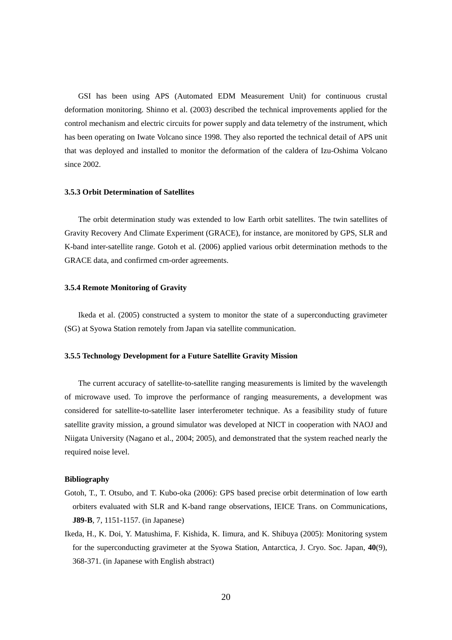GSI has been using APS (Automated EDM Measurement Unit) for continuous crustal deformation monitoring. Shinno et al. (2003) described the technical improvements applied for the control mechanism and electric circuits for power supply and data telemetry of the instrument, which has been operating on Iwate Volcano since 1998. They also reported the technical detail of APS unit that was deployed and installed to monitor the deformation of the caldera of Izu-Oshima Volcano since 2002.

#### **3.5.3 Orbit Determination of Satellites**

The orbit determination study was extended to low Earth orbit satellites. The twin satellites of Gravity Recovery And Climate Experiment (GRACE), for instance, are monitored by GPS, SLR and K-band inter-satellite range. Gotoh et al. (2006) applied various orbit determination methods to the GRACE data, and confirmed cm-order agreements.

#### **3.5.4 Remote Monitoring of Gravity**

Ikeda et al. (2005) constructed a system to monitor the state of a superconducting gravimeter (SG) at Syowa Station remotely from Japan via satellite communication.

#### **3.5.5 Technology Development for a Future Satellite Gravity Mission**

The current accuracy of satellite-to-satellite ranging measurements is limited by the wavelength of microwave used. To improve the performance of ranging measurements, a development was considered for satellite-to-satellite laser interferometer technique. As a feasibility study of future satellite gravity mission, a ground simulator was developed at NICT in cooperation with NAOJ and Niigata University (Nagano et al., 2004; 2005), and demonstrated that the system reached nearly the required noise level.

#### **Bibliography**

- Gotoh, T., T. Otsubo, and T. Kubo-oka (2006): GPS based precise orbit determination of low earth orbiters evaluated with SLR and K-band range observations, IEICE Trans. on Communications, **J89-B**, 7, 1151-1157. (in Japanese)
- Ikeda, H., K. Doi, Y. Matushima, F. Kishida, K. Iimura, and K. Shibuya (2005): Monitoring system for the superconducting gravimeter at the Syowa Station, Antarctica, J. Cryo. Soc. Japan, **40**(9), 368-371. (in Japanese with English abstract)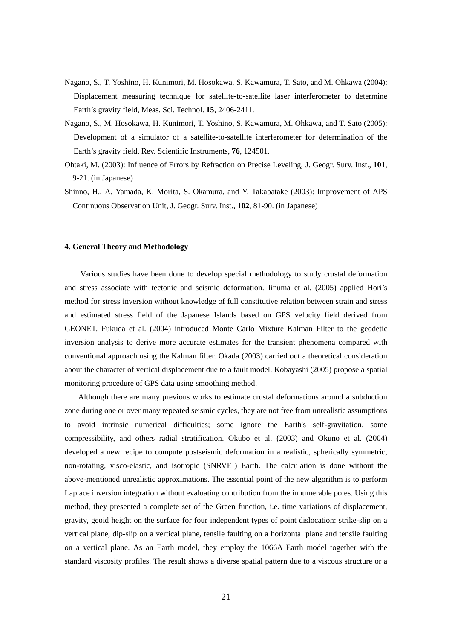- Nagano, S., T. Yoshino, H. Kunimori, M. Hosokawa, S. Kawamura, T. Sato, and M. Ohkawa (2004): Displacement measuring technique for satellite-to-satellite laser interferometer to determine Earth's gravity field, Meas. Sci. Technol. **15**, 2406-2411.
- Nagano, S., M. Hosokawa, H. Kunimori, T. Yoshino, S. Kawamura, M. Ohkawa, and T. Sato (2005): Development of a simulator of a satellite-to-satellite interferometer for determination of the Earth's gravity field, Rev. Scientific Instruments, **76**, 124501.
- Ohtaki, M. (2003): Influence of Errors by Refraction on Precise Leveling, J. Geogr. Surv. Inst., **101**, 9-21. (in Japanese)
- Shinno, H., A. Yamada, K. Morita, S. Okamura, and Y. Takabatake (2003): Improvement of APS Continuous Observation Unit, J. Geogr. Surv. Inst., **102**, 81-90. (in Japanese)

#### **4. General Theory and Methodology**

Various studies have been done to develop special methodology to study crustal deformation and stress associate with tectonic and seismic deformation. Iinuma et al. (2005) applied Hori's method for stress inversion without knowledge of full constitutive relation between strain and stress and estimated stress field of the Japanese Islands based on GPS velocity field derived from GEONET. Fukuda et al. (2004) introduced Monte Carlo Mixture Kalman Filter to the geodetic inversion analysis to derive more accurate estimates for the transient phenomena compared with conventional approach using the Kalman filter. Okada (2003) carried out a theoretical consideration about the character of vertical displacement due to a fault model. Kobayashi (2005) propose a spatial monitoring procedure of GPS data using smoothing method.

Although there are many previous works to estimate crustal deformations around a subduction zone during one or over many repeated seismic cycles, they are not free from unrealistic assumptions to avoid intrinsic numerical difficulties; some ignore the Earth's self-gravitation, some compressibility, and others radial stratification. Okubo et al. (2003) and Okuno et al. (2004) developed a new recipe to compute postseismic deformation in a realistic, spherically symmetric, non-rotating, visco-elastic, and isotropic (SNRVEI) Earth. The calculation is done without the above-mentioned unrealistic approximations. The essential point of the new algorithm is to perform Laplace inversion integration without evaluating contribution from the innumerable poles. Using this method, they presented a complete set of the Green function, i.e. time variations of displacement, gravity, geoid height on the surface for four independent types of point dislocation: strike-slip on a vertical plane, dip-slip on a vertical plane, tensile faulting on a horizontal plane and tensile faulting on a vertical plane. As an Earth model, they employ the 1066A Earth model together with the standard viscosity profiles. The result shows a diverse spatial pattern due to a viscous structure or a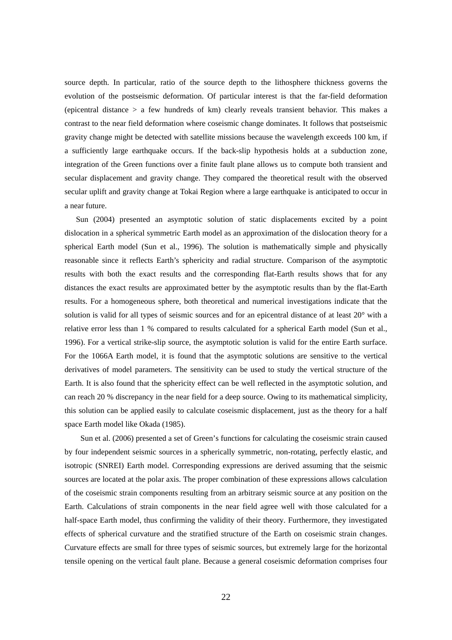source depth. In particular, ratio of the source depth to the lithosphere thickness governs the evolution of the postseismic deformation. Of particular interest is that the far-field deformation (epicentral distance > a few hundreds of km) clearly reveals transient behavior. This makes a contrast to the near field deformation where coseismic change dominates. It follows that postseismic gravity change might be detected with satellite missions because the wavelength exceeds 100 km, if a sufficiently large earthquake occurs. If the back-slip hypothesis holds at a subduction zone, integration of the Green functions over a finite fault plane allows us to compute both transient and secular displacement and gravity change. They compared the theoretical result with the observed secular uplift and gravity change at Tokai Region where a large earthquake is anticipated to occur in a near future.

Sun (2004) presented an asymptotic solution of static displacements excited by a point dislocation in a spherical symmetric Earth model as an approximation of the dislocation theory for a spherical Earth model (Sun et al., 1996). The solution is mathematically simple and physically reasonable since it reflects Earth's sphericity and radial structure. Comparison of the asymptotic results with both the exact results and the corresponding flat-Earth results shows that for any distances the exact results are approximated better by the asymptotic results than by the flat-Earth results. For a homogeneous sphere, both theoretical and numerical investigations indicate that the solution is valid for all types of seismic sources and for an epicentral distance of at least 20° with a relative error less than 1 % compared to results calculated for a spherical Earth model (Sun et al., 1996). For a vertical strike-slip source, the asymptotic solution is valid for the entire Earth surface. For the 1066A Earth model, it is found that the asymptotic solutions are sensitive to the vertical derivatives of model parameters. The sensitivity can be used to study the vertical structure of the Earth. It is also found that the sphericity effect can be well reflected in the asymptotic solution, and can reach 20 % discrepancy in the near field for a deep source. Owing to its mathematical simplicity, this solution can be applied easily to calculate coseismic displacement, just as the theory for a half space Earth model like Okada (1985).

Sun et al. (2006) presented a set of Green's functions for calculating the coseismic strain caused by four independent seismic sources in a spherically symmetric, non-rotating, perfectly elastic, and isotropic (SNREI) Earth model. Corresponding expressions are derived assuming that the seismic sources are located at the polar axis. The proper combination of these expressions allows calculation of the coseismic strain components resulting from an arbitrary seismic source at any position on the Earth. Calculations of strain components in the near field agree well with those calculated for a half-space Earth model, thus confirming the validity of their theory. Furthermore, they investigated effects of spherical curvature and the stratified structure of the Earth on coseismic strain changes. Curvature effects are small for three types of seismic sources, but extremely large for the horizontal tensile opening on the vertical fault plane. Because a general coseismic deformation comprises four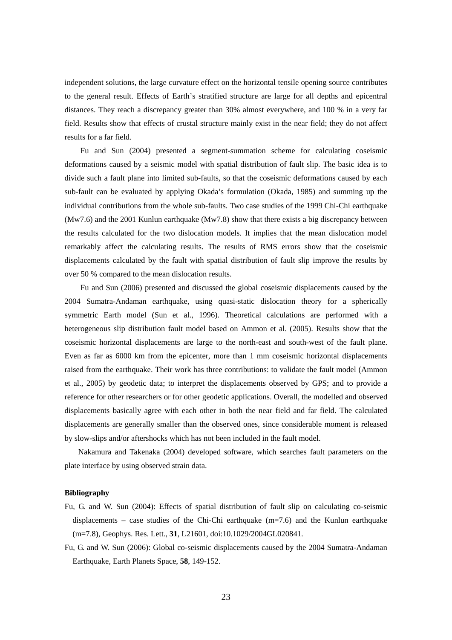independent solutions, the large curvature effect on the horizontal tensile opening source contributes to the general result. Effects of Earth's stratified structure are large for all depths and epicentral distances. They reach a discrepancy greater than 30% almost everywhere, and 100 % in a very far field. Results show that effects of crustal structure mainly exist in the near field; they do not affect results for a far field.

Fu and Sun (2004) presented a segment-summation scheme for calculating coseismic deformations caused by a seismic model with spatial distribution of fault slip. The basic idea is to divide such a fault plane into limited sub-faults, so that the coseismic deformations caused by each sub-fault can be evaluated by applying Okada's formulation (Okada, 1985) and summing up the individual contributions from the whole sub-faults. Two case studies of the 1999 Chi-Chi earthquake (Mw7.6) and the 2001 Kunlun earthquake (Mw7.8) show that there exists a big discrepancy between the results calculated for the two dislocation models. It implies that the mean dislocation model remarkably affect the calculating results. The results of RMS errors show that the coseismic displacements calculated by the fault with spatial distribution of fault slip improve the results by over 50 % compared to the mean dislocation results.

Fu and Sun (2006) presented and discussed the global coseismic displacements caused by the 2004 Sumatra-Andaman earthquake, using quasi-static dislocation theory for a spherically symmetric Earth model (Sun et al., 1996). Theoretical calculations are performed with a heterogeneous slip distribution fault model based on Ammon et al. (2005). Results show that the coseismic horizontal displacements are large to the north-east and south-west of the fault plane. Even as far as 6000 km from the epicenter, more than 1 mm coseismic horizontal displacements raised from the earthquake. Their work has three contributions: to validate the fault model (Ammon et al., 2005) by geodetic data; to interpret the displacements observed by GPS; and to provide a reference for other researchers or for other geodetic applications. Overall, the modelled and observed displacements basically agree with each other in both the near field and far field. The calculated displacements are generally smaller than the observed ones, since considerable moment is released by slow-slips and/or aftershocks which has not been included in the fault model.

Nakamura and Takenaka (2004) developed software, which searches fault parameters on the plate interface by using observed strain data.

#### **Bibliography**

- Fu, G. and W. Sun (2004): Effects of spatial distribution of fault slip on calculating co-seismic displacements – case studies of the Chi-Chi earthquake  $(m=7.6)$  and the Kunlun earthquake (m=7.8), Geophys. Res. Lett., **31**, L21601, doi:10.1029/2004GL020841.
- Fu, G. and W. Sun (2006): Global co-seismic displacements caused by the 2004 Sumatra-Andaman Earthquake, Earth Planets Space, **58**, 149-152.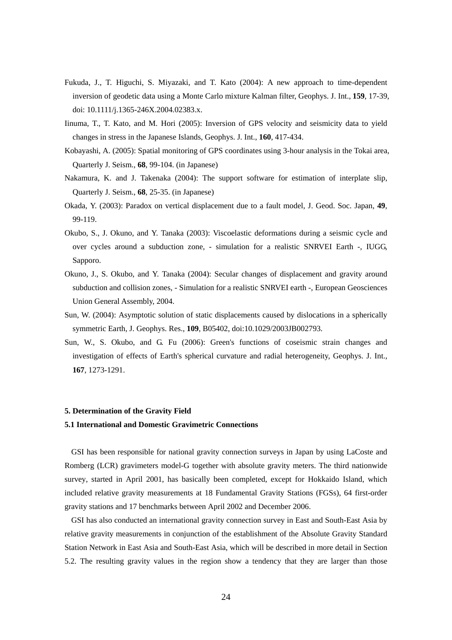- Fukuda, J., T. Higuchi, S. Miyazaki, and T. Kato (2004): A new approach to time-dependent inversion of geodetic data using a Monte Carlo mixture Kalman filter, Geophys. J. Int., **159**, 17-39, doi: 10.1111/j.1365-246X.2004.02383.x.
- Iinuma, T., T. Kato, and M. Hori (2005): Inversion of GPS velocity and seismicity data to yield changes in stress in the Japanese Islands, Geophys. J. Int., **160**, 417-434.
- Kobayashi, A. (2005): Spatial monitoring of GPS coordinates using 3-hour analysis in the Tokai area, Quarterly J. Seism., **68**, 99-104. (in Japanese)
- Nakamura, K. and J. Takenaka (2004): The support software for estimation of interplate slip, Quarterly J. Seism., **68**, 25-35. (in Japanese)
- Okada, Y. (2003): Paradox on vertical displacement due to a fault model, J. Geod. Soc. Japan, **49**, 99-119.
- Okubo, S., J. Okuno, and Y. Tanaka (2003): Viscoelastic deformations during a seismic cycle and over cycles around a subduction zone, - simulation for a realistic SNRVEI Earth -, IUGG, Sapporo.
- Okuno, J., S. Okubo, and Y. Tanaka (2004): Secular changes of displacement and gravity around subduction and collision zones, - Simulation for a realistic SNRVEI earth -, European Geosciences Union General Assembly, 2004.
- Sun, W. (2004): Asymptotic solution of static displacements caused by dislocations in a spherically symmetric Earth, J. Geophys. Res., **109**, B05402, doi:10.1029/2003JB002793.
- Sun, W., S. Okubo, and G. Fu (2006): Green's functions of coseismic strain changes and investigation of effects of Earth's spherical curvature and radial heterogeneity, Geophys. J. Int., **167**, 1273-1291.

#### **5. Determination of the Gravity Field**

#### **5.1 International and Domestic Gravimetric Connections**

GSI has been responsible for national gravity connection surveys in Japan by using LaCoste and Romberg (LCR) gravimeters model-G together with absolute gravity meters. The third nationwide survey, started in April 2001, has basically been completed, except for Hokkaido Island, which included relative gravity measurements at 18 Fundamental Gravity Stations (FGSs), 64 first-order gravity stations and 17 benchmarks between April 2002 and December 2006.

GSI has also conducted an international gravity connection survey in East and South-East Asia by relative gravity measurements in conjunction of the establishment of the Absolute Gravity Standard Station Network in East Asia and South-East Asia, which will be described in more detail in Section 5.2. The resulting gravity values in the region show a tendency that they are larger than those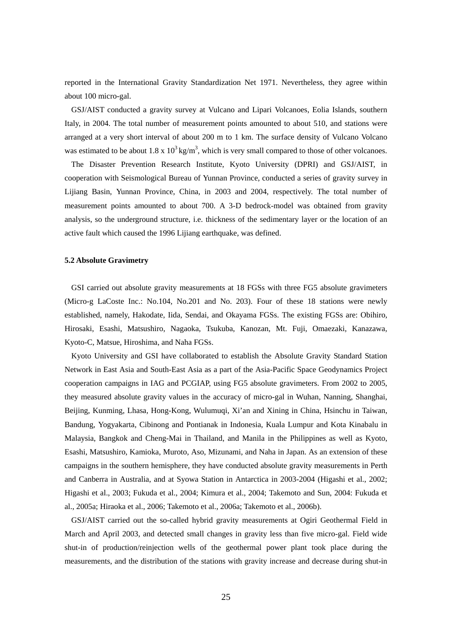reported in the International Gravity Standardization Net 1971. Nevertheless, they agree within about 100 micro-gal.

GSJ/AIST conducted a gravity survey at Vulcano and Lipari Volcanoes, Eolia Islands, southern Italy, in 2004. The total number of measurement points amounted to about 510, and stations were arranged at a very short interval of about 200 m to 1 km. The surface density of Vulcano Volcano was estimated to be about  $1.8 \times 10^3 \text{ kg/m}^3$ , which is very small compared to those of other volcanoes.

The Disaster Prevention Research Institute, Kyoto University (DPRI) and GSJ/AIST, in cooperation with Seismological Bureau of Yunnan Province, conducted a series of gravity survey in Lijiang Basin, Yunnan Province, China, in 2003 and 2004, respectively. The total number of measurement points amounted to about 700. A 3-D bedrock-model was obtained from gravity analysis, so the underground structure, i.e. thickness of the sedimentary layer or the location of an active fault which caused the 1996 Liijang earthquake, was defined.

#### **5.2 Absolute Gravimetry**

GSI carried out absolute gravity measurements at 18 FGSs with three FG5 absolute gravimeters (Micro-g LaCoste Inc.: No.104, No.201 and No. 203). Four of these 18 stations were newly established, namely, Hakodate, Iida, Sendai, and Okayama FGSs. The existing FGSs are: Obihiro, Hirosaki, Esashi, Matsushiro, Nagaoka, Tsukuba, Kanozan, Mt. Fuji, Omaezaki, Kanazawa, Kyoto-C, Matsue, Hiroshima, and Naha FGSs.

Kyoto University and GSI have collaborated to establish the Absolute Gravity Standard Station Network in East Asia and South-East Asia as a part of the Asia-Pacific Space Geodynamics Project cooperation campaigns in IAG and PCGIAP, using FG5 absolute gravimeters. From 2002 to 2005, they measured absolute gravity values in the accuracy of micro-gal in Wuhan, Nanning, Shanghai, Beijing, Kunming, Lhasa, Hong-Kong, Wulumuqi, Xi'an and Xining in China, Hsinchu in Taiwan, Bandung, Yogyakarta, Cibinong and Pontianak in Indonesia, Kuala Lumpur and Kota Kinabalu in Malaysia, Bangkok and Cheng-Mai in Thailand, and Manila in the Philippines as well as Kyoto, Esashi, Matsushiro, Kamioka, Muroto, Aso, Mizunami, and Naha in Japan. As an extension of these campaigns in the southern hemisphere, they have conducted absolute gravity measurements in Perth and Canberra in Australia, and at Syowa Station in Antarctica in 2003-2004 (Higashi et al., 2002; Higashi et al., 2003; Fukuda et al., 2004; Kimura et al., 2004; Takemoto and Sun, 2004: Fukuda et al., 2005a; Hiraoka et al., 2006; Takemoto et al., 2006a; Takemoto et al., 2006b).

GSJ/AIST carried out the so-called hybrid gravity measurements at Ogiri Geothermal Field in March and April 2003, and detected small changes in gravity less than five micro-gal. Field wide shut-in of production/reinjection wells of the geothermal power plant took place during the measurements, and the distribution of the stations with gravity increase and decrease during shut-in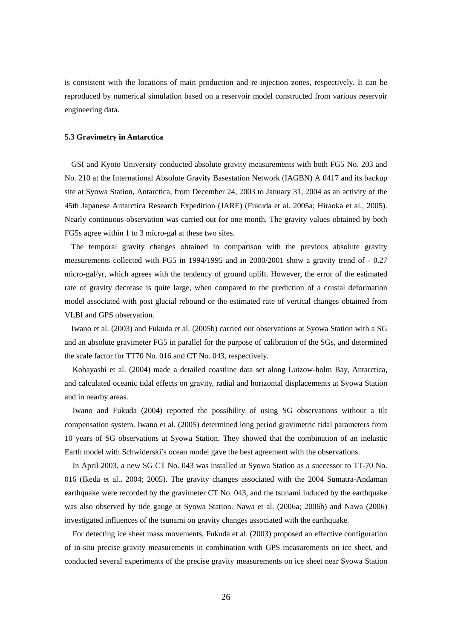is consistent with the locations of main production and re-injection zones, respectively. It can be reproduced by numerical simulation based on a reservoir model constructed from various reservoir engineering data.

#### **5.3 Gravimetry in Antarctica**

GSI and Kyoto University conducted absolute gravity measurements with both FG5 No. 203 and No. 210 at the International Absolute Gravity Basestation Network (IAGBN) A 0417 and its backup site at Syowa Station, Antarctica, from December 24, 2003 to January 31, 2004 as an activity of the 45th Japanese Antarctica Research Expedition (JARE) (Fukuda et al. 2005a; Hiraoka et al., 2005). Nearly continuous observation was carried out for one month. The gravity values obtained by both FG5s agree within 1 to 3 micro-gal at these two sites.

The temporal gravity changes obtained in comparison with the previous absolute gravity measurements collected with FG5 in 1994/1995 and in 2000/2001 show a gravity trend of - 0.27 micro-gal/yr, which agrees with the tendency of ground uplift. However, the error of the estimated rate of gravity decrease is quite large, when compared to the prediction of a crustal deformation model associated with post glacial rebound or the estimated rate of vertical changes obtained from VLBI and GPS observation.

Iwano et al. (2003) and Fukuda et al. (2005b) carried out observations at Syowa Station with a SG and an absolute gravimeter FG5 in parallel for the purpose of calibration of the SGs, and determined the scale factor for TT70 No. 016 and CT No. 043, respectively.

Kobayashi et al. (2004) made a detailed coastline data set along Lutzow-holm Bay, Antarctica, and calculated oceanic tidal effects on gravity, radial and horizontal displacements at Syowa Station and in nearby areas.

 Iwano and Fukuda (2004) reported the possibility of using SG observations without a tilt compensation system. Iwano et al. (2005) determined long period gravimetric tidal parameters from 10 years of SG observations at Syowa Station. They showed that the combination of an inelastic Earth model with Schwiderski's ocean model gave the best agreement with the observations.

In April 2003, a new SG CT No. 043 was installed at Syowa Station as a successor to TT-70 No. 016 (Ikeda et al., 2004; 2005). The gravity changes associated with the 2004 Sumatra-Andaman earthquake were recorded by the gravimeter CT No. 043, and the tsunami induced by the earthquake was also observed by tide gauge at Syowa Station. Nawa et al. (2006a; 2006b) and Nawa (2006) investigated influences of the tsunami on gravity changes associated with the earthquake.

 For detecting ice sheet mass movements, Fukuda et al. (2003) proposed an effective configuration of in-situ precise gravity measurements in combination with GPS measurements on ice sheet, and conducted several experiments of the precise gravity measurements on ice sheet near Syowa Station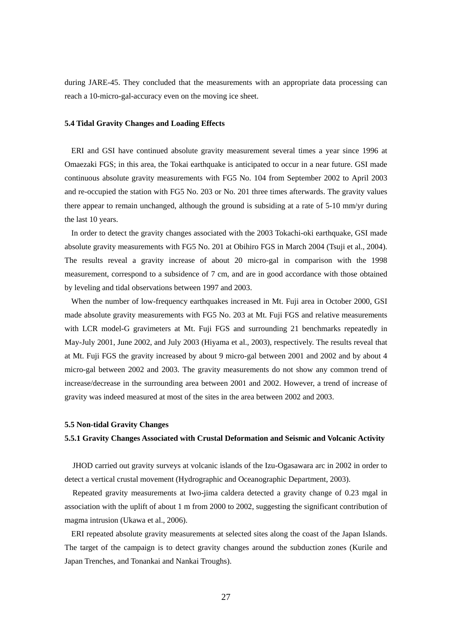during JARE-45. They concluded that the measurements with an appropriate data processing can reach a 10-micro-gal-accuracy even on the moving ice sheet.

#### **5.4 Tidal Gravity Changes and Loading Effects**

ERI and GSI have continued absolute gravity measurement several times a year since 1996 at Omaezaki FGS; in this area, the Tokai earthquake is anticipated to occur in a near future. GSI made continuous absolute gravity measurements with FG5 No. 104 from September 2002 to April 2003 and re-occupied the station with FG5 No. 203 or No. 201 three times afterwards. The gravity values there appear to remain unchanged, although the ground is subsiding at a rate of 5-10 mm/yr during the last 10 years.

In order to detect the gravity changes associated with the 2003 Tokachi-oki earthquake, GSI made absolute gravity measurements with FG5 No. 201 at Obihiro FGS in March 2004 (Tsuji et al., 2004). The results reveal a gravity increase of about 20 micro-gal in comparison with the 1998 measurement, correspond to a subsidence of 7 cm, and are in good accordance with those obtained by leveling and tidal observations between 1997 and 2003.

When the number of low-frequency earthquakes increased in Mt. Fuji area in October 2000, GSI made absolute gravity measurements with FG5 No. 203 at Mt. Fuji FGS and relative measurements with LCR model-G gravimeters at Mt. Fuji FGS and surrounding 21 benchmarks repeatedly in May-July 2001, June 2002, and July 2003 (Hiyama et al., 2003), respectively. The results reveal that at Mt. Fuji FGS the gravity increased by about 9 micro-gal between 2001 and 2002 and by about 4 micro-gal between 2002 and 2003. The gravity measurements do not show any common trend of increase/decrease in the surrounding area between 2001 and 2002. However, a trend of increase of gravity was indeed measured at most of the sites in the area between 2002 and 2003.

#### **5.5 Non-tidal Gravity Changes**

#### **5.5.1 Gravity Changes Associated with Crustal Deformation and Seismic and Volcanic Activity**

JHOD carried out gravity surveys at volcanic islands of the Izu-Ogasawara arc in 2002 in order to detect a vertical crustal movement (Hydrographic and Oceanographic Department, 2003).

Repeated gravity measurements at Iwo-jima caldera detected a gravity change of 0.23 mgal in association with the uplift of about 1 m from 2000 to 2002, suggesting the significant contribution of magma intrusion (Ukawa et al., 2006).

ERI repeated absolute gravity measurements at selected sites along the coast of the Japan Islands. The target of the campaign is to detect gravity changes around the subduction zones (Kurile and Japan Trenches, and Tonankai and Nankai Troughs).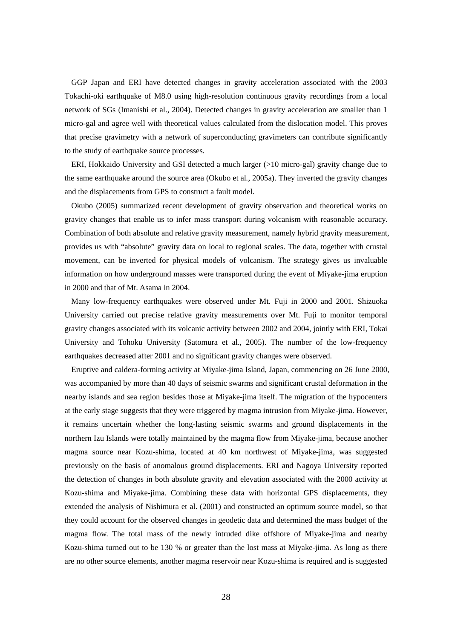GGP Japan and ERI have detected changes in gravity acceleration associated with the 2003 Tokachi-oki earthquake of M8.0 using high-resolution continuous gravity recordings from a local network of SGs (Imanishi et al., 2004). Detected changes in gravity acceleration are smaller than 1 micro-gal and agree well with theoretical values calculated from the dislocation model. This proves that precise gravimetry with a network of superconducting gravimeters can contribute significantly to the study of earthquake source processes.

ERI, Hokkaido University and GSI detected a much larger (>10 micro-gal) gravity change due to the same earthquake around the source area (Okubo et al*.*, 2005a). They inverted the gravity changes and the displacements from GPS to construct a fault model.

Okubo (2005) summarized recent development of gravity observation and theoretical works on gravity changes that enable us to infer mass transport during volcanism with reasonable accuracy. Combination of both absolute and relative gravity measurement, namely hybrid gravity measurement, provides us with "absolute" gravity data on local to regional scales. The data, together with crustal movement, can be inverted for physical models of volcanism. The strategy gives us invaluable information on how underground masses were transported during the event of Miyake-jima eruption in 2000 and that of Mt. Asama in 2004.

Many low-frequency earthquakes were observed under Mt. Fuji in 2000 and 2001. Shizuoka University carried out precise relative gravity measurements over Mt. Fuji to monitor temporal gravity changes associated with its volcanic activity between 2002 and 2004, jointly with ERI, Tokai University and Tohoku University (Satomura et al., 2005). The number of the low-frequency earthquakes decreased after 2001 and no significant gravity changes were observed.

Eruptive and caldera-forming activity at Miyake-jima Island, Japan, commencing on 26 June 2000, was accompanied by more than 40 days of seismic swarms and significant crustal deformation in the nearby islands and sea region besides those at Miyake-jima itself. The migration of the hypocenters at the early stage suggests that they were triggered by magma intrusion from Miyake-jima. However, it remains uncertain whether the long-lasting seismic swarms and ground displacements in the northern Izu Islands were totally maintained by the magma flow from Miyake-jima, because another magma source near Kozu-shima, located at 40 km northwest of Miyake-jima, was suggested previously on the basis of anomalous ground displacements. ERI and Nagoya University reported the detection of changes in both absolute gravity and elevation associated with the 2000 activity at Kozu-shima and Miyake-jima. Combining these data with horizontal GPS displacements, they extended the analysis of Nishimura et al. (2001) and constructed an optimum source model, so that they could account for the observed changes in geodetic data and determined the mass budget of the magma flow. The total mass of the newly intruded dike offshore of Miyake-jima and nearby Kozu-shima turned out to be 130 % or greater than the lost mass at Miyake-jima. As long as there are no other source elements, another magma reservoir near Kozu-shima is required and is suggested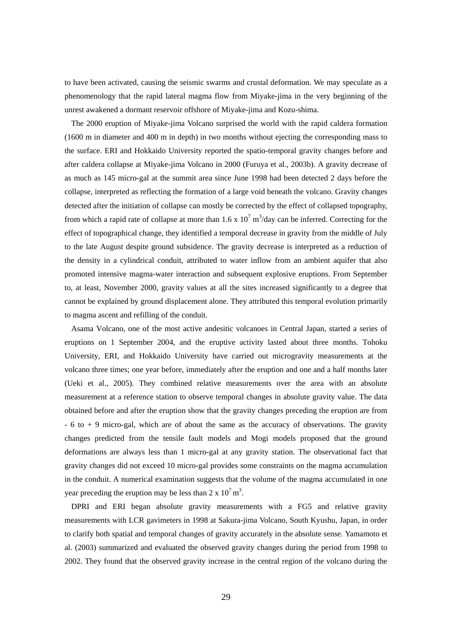to have been activated, causing the seismic swarms and crustal deformation. We may speculate as a phenomenology that the rapid lateral magma flow from Miyake-jima in the very beginning of the unrest awakened a dormant reservoir offshore of Miyake-jima and Kozu-shima.

The 2000 eruption of Miyake-jima Volcano surprised the world with the rapid caldera formation (1600 m in diameter and 400 m in depth) in two months without ejecting the corresponding mass to the surface. ERI and Hokkaido University reported the spatio-temporal gravity changes before and after caldera collapse at Miyake-jima Volcano in 2000 (Furuya et al., 2003b). A gravity decrease of as much as 145 micro-gal at the summit area since June 1998 had been detected 2 days before the collapse, interpreted as reflecting the formation of a large void beneath the volcano. Gravity changes detected after the initiation of collapse can mostly be corrected by the effect of collapsed topography, from which a rapid rate of collapse at more than  $1.6 \times 10^7 \text{ m}^3/\text{day}$  can be inferred. Correcting for the effect of topographical change, they identified a temporal decrease in gravity from the middle of July to the late August despite ground subsidence. The gravity decrease is interpreted as a reduction of the density in a cylindrical conduit, attributed to water inflow from an ambient aquifer that also promoted intensive magma-water interaction and subsequent explosive eruptions. From September to, at least, November 2000, gravity values at all the sites increased significantly to a degree that cannot be explained by ground displacement alone. They attributed this temporal evolution primarily to magma ascent and refilling of the conduit.

Asama Volcano, one of the most active andesitic volcanoes in Central Japan, started a series of eruptions on 1 September 2004, and the eruptive activity lasted about three months. Tohoku University, ERI, and Hokkaido University have carried out microgravity measurements at the volcano three times; one year before, immediately after the eruption and one and a half months later (Ueki et al., 2005). They combined relative measurements over the area with an absolute measurement at a reference station to observe temporal changes in absolute gravity value. The data obtained before and after the eruption show that the gravity changes preceding the eruption are from  $-6$  to  $+9$  micro-gal, which are of about the same as the accuracy of observations. The gravity changes predicted from the tensile fault models and Mogi models proposed that the ground deformations are always less than 1 micro-gal at any gravity station. The observational fact that gravity changes did not exceed 10 micro-gal provides some constraints on the magma accumulation in the conduit. A numerical examination suggests that the volume of the magma accumulated in one year preceding the eruption may be less than  $2 \times 10^7 \text{ m}^3$ .

DPRI and ERI began absolute gravity measurements with a FG5 and relative gravity measurements with LCR gavimeters in 1998 at Sakura-jima Volcano, South Kyushu, Japan, in order to clarify both spatial and temporal changes of gravity accurately in the absolute sense. Yamamoto et al. (2003) summarized and evaluated the observed gravity changes during the period from 1998 to 2002. They found that the observed gravity increase in the central region of the volcano during the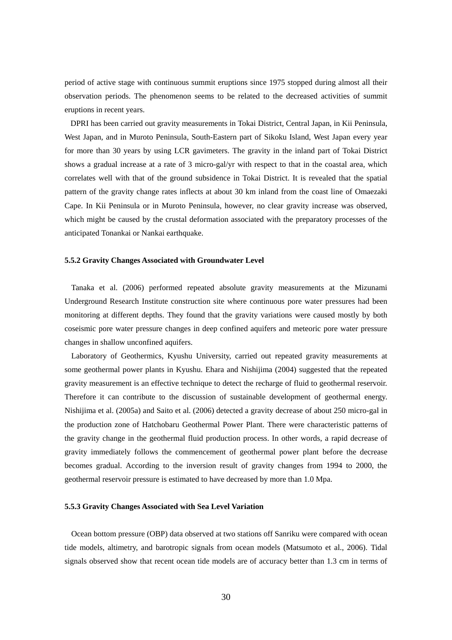period of active stage with continuous summit eruptions since 1975 stopped during almost all their observation periods. The phenomenon seems to be related to the decreased activities of summit eruptions in recent years.

DPRI has been carried out gravity measurements in Tokai District, Central Japan, in Kii Peninsula, West Japan, and in Muroto Peninsula, South-Eastern part of Sikoku Island, West Japan every year for more than 30 years by using LCR gavimeters. The gravity in the inland part of Tokai District shows a gradual increase at a rate of 3 micro-gal/yr with respect to that in the coastal area, which correlates well with that of the ground subsidence in Tokai District. It is revealed that the spatial pattern of the gravity change rates inflects at about 30 km inland from the coast line of Omaezaki Cape. In Kii Peninsula or in Muroto Peninsula, however, no clear gravity increase was observed, which might be caused by the crustal deformation associated with the preparatory processes of the anticipated Tonankai or Nankai earthquake.

#### **5.5.2 Gravity Changes Associated with Groundwater Level**

Tanaka et al. (2006) performed repeated absolute gravity measurements at the Mizunami Underground Research Institute construction site where continuous pore water pressures had been monitoring at different depths. They found that the gravity variations were caused mostly by both coseismic pore water pressure changes in deep confined aquifers and meteoric pore water pressure changes in shallow unconfined aquifers.

Laboratory of Geothermics, Kyushu University, carried out repeated gravity measurements at some geothermal power plants in Kyushu. Ehara and Nishijima (2004) suggested that the repeated gravity measurement is an effective technique to detect the recharge of fluid to geothermal reservoir. Therefore it can contribute to the discussion of sustainable development of geothermal energy. Nishijima et al. (2005a) and Saito et al. (2006) detected a gravity decrease of about 250 micro-gal in the production zone of Hatchobaru Geothermal Power Plant. There were characteristic patterns of the gravity change in the geothermal fluid production process. In other words, a rapid decrease of gravity immediately follows the commencement of geothermal power plant before the decrease becomes gradual. According to the inversion result of gravity changes from 1994 to 2000, the geothermal reservoir pressure is estimated to have decreased by more than 1.0 Mpa.

#### **5.5.3 Gravity Changes Associated with Sea Level Variation**

Ocean bottom pressure (OBP) data observed at two stations off Sanriku were compared with ocean tide models, altimetry, and barotropic signals from ocean models (Matsumoto et al., 2006). Tidal signals observed show that recent ocean tide models are of accuracy better than 1.3 cm in terms of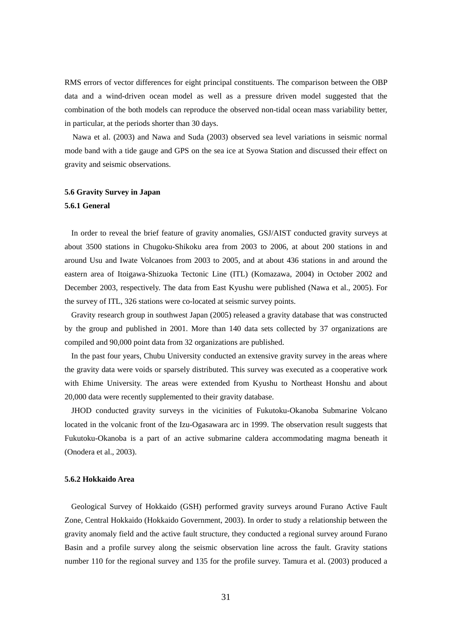RMS errors of vector differences for eight principal constituents. The comparison between the OBP data and a wind-driven ocean model as well as a pressure driven model suggested that the combination of the both models can reproduce the observed non-tidal ocean mass variability better, in particular, at the periods shorter than 30 days.

Nawa et al. (2003) and Nawa and Suda (2003) observed sea level variations in seismic normal mode band with a tide gauge and GPS on the sea ice at Syowa Station and discussed their effect on gravity and seismic observations.

#### **5.6 Gravity Survey in Japan**

#### **5.6.1 General**

In order to reveal the brief feature of gravity anomalies, GSJ/AIST conducted gravity surveys at about 3500 stations in Chugoku-Shikoku area from 2003 to 2006, at about 200 stations in and around Usu and Iwate Volcanoes from 2003 to 2005, and at about 436 stations in and around the eastern area of Itoigawa-Shizuoka Tectonic Line (ITL) (Komazawa, 2004) in October 2002 and December 2003, respectively. The data from East Kyushu were published (Nawa et al., 2005). For the survey of ITL, 326 stations were co-located at seismic survey points.

Gravity research group in southwest Japan (2005) released a gravity database that was constructed by the group and published in 2001. More than 140 data sets collected by 37 organizations are compiled and 90,000 point data from 32 organizations are published.

In the past four years, Chubu University conducted an extensive gravity survey in the areas where the gravity data were voids or sparsely distributed. This survey was executed as a cooperative work with Ehime University. The areas were extended from Kyushu to Northeast Honshu and about 20,000 data were recently supplemented to their gravity database.

JHOD conducted gravity surveys in the vicinities of Fukutoku-Okanoba Submarine Volcano located in the volcanic front of the Izu-Ogasawara arc in 1999. The observation result suggests that Fukutoku-Okanoba is a part of an active submarine caldera accommodating magma beneath it (Onodera et al., 2003).

#### **5.6.2 Hokkaido Area**

Geological Survey of Hokkaido (GSH) performed gravity surveys around Furano Active Fault Zone, Central Hokkaido (Hokkaido Government, 2003). In order to study a relationship between the gravity anomaly field and the active fault structure, they conducted a regional survey around Furano Basin and a profile survey along the seismic observation line across the fault. Gravity stations number 110 for the regional survey and 135 for the profile survey. Tamura et al. (2003) produced a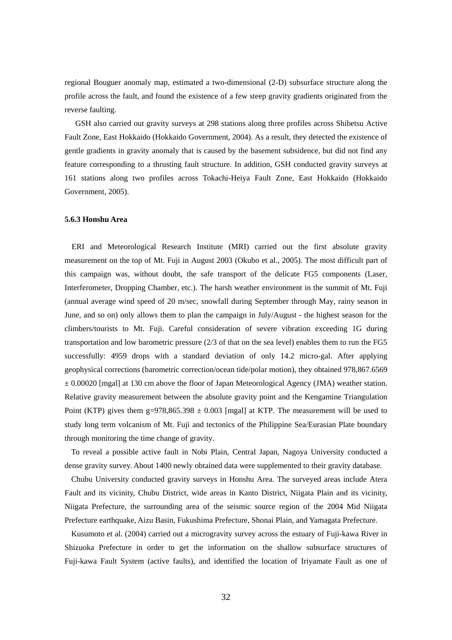regional Bouguer anomaly map, estimated a two-dimensional (2-D) subsurface structure along the profile across the fault, and found the existence of a few steep gravity gradients originated from the reverse faulting.

 GSH also carried out gravity surveys at 298 stations along three profiles across Shibetsu Active Fault Zone, East Hokkaido (Hokkaido Government, 2004). As a result, they detected the existence of gentle gradients in gravity anomaly that is caused by the basement subsidence, but did not find any feature corresponding to a thrusting fault structure. In addition, GSH conducted gravity surveys at 161 stations along two profiles across Tokachi-Heiya Fault Zone, East Hokkaido (Hokkaido Government, 2005).

#### **5.6.3 Honshu Area**

ERI and Meteorological Research Institute (MRI) carried out the first absolute gravity measurement on the top of Mt. Fuji in August 2003 (Okubo et al., 2005). The most difficult part of this campaign was, without doubt, the safe transport of the delicate FG5 components (Laser, Interferometer, Dropping Chamber, etc.). The harsh weather environment in the summit of Mt. Fuji (annual average wind speed of 20 m/sec, snowfall during September through May, rainy season in June, and so on) only allows them to plan the campaign in July/August - the highest season for the climbers/tourists to Mt. Fuji. Careful consideration of severe vibration exceeding 1G during transportation and low barometric pressure (2/3 of that on the sea level) enables them to run the FG5 successfully: 4959 drops with a standard deviation of only 14.2 micro-gal. After applying geophysical corrections (barometric correction/ocean tide/polar motion), they obtained 978,867.6569  $\pm$  0.00020 [mgal] at 130 cm above the floor of Japan Meteorological Agency (JMA) weather station. Relative gravity measurement between the absolute gravity point and the Kengamine Triangulation Point (KTP) gives them g=978,865.398  $\pm$  0.003 [mgal] at KTP. The measurement will be used to study long term volcanism of Mt. Fuji and tectonics of the Philippine Sea/Eurasian Plate boundary through monitoring the time change of gravity.

To reveal a possible active fault in Nobi Plain, Central Japan, Nagoya University conducted a dense gravity survey. About 1400 newly obtained data were supplemented to their gravity database.

Chubu University conducted gravity surveys in Honshu Area. The surveyed areas include Atera Fault and its vicinity, Chubu District, wide areas in Kanto District, Niigata Plain and its vicinity, Niigata Prefecture, the surrounding area of the seismic source region of the 2004 Mid Niigata Prefecture earthquake, Aizu Basin, Fukushima Prefecture, Shonai Plain, and Yamagata Prefecture.

Kusumoto et al. (2004) carried out a microgravity survey across the estuary of Fuji-kawa River in Shizuoka Prefecture in order to get the information on the shallow subsurface structures of Fuji-kawa Fault System (active faults), and identified the location of Iriyamate Fault as one of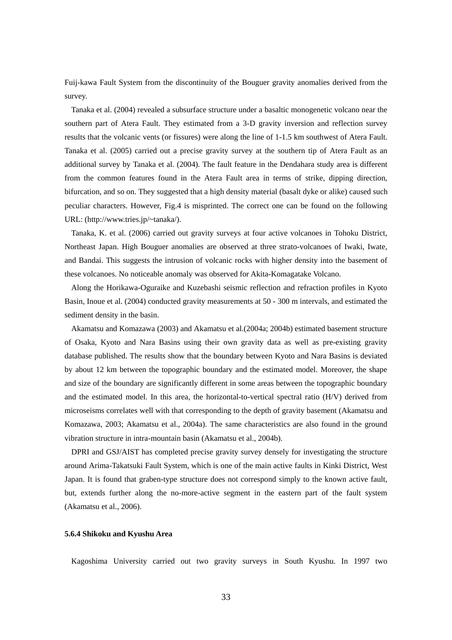Fuij-kawa Fault System from the discontinuity of the Bouguer gravity anomalies derived from the survey.

Tanaka et al. (2004) revealed a subsurface structure under a basaltic monogenetic volcano near the southern part of Atera Fault. They estimated from a 3-D gravity inversion and reflection survey results that the volcanic vents (or fissures) were along the line of 1-1.5 km southwest of Atera Fault. Tanaka et al. (2005) carried out a precise gravity survey at the southern tip of Atera Fault as an additional survey by Tanaka et al. (2004). The fault feature in the Dendahara study area is different from the common features found in the Atera Fault area in terms of strike, dipping direction, bifurcation, and so on. They suggested that a high density material (basalt dyke or alike) caused such peculiar characters. However, Fig.4 is misprinted. The correct one can be found on the following URL: (http://www.tries.jp/~tanaka/).

Tanaka, K. et al. (2006) carried out gravity surveys at four active volcanoes in Tohoku District, Northeast Japan. High Bouguer anomalies are observed at three strato-volcanoes of Iwaki, Iwate, and Bandai. This suggests the intrusion of volcanic rocks with higher density into the basement of these volcanoes. No noticeable anomaly was observed for Akita-Komagatake Volcano.

Along the Horikawa-Oguraike and Kuzebashi seismic reflection and refraction profiles in Kyoto Basin, Inoue et al. (2004) conducted gravity measurements at 50 - 300 m intervals, and estimated the sediment density in the basin.

Akamatsu and Komazawa (2003) and Akamatsu et al.(2004a; 2004b) estimated basement structure of Osaka, Kyoto and Nara Basins using their own gravity data as well as pre-existing gravity database published. The results show that the boundary between Kyoto and Nara Basins is deviated by about 12 km between the topographic boundary and the estimated model. Moreover, the shape and size of the boundary are significantly different in some areas between the topographic boundary and the estimated model. In this area, the horizontal-to-vertical spectral ratio (H/V) derived from microseisms correlates well with that corresponding to the depth of gravity basement (Akamatsu and Komazawa, 2003; Akamatsu et al., 2004a). The same characteristics are also found in the ground vibration structure in intra-mountain basin (Akamatsu et al., 2004b).

DPRI and GSJ/AIST has completed precise gravity survey densely for investigating the structure around Arima-Takatsuki Fault System, which is one of the main active faults in Kinki District, West Japan. It is found that graben-type structure does not correspond simply to the known active fault, but, extends further along the no-more-active segment in the eastern part of the fault system (Akamatsu et al., 2006).

#### **5.6.4 Shikoku and Kyushu Area**

Kagoshima University carried out two gravity surveys in South Kyushu. In 1997 two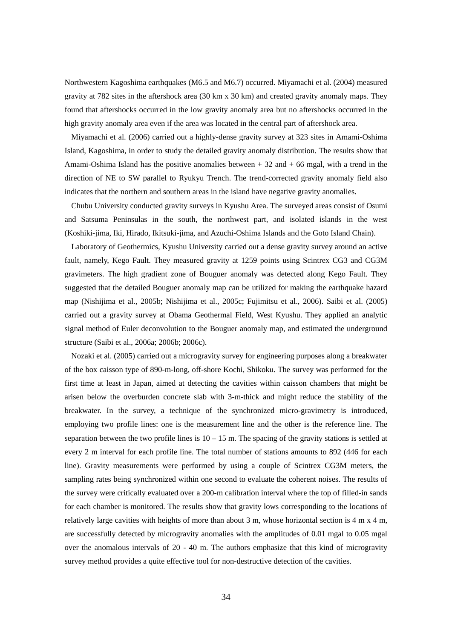Northwestern Kagoshima earthquakes (M6.5 and M6.7) occurred. Miyamachi et al. (2004) measured gravity at 782 sites in the aftershock area (30 km x 30 km) and created gravity anomaly maps. They found that aftershocks occurred in the low gravity anomaly area but no aftershocks occurred in the high gravity anomaly area even if the area was located in the central part of aftershock area.

Miyamachi et al. (2006) carried out a highly-dense gravity survey at 323 sites in Amami-Oshima Island, Kagoshima, in order to study the detailed gravity anomaly distribution. The results show that Amami-Oshima Island has the positive anomalies between  $+32$  and  $+66$  mgal, with a trend in the direction of NE to SW parallel to Ryukyu Trench. The trend-corrected gravity anomaly field also indicates that the northern and southern areas in the island have negative gravity anomalies.

Chubu University conducted gravity surveys in Kyushu Area. The surveyed areas consist of Osumi and Satsuma Peninsulas in the south, the northwest part, and isolated islands in the west (Koshiki-jima, Iki, Hirado, Ikitsuki-jima, and Azuchi-Oshima Islands and the Goto Island Chain).

Laboratory of Geothermics, Kyushu University carried out a dense gravity survey around an active fault, namely, Kego Fault. They measured gravity at 1259 points using Scintrex CG3 and CG3M gravimeters. The high gradient zone of Bouguer anomaly was detected along Kego Fault. They suggested that the detailed Bouguer anomaly map can be utilized for making the earthquake hazard map (Nishijima et al., 2005b; Nishijima et al., 2005c; Fujimitsu et al., 2006). Saibi et al. (2005) carried out a gravity survey at Obama Geothermal Field, West Kyushu. They applied an analytic signal method of Euler deconvolution to the Bouguer anomaly map, and estimated the underground structure (Saibi et al., 2006a; 2006b; 2006c).

Nozaki et al. (2005) carried out a microgravity survey for engineering purposes along a breakwater of the box caisson type of 890-m-long, off-shore Kochi, Shikoku. The survey was performed for the first time at least in Japan, aimed at detecting the cavities within caisson chambers that might be arisen below the overburden concrete slab with 3-m-thick and might reduce the stability of the breakwater. In the survey, a technique of the synchronized micro-gravimetry is introduced, employing two profile lines: one is the measurement line and the other is the reference line. The separation between the two profile lines is  $10 - 15$  m. The spacing of the gravity stations is settled at every 2 m interval for each profile line. The total number of stations amounts to 892 (446 for each line). Gravity measurements were performed by using a couple of Scintrex CG3M meters, the sampling rates being synchronized within one second to evaluate the coherent noises. The results of the survey were critically evaluated over a 200-m calibration interval where the top of filled-in sands for each chamber is monitored. The results show that gravity lows corresponding to the locations of relatively large cavities with heights of more than about 3 m, whose horizontal section is 4 m x 4 m, are successfully detected by microgravity anomalies with the amplitudes of 0.01 mgal to 0.05 mgal over the anomalous intervals of 20 - 40 m. The authors emphasize that this kind of microgravity survey method provides a quite effective tool for non-destructive detection of the cavities.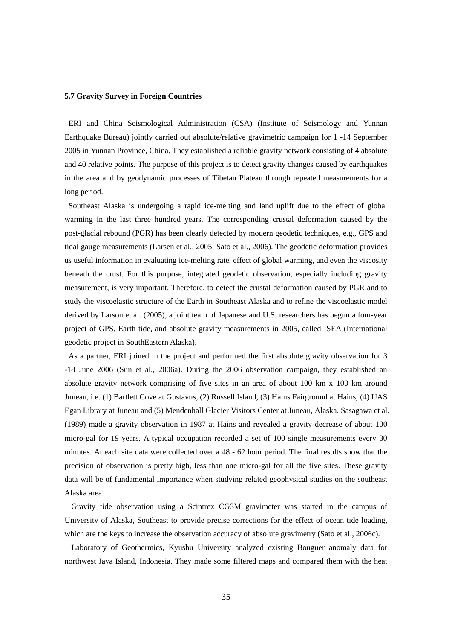#### **5.7 Gravity Survey in Foreign Countries**

ERI and China Seismological Administration (CSA) (Institute of Seismology and Yunnan Earthquake Bureau) jointly carried out absolute/relative gravimetric campaign for 1 -14 September 2005 in Yunnan Province, China. They established a reliable gravity network consisting of 4 absolute and 40 relative points. The purpose of this project is to detect gravity changes caused by earthquakes in the area and by geodynamic processes of Tibetan Plateau through repeated measurements for a long period.

Southeast Alaska is undergoing a rapid ice-melting and land uplift due to the effect of global warming in the last three hundred years. The corresponding crustal deformation caused by the post-glacial rebound (PGR) has been clearly detected by modern geodetic techniques, e.g., GPS and tidal gauge measurements (Larsen et al., 2005; Sato et al., 2006). The geodetic deformation provides us useful information in evaluating ice-melting rate, effect of global warming, and even the viscosity beneath the crust. For this purpose, integrated geodetic observation, especially including gravity measurement, is very important. Therefore, to detect the crustal deformation caused by PGR and to study the viscoelastic structure of the Earth in Southeast Alaska and to refine the viscoelastic model derived by Larson et al. (2005), a joint team of Japanese and U.S. researchers has begun a four-year project of GPS, Earth tide, and absolute gravity measurements in 2005, called ISEA (International geodetic project in SouthEastern Alaska).

As a partner, ERI joined in the project and performed the first absolute gravity observation for 3 -18 June 2006 (Sun et al., 2006a). During the 2006 observation campaign, they established an absolute gravity network comprising of five sites in an area of about 100 km x 100 km around Juneau, i.e. (1) Bartlett Cove at Gustavus, (2) Russell Island, (3) Hains Fairground at Hains, (4) UAS Egan Library at Juneau and (5) Mendenhall Glacier Visitors Center at Juneau, Alaska. Sasagawa et al. (1989) made a gravity observation in 1987 at Hains and revealed a gravity decrease of about 100 micro-gal for 19 years. A typical occupation recorded a set of 100 single measurements every 30 minutes. At each site data were collected over a 48 - 62 hour period. The final results show that the precision of observation is pretty high, less than one micro-gal for all the five sites. These gravity data will be of fundamental importance when studying related geophysical studies on the southeast Alaska area.

Gravity tide observation using a Scintrex CG3M gravimeter was started in the campus of University of Alaska, Southeast to provide precise corrections for the effect of ocean tide loading, which are the keys to increase the observation accuracy of absolute gravimetry (Sato et al., 2006c).

Laboratory of Geothermics, Kyushu University analyzed existing Bouguer anomaly data for northwest Java Island, Indonesia. They made some filtered maps and compared them with the heat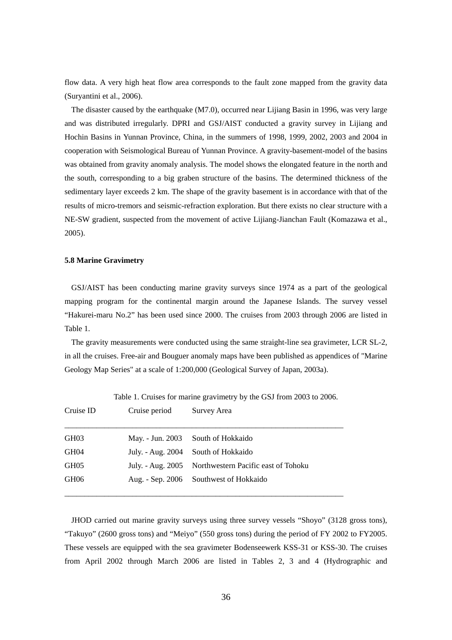flow data. A very high heat flow area corresponds to the fault zone mapped from the gravity data (Suryantini et al., 2006).

The disaster caused by the earthquake (M7.0), occurred near Lijiang Basin in 1996, was very large and was distributed irregularly. DPRI and GSJ/AIST conducted a gravity survey in Lijiang and Hochin Basins in Yunnan Province, China, in the summers of 1998, 1999, 2002, 2003 and 2004 in cooperation with Seismological Bureau of Yunnan Province. A gravity-basement-model of the basins was obtained from gravity anomaly analysis. The model shows the elongated feature in the north and the south, corresponding to a big graben structure of the basins. The determined thickness of the sedimentary layer exceeds 2 km. The shape of the gravity basement is in accordance with that of the results of micro-tremors and seismic-refraction exploration. But there exists no clear structure with a NE-SW gradient, suspected from the movement of active Lijiang-Jianchan Fault (Komazawa et al., 2005).

## **5.8 Marine Gravimetry**

GSJ/AIST has been conducting marine gravity surveys since 1974 as a part of the geological mapping program for the continental margin around the Japanese Islands. The survey vessel "Hakurei-maru No.2" has been used since 2000. The cruises from 2003 through 2006 are listed in Table 1.

The gravity measurements were conducted using the same straight-line sea gravimeter, LCR SL-2, in all the cruises. Free-air and Bouguer anomaly maps have been published as appendices of "Marine Geology Map Series" at a scale of 1:200,000 (Geological Survey of Japan, 2003a).

| Cruise ID        | Cruise period     | Survey Area                         |
|------------------|-------------------|-------------------------------------|
| GH03             | May. - Jun. 2003  | South of Hokkaido                   |
| GH04             | July. - Aug. 2004 | South of Hokkaido                   |
| GH <sub>05</sub> | July. - Aug. 2005 | Northwestern Pacific east of Tohoku |
| GH <sub>06</sub> | Aug. - Sep. 2006  | Southwest of Hokkaido               |

Table 1. Cruises for marine gravimetry by the GSJ from 2003 to 2006.

JHOD carried out marine gravity surveys using three survey vessels "Shoyo" (3128 gross tons), "Takuyo" (2600 gross tons) and "Meiyo" (550 gross tons) during the period of FY 2002 to FY2005. These vessels are equipped with the sea gravimeter Bodenseewerk KSS-31 or KSS-30. The cruises from April 2002 through March 2006 are listed in Tables 2, 3 and 4 (Hydrographic and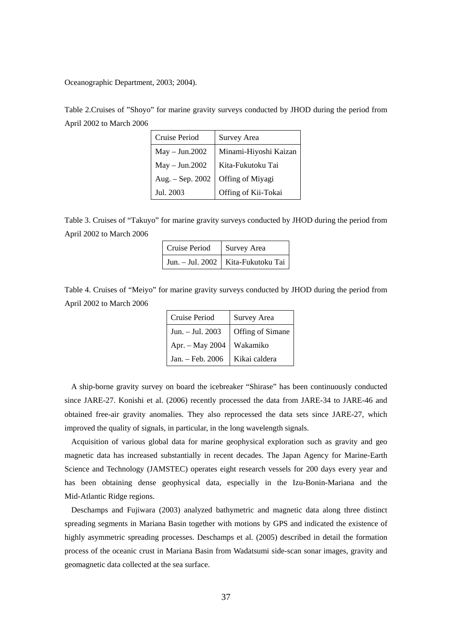Oceanographic Department, 2003; 2004).

Table 2.Cruises of "Shoyo" for marine gravity surveys conducted by JHOD during the period from April 2002 to March 2006

| Cruise Period    | <b>Survey Area</b>    |
|------------------|-----------------------|
| $May - Jun.2002$ | Minami-Hiyoshi Kaizan |
| May - Jun.2002   | Kita-Fukutoku Tai     |
| Aug. - Sep. 2002 | Offing of Miyagi      |
| Jul. 2003        | Offing of Kii-Tokai   |

Table 3. Cruises of "Takuyo" for marine gravity surveys conducted by JHOD during the period from April 2002 to March 2006

| Cruise Period   Survey Area |                                      |
|-----------------------------|--------------------------------------|
|                             | Jun. - Jul. 2002   Kita-Fukutoku Tai |

Table 4. Cruises of "Meiyo" for marine gravity surveys conducted by JHOD during the period from April 2002 to March 2006

| Cruise Period    | <b>Survey Area</b> |
|------------------|--------------------|
| Jun. - Jul. 2003 | Offing of Simane   |
| Apr. - May 2004  | Wakamiko           |
| Jan. - Feb. 2006 | Kikai caldera      |

A ship-borne gravity survey on board the icebreaker "Shirase" has been continuously conducted since JARE-27. Konishi et al. (2006) recently processed the data from JARE-34 to JARE-46 and obtained free-air gravity anomalies. They also reprocessed the data sets since JARE-27, which improved the quality of signals, in particular, in the long wavelength signals.

Acquisition of various global data for marine geophysical exploration such as gravity and geo magnetic data has increased substantially in recent decades. The Japan Agency for Marine-Earth Science and Technology (JAMSTEC) operates eight research vessels for 200 days every year and has been obtaining dense geophysical data, especially in the Izu-Bonin-Mariana and the Mid-Atlantic Ridge regions.

Deschamps and Fujiwara (2003) analyzed bathymetric and magnetic data along three distinct spreading segments in Mariana Basin together with motions by GPS and indicated the existence of highly asymmetric spreading processes. Deschamps et al. (2005) described in detail the formation process of the oceanic crust in Mariana Basin from Wadatsumi side-scan sonar images, gravity and geomagnetic data collected at the sea surface.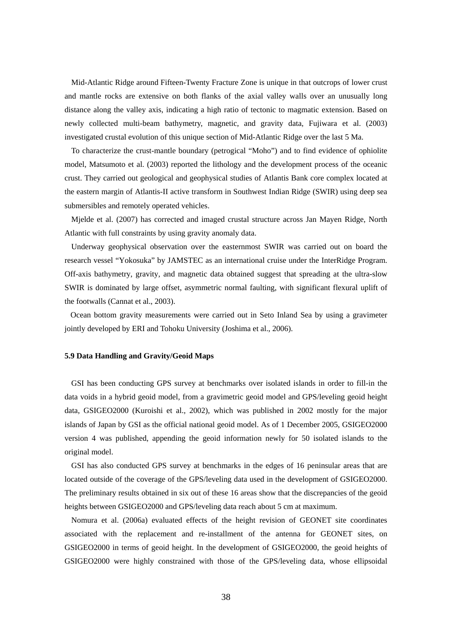Mid-Atlantic Ridge around Fifteen-Twenty Fracture Zone is unique in that outcrops of lower crust and mantle rocks are extensive on both flanks of the axial valley walls over an unusually long distance along the valley axis, indicating a high ratio of tectonic to magmatic extension. Based on newly collected multi-beam bathymetry, magnetic, and gravity data, Fujiwara et al. (2003) investigated crustal evolution of this unique section of Mid-Atlantic Ridge over the last 5 Ma.

To characterize the crust-mantle boundary (petrogical "Moho") and to find evidence of ophiolite model, Matsumoto et al. (2003) reported the lithology and the development process of the oceanic crust. They carried out geological and geophysical studies of Atlantis Bank core complex located at the eastern margin of Atlantis-II active transform in Southwest Indian Ridge (SWIR) using deep sea submersibles and remotely operated vehicles.

Mjelde et al. (2007) has corrected and imaged crustal structure across Jan Mayen Ridge, North Atlantic with full constraints by using gravity anomaly data.

Underway geophysical observation over the easternmost SWIR was carried out on board the research vessel "Yokosuka" by JAMSTEC as an international cruise under the InterRidge Program. Off-axis bathymetry, gravity, and magnetic data obtained suggest that spreading at the ultra-slow SWIR is dominated by large offset, asymmetric normal faulting, with significant flexural uplift of the footwalls (Cannat et al., 2003).

Ocean bottom gravity measurements were carried out in Seto Inland Sea by using a gravimeter jointly developed by ERI and Tohoku University (Joshima et al., 2006).

#### **5.9 Data Handling and Gravity/Geoid Maps**

GSI has been conducting GPS survey at benchmarks over isolated islands in order to fill-in the data voids in a hybrid geoid model, from a gravimetric geoid model and GPS/leveling geoid height data, GSIGEO2000 (Kuroishi et al., 2002), which was published in 2002 mostly for the major islands of Japan by GSI as the official national geoid model. As of 1 December 2005, GSIGEO2000 version 4 was published, appending the geoid information newly for 50 isolated islands to the original model.

GSI has also conducted GPS survey at benchmarks in the edges of 16 peninsular areas that are located outside of the coverage of the GPS/leveling data used in the development of GSIGEO2000. The preliminary results obtained in six out of these 16 areas show that the discrepancies of the geoid heights between GSIGEO2000 and GPS/leveling data reach about 5 cm at maximum.

Nomura et al. (2006a) evaluated effects of the height revision of GEONET site coordinates associated with the replacement and re-installment of the antenna for GEONET sites, on GSIGEO2000 in terms of geoid height. In the development of GSIGEO2000, the geoid heights of GSIGEO2000 were highly constrained with those of the GPS/leveling data, whose ellipsoidal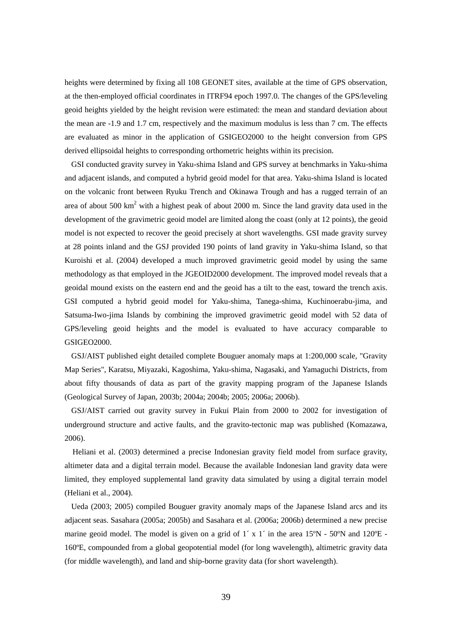heights were determined by fixing all 108 GEONET sites, available at the time of GPS observation, at the then-employed official coordinates in ITRF94 epoch 1997.0. The changes of the GPS/leveling geoid heights yielded by the height revision were estimated: the mean and standard deviation about the mean are -1.9 and 1.7 cm, respectively and the maximum modulus is less than 7 cm. The effects are evaluated as minor in the application of GSIGEO2000 to the height conversion from GPS derived ellipsoidal heights to corresponding orthometric heights within its precision.

GSI conducted gravity survey in Yaku-shima Island and GPS survey at benchmarks in Yaku-shima and adjacent islands, and computed a hybrid geoid model for that area. Yaku-shima Island is located on the volcanic front between Ryuku Trench and Okinawa Trough and has a rugged terrain of an area of about 500  $\text{km}^2$  with a highest peak of about 2000 m. Since the land gravity data used in the development of the gravimetric geoid model are limited along the coast (only at 12 points), the geoid model is not expected to recover the geoid precisely at short wavelengths. GSI made gravity survey at 28 points inland and the GSJ provided 190 points of land gravity in Yaku-shima Island, so that Kuroishi et al. (2004) developed a much improved gravimetric geoid model by using the same methodology as that employed in the JGEOID2000 development. The improved model reveals that a geoidal mound exists on the eastern end and the geoid has a tilt to the east, toward the trench axis. GSI computed a hybrid geoid model for Yaku-shima, Tanega-shima, Kuchinoerabu-jima, and Satsuma-Iwo-jima Islands by combining the improved gravimetric geoid model with 52 data of GPS/leveling geoid heights and the model is evaluated to have accuracy comparable to GSIGEO2000.

GSJ/AIST published eight detailed complete Bouguer anomaly maps at 1:200,000 scale, "Gravity Map Series", Karatsu, Miyazaki, Kagoshima, Yaku-shima, Nagasaki, and Yamaguchi Districts, from about fifty thousands of data as part of the gravity mapping program of the Japanese Islands (Geological Survey of Japan, 2003b; 2004a; 2004b; 2005; 2006a; 2006b).

GSJ/AIST carried out gravity survey in Fukui Plain from 2000 to 2002 for investigation of underground structure and active faults, and the gravito-tectonic map was published (Komazawa, 2006).

Heliani et al. (2003) determined a precise Indonesian gravity field model from surface gravity, altimeter data and a digital terrain model. Because the available Indonesian land gravity data were limited, they employed supplemental land gravity data simulated by using a digital terrain model (Heliani et al., 2004).

Ueda (2003; 2005) compiled Bouguer gravity anomaly maps of the Japanese Island arcs and its adjacent seas. Sasahara (2005a; 2005b) and Sasahara et al. (2006a; 2006b) determined a new precise marine geoid model. The model is given on a grid of  $1' \times 1'$  in the area  $15^{\circ}N$  -  $50^{\circ}N$  and  $120^{\circ}E$  -160ºE, compounded from a global geopotential model (for long wavelength), altimetric gravity data (for middle wavelength), and land and ship-borne gravity data (for short wavelength).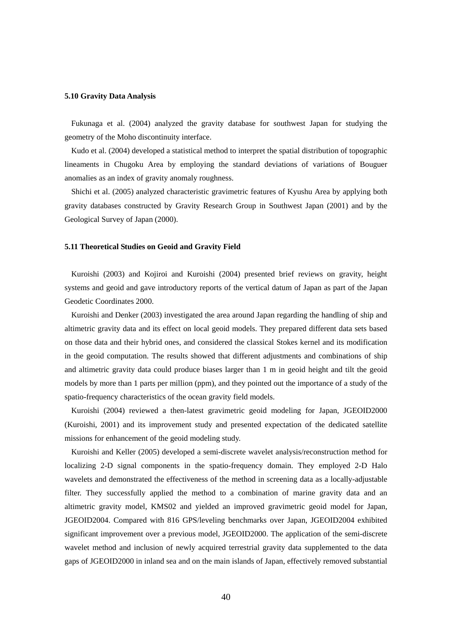#### **5.10 Gravity Data Analysis**

Fukunaga et al. (2004) analyzed the gravity database for southwest Japan for studying the geometry of the Moho discontinuity interface.

Kudo et al. (2004) developed a statistical method to interpret the spatial distribution of topographic lineaments in Chugoku Area by employing the standard deviations of variations of Bouguer anomalies as an index of gravity anomaly roughness.

Shichi et al. (2005) analyzed characteristic gravimetric features of Kyushu Area by applying both gravity databases constructed by Gravity Research Group in Southwest Japan (2001) and by the Geological Survey of Japan (2000).

## **5.11 Theoretical Studies on Geoid and Gravity Field**

Kuroishi (2003) and Kojiroi and Kuroishi (2004) presented brief reviews on gravity, height systems and geoid and gave introductory reports of the vertical datum of Japan as part of the Japan Geodetic Coordinates 2000.

Kuroishi and Denker (2003) investigated the area around Japan regarding the handling of ship and altimetric gravity data and its effect on local geoid models. They prepared different data sets based on those data and their hybrid ones, and considered the classical Stokes kernel and its modification in the geoid computation. The results showed that different adjustments and combinations of ship and altimetric gravity data could produce biases larger than 1 m in geoid height and tilt the geoid models by more than 1 parts per million (ppm), and they pointed out the importance of a study of the spatio-frequency characteristics of the ocean gravity field models.

Kuroishi (2004) reviewed a then-latest gravimetric geoid modeling for Japan, JGEOID2000 (Kuroishi, 2001) and its improvement study and presented expectation of the dedicated satellite missions for enhancement of the geoid modeling study.

Kuroishi and Keller (2005) developed a semi-discrete wavelet analysis/reconstruction method for localizing 2-D signal components in the spatio-frequency domain. They employed 2-D Halo wavelets and demonstrated the effectiveness of the method in screening data as a locally-adjustable filter. They successfully applied the method to a combination of marine gravity data and an altimetric gravity model, KMS02 and yielded an improved gravimetric geoid model for Japan, JGEOID2004. Compared with 816 GPS/leveling benchmarks over Japan, JGEOID2004 exhibited significant improvement over a previous model, JGEOID2000. The application of the semi-discrete wavelet method and inclusion of newly acquired terrestrial gravity data supplemented to the data gaps of JGEOID2000 in inland sea and on the main islands of Japan, effectively removed substantial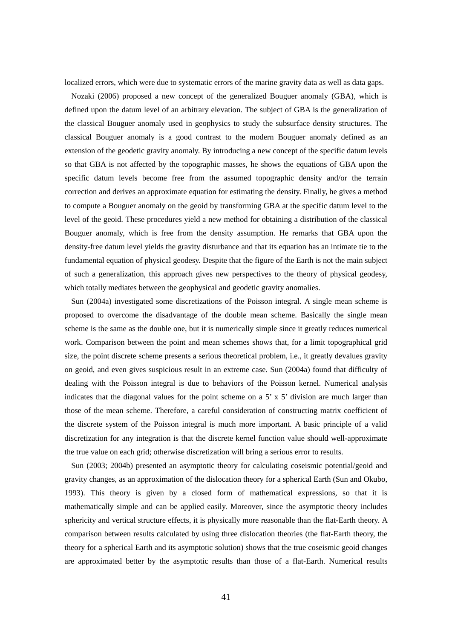localized errors, which were due to systematic errors of the marine gravity data as well as data gaps.

Nozaki (2006) proposed a new concept of the generalized Bouguer anomaly (GBA), which is defined upon the datum level of an arbitrary elevation. The subject of GBA is the generalization of the classical Bouguer anomaly used in geophysics to study the subsurface density structures. The classical Bouguer anomaly is a good contrast to the modern Bouguer anomaly defined as an extension of the geodetic gravity anomaly. By introducing a new concept of the specific datum levels so that GBA is not affected by the topographic masses, he shows the equations of GBA upon the specific datum levels become free from the assumed topographic density and/or the terrain correction and derives an approximate equation for estimating the density. Finally, he gives a method to compute a Bouguer anomaly on the geoid by transforming GBA at the specific datum level to the level of the geoid. These procedures yield a new method for obtaining a distribution of the classical Bouguer anomaly, which is free from the density assumption. He remarks that GBA upon the density-free datum level yields the gravity disturbance and that its equation has an intimate tie to the fundamental equation of physical geodesy. Despite that the figure of the Earth is not the main subject of such a generalization, this approach gives new perspectives to the theory of physical geodesy, which totally mediates between the geophysical and geodetic gravity anomalies.

Sun (2004a) investigated some discretizations of the Poisson integral. A single mean scheme is proposed to overcome the disadvantage of the double mean scheme. Basically the single mean scheme is the same as the double one, but it is numerically simple since it greatly reduces numerical work. Comparison between the point and mean schemes shows that, for a limit topographical grid size, the point discrete scheme presents a serious theoretical problem, i.e., it greatly devalues gravity on geoid, and even gives suspicious result in an extreme case. Sun (2004a) found that difficulty of dealing with the Poisson integral is due to behaviors of the Poisson kernel. Numerical analysis indicates that the diagonal values for the point scheme on a  $5' \times 5'$  division are much larger than those of the mean scheme. Therefore, a careful consideration of constructing matrix coefficient of the discrete system of the Poisson integral is much more important. A basic principle of a valid discretization for any integration is that the discrete kernel function value should well-approximate the true value on each grid; otherwise discretization will bring a serious error to results.

Sun (2003; 2004b) presented an asymptotic theory for calculating coseismic potential/geoid and gravity changes, as an approximation of the dislocation theory for a spherical Earth (Sun and Okubo, 1993). This theory is given by a closed form of mathematical expressions, so that it is mathematically simple and can be applied easily. Moreover, since the asymptotic theory includes sphericity and vertical structure effects, it is physically more reasonable than the flat-Earth theory. A comparison between results calculated by using three dislocation theories (the flat-Earth theory, the theory for a spherical Earth and its asymptotic solution) shows that the true coseismic geoid changes are approximated better by the asymptotic results than those of a flat-Earth. Numerical results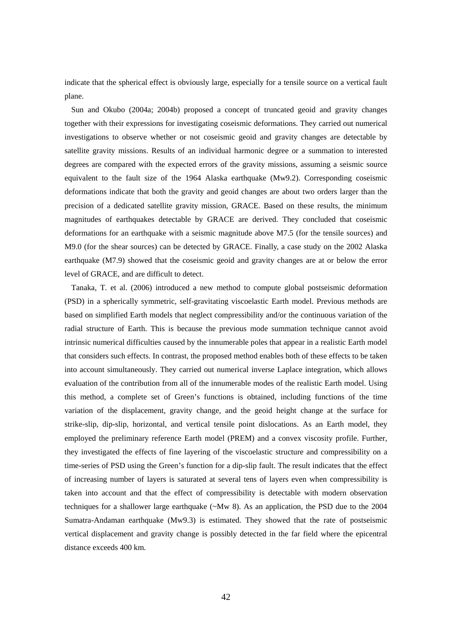indicate that the spherical effect is obviously large, especially for a tensile source on a vertical fault plane.

Sun and Okubo (2004a; 2004b) proposed a concept of truncated geoid and gravity changes together with their expressions for investigating coseismic deformations. They carried out numerical investigations to observe whether or not coseismic geoid and gravity changes are detectable by satellite gravity missions. Results of an individual harmonic degree or a summation to interested degrees are compared with the expected errors of the gravity missions, assuming a seismic source equivalent to the fault size of the 1964 Alaska earthquake (Mw9.2). Corresponding coseismic deformations indicate that both the gravity and geoid changes are about two orders larger than the precision of a dedicated satellite gravity mission, GRACE. Based on these results, the minimum magnitudes of earthquakes detectable by GRACE are derived. They concluded that coseismic deformations for an earthquake with a seismic magnitude above M7.5 (for the tensile sources) and M9.0 (for the shear sources) can be detected by GRACE. Finally, a case study on the 2002 Alaska earthquake (M7.9) showed that the coseismic geoid and gravity changes are at or below the error level of GRACE, and are difficult to detect.

Tanaka, T. et al. (2006) introduced a new method to compute global postseismic deformation (PSD) in a spherically symmetric, self-gravitating viscoelastic Earth model. Previous methods are based on simplified Earth models that neglect compressibility and/or the continuous variation of the radial structure of Earth. This is because the previous mode summation technique cannot avoid intrinsic numerical difficulties caused by the innumerable poles that appear in a realistic Earth model that considers such effects. In contrast, the proposed method enables both of these effects to be taken into account simultaneously. They carried out numerical inverse Laplace integration, which allows evaluation of the contribution from all of the innumerable modes of the realistic Earth model. Using this method, a complete set of Green's functions is obtained, including functions of the time variation of the displacement, gravity change, and the geoid height change at the surface for strike-slip, dip-slip, horizontal, and vertical tensile point dislocations. As an Earth model, they employed the preliminary reference Earth model (PREM) and a convex viscosity profile. Further, they investigated the effects of fine layering of the viscoelastic structure and compressibility on a time-series of PSD using the Green's function for a dip-slip fault. The result indicates that the effect of increasing number of layers is saturated at several tens of layers even when compressibility is taken into account and that the effect of compressibility is detectable with modern observation techniques for a shallower large earthquake ( $\sim Mw$  8). As an application, the PSD due to the 2004 Sumatra-Andaman earthquake (Mw9.3) is estimated. They showed that the rate of postseismic vertical displacement and gravity change is possibly detected in the far field where the epicentral distance exceeds 400 km.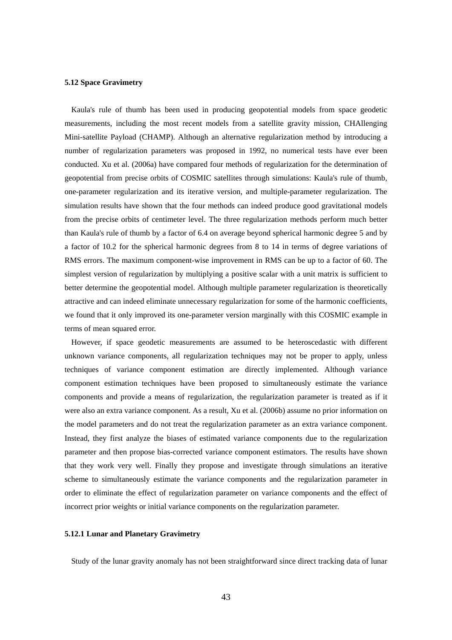## **5.12 Space Gravimetry**

Kaula's rule of thumb has been used in producing geopotential models from space geodetic measurements, including the most recent models from a satellite gravity mission, CHAllenging Mini-satellite Payload (CHAMP). Although an alternative regularization method by introducing a number of regularization parameters was proposed in 1992, no numerical tests have ever been conducted. Xu et al. (2006a) have compared four methods of regularization for the determination of geopotential from precise orbits of COSMIC satellites through simulations: Kaula's rule of thumb, one-parameter regularization and its iterative version, and multiple-parameter regularization. The simulation results have shown that the four methods can indeed produce good gravitational models from the precise orbits of centimeter level. The three regularization methods perform much better than Kaula's rule of thumb by a factor of 6.4 on average beyond spherical harmonic degree 5 and by a factor of 10.2 for the spherical harmonic degrees from 8 to 14 in terms of degree variations of RMS errors. The maximum component-wise improvement in RMS can be up to a factor of 60. The simplest version of regularization by multiplying a positive scalar with a unit matrix is sufficient to better determine the geopotential model. Although multiple parameter regularization is theoretically attractive and can indeed eliminate unnecessary regularization for some of the harmonic coefficients, we found that it only improved its one-parameter version marginally with this COSMIC example in terms of mean squared error.

However, if space geodetic measurements are assumed to be heteroscedastic with different unknown variance components, all regularization techniques may not be proper to apply, unless techniques of variance component estimation are directly implemented. Although variance component estimation techniques have been proposed to simultaneously estimate the variance components and provide a means of regularization, the regularization parameter is treated as if it were also an extra variance component. As a result, Xu et al. (2006b) assume no prior information on the model parameters and do not treat the regularization parameter as an extra variance component. Instead, they first analyze the biases of estimated variance components due to the regularization parameter and then propose bias-corrected variance component estimators. The results have shown that they work very well. Finally they propose and investigate through simulations an iterative scheme to simultaneously estimate the variance components and the regularization parameter in order to eliminate the effect of regularization parameter on variance components and the effect of incorrect prior weights or initial variance components on the regularization parameter.

#### **5.12.1 Lunar and Planetary Gravimetry**

Study of the lunar gravity anomaly has not been straightforward since direct tracking data of lunar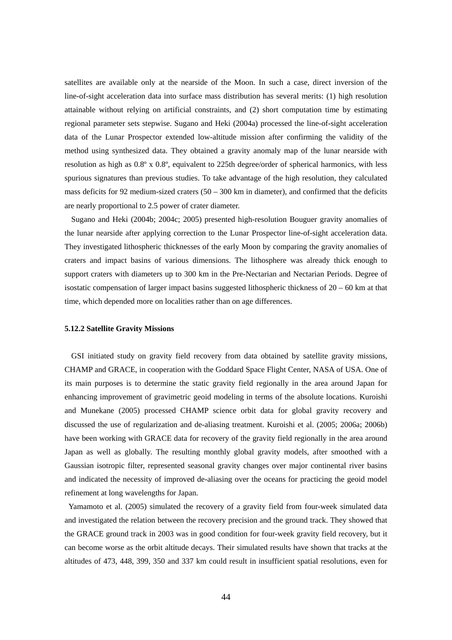satellites are available only at the nearside of the Moon. In such a case, direct inversion of the line-of-sight acceleration data into surface mass distribution has several merits: (1) high resolution attainable without relying on artificial constraints, and (2) short computation time by estimating regional parameter sets stepwise. Sugano and Heki (2004a) processed the line-of-sight acceleration data of the Lunar Prospector extended low-altitude mission after confirming the validity of the method using synthesized data. They obtained a gravity anomaly map of the lunar nearside with resolution as high as  $0.8^{\circ}$  x  $0.8^{\circ}$ , equivalent to 225th degree/order of spherical harmonics, with less spurious signatures than previous studies. To take advantage of the high resolution, they calculated mass deficits for 92 medium-sized craters  $(50 - 300 \text{ km})$  in diameter), and confirmed that the deficits are nearly proportional to 2.5 power of crater diameter.

Sugano and Heki (2004b; 2004c; 2005) presented high-resolution Bouguer gravity anomalies of the lunar nearside after applying correction to the Lunar Prospector line-of-sight acceleration data. They investigated lithospheric thicknesses of the early Moon by comparing the gravity anomalies of craters and impact basins of various dimensions. The lithosphere was already thick enough to support craters with diameters up to 300 km in the Pre-Nectarian and Nectarian Periods. Degree of isostatic compensation of larger impact basins suggested lithospheric thickness of  $20 - 60$  km at that time, which depended more on localities rather than on age differences.

#### **5.12.2 Satellite Gravity Missions**

GSI initiated study on gravity field recovery from data obtained by satellite gravity missions, CHAMP and GRACE, in cooperation with the Goddard Space Flight Center, NASA of USA. One of its main purposes is to determine the static gravity field regionally in the area around Japan for enhancing improvement of gravimetric geoid modeling in terms of the absolute locations. Kuroishi and Munekane (2005) processed CHAMP science orbit data for global gravity recovery and discussed the use of regularization and de-aliasing treatment. Kuroishi et al. (2005; 2006a; 2006b) have been working with GRACE data for recovery of the gravity field regionally in the area around Japan as well as globally. The resulting monthly global gravity models, after smoothed with a Gaussian isotropic filter, represented seasonal gravity changes over major continental river basins and indicated the necessity of improved de-aliasing over the oceans for practicing the geoid model refinement at long wavelengths for Japan.

Yamamoto et al. (2005) simulated the recovery of a gravity field from four-week simulated data and investigated the relation between the recovery precision and the ground track. They showed that the GRACE ground track in 2003 was in good condition for four-week gravity field recovery, but it can become worse as the orbit altitude decays. Their simulated results have shown that tracks at the altitudes of 473, 448, 399, 350 and 337 km could result in insufficient spatial resolutions, even for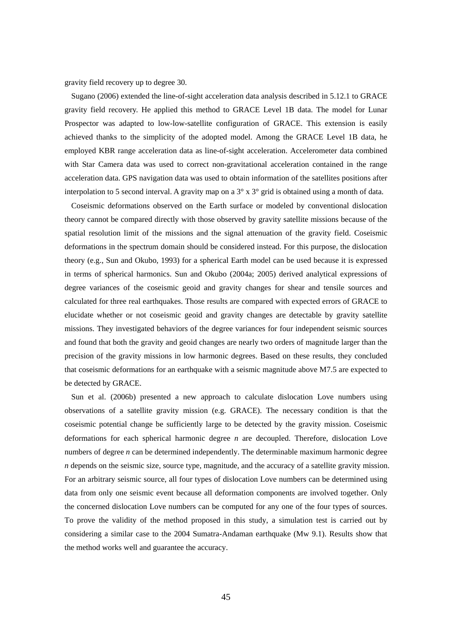gravity field recovery up to degree 30.

Sugano (2006) extended the line-of-sight acceleration data analysis described in 5.12.1 to GRACE gravity field recovery. He applied this method to GRACE Level 1B data. The model for Lunar Prospector was adapted to low-low-satellite configuration of GRACE. This extension is easily achieved thanks to the simplicity of the adopted model. Among the GRACE Level 1B data, he employed KBR range acceleration data as line-of-sight acceleration. Accelerometer data combined with Star Camera data was used to correct non-gravitational acceleration contained in the range acceleration data. GPS navigation data was used to obtain information of the satellites positions after interpolation to 5 second interval. A gravity map on a  $3^\circ \times 3^\circ$  grid is obtained using a month of data.

Coseismic deformations observed on the Earth surface or modeled by conventional dislocation theory cannot be compared directly with those observed by gravity satellite missions because of the spatial resolution limit of the missions and the signal attenuation of the gravity field. Coseismic deformations in the spectrum domain should be considered instead. For this purpose, the dislocation theory (e.g., Sun and Okubo, 1993) for a spherical Earth model can be used because it is expressed in terms of spherical harmonics. Sun and Okubo (2004a; 2005) derived analytical expressions of degree variances of the coseismic geoid and gravity changes for shear and tensile sources and calculated for three real earthquakes. Those results are compared with expected errors of GRACE to elucidate whether or not coseismic geoid and gravity changes are detectable by gravity satellite missions. They investigated behaviors of the degree variances for four independent seismic sources and found that both the gravity and geoid changes are nearly two orders of magnitude larger than the precision of the gravity missions in low harmonic degrees. Based on these results, they concluded that coseismic deformations for an earthquake with a seismic magnitude above M7.5 are expected to be detected by GRACE.

Sun et al. (2006b) presented a new approach to calculate dislocation Love numbers using observations of a satellite gravity mission (e.g. GRACE). The necessary condition is that the coseismic potential change be sufficiently large to be detected by the gravity mission. Coseismic deformations for each spherical harmonic degree *n* are decoupled. Therefore, dislocation Love numbers of degree *n* can be determined independently. The determinable maximum harmonic degree *n* depends on the seismic size, source type, magnitude, and the accuracy of a satellite gravity mission. For an arbitrary seismic source, all four types of dislocation Love numbers can be determined using data from only one seismic event because all deformation components are involved together. Only the concerned dislocation Love numbers can be computed for any one of the four types of sources. To prove the validity of the method proposed in this study, a simulation test is carried out by considering a similar case to the 2004 Sumatra-Andaman earthquake (Mw 9.1). Results show that the method works well and guarantee the accuracy.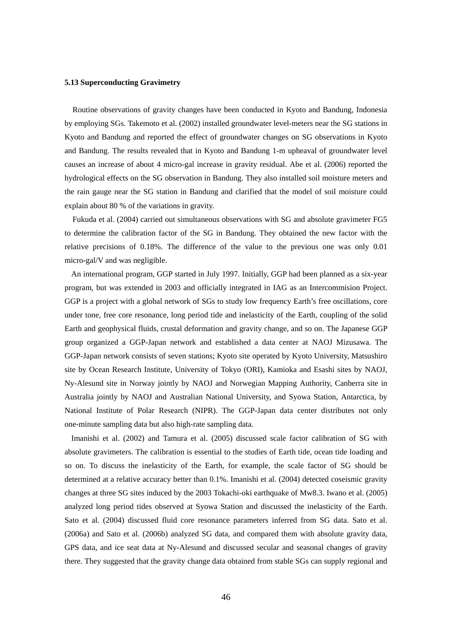## **5.13 Superconducting Gravimetry**

Routine observations of gravity changes have been conducted in Kyoto and Bandung, Indonesia by employing SGs. Takemoto et al. (2002) installed groundwater level-meters near the SG stations in Kyoto and Bandung and reported the effect of groundwater changes on SG observations in Kyoto and Bandung. The results revealed that in Kyoto and Bandung 1-m upheaval of groundwater level causes an increase of about 4 micro-gal increase in gravity residual. Abe et al. (2006) reported the hydrological effects on the SG observation in Bandung. They also installed soil moisture meters and the rain gauge near the SG station in Bandung and clarified that the model of soil moisture could explain about 80 % of the variations in gravity.

Fukuda et al. (2004) carried out simultaneous observations with SG and absolute gravimeter FG5 to determine the calibration factor of the SG in Bandung. They obtained the new factor with the relative precisions of 0.18%. The difference of the value to the previous one was only 0.01 micro-gal/V and was negligible.

An international program, GGP started in July 1997. Initially, GGP had been planned as a six-year program, but was extended in 2003 and officially integrated in IAG as an Intercommision Project. GGP is a project with a global network of SGs to study low frequency Earth's free oscillations, core under tone, free core resonance, long period tide and inelasticity of the Earth, coupling of the solid Earth and geophysical fluids, crustal deformation and gravity change, and so on. The Japanese GGP group organized a GGP-Japan network and established a data center at NAOJ Mizusawa. The GGP-Japan network consists of seven stations; Kyoto site operated by Kyoto University, Matsushiro site by Ocean Research Institute, University of Tokyo (ORI), Kamioka and Esashi sites by NAOJ, Ny-Alesund site in Norway jointly by NAOJ and Norwegian Mapping Authority, Canberra site in Australia jointly by NAOJ and Australian National University, and Syowa Station, Antarctica, by National Institute of Polar Research (NIPR). The GGP-Japan data center distributes not only one-minute sampling data but also high-rate sampling data.

Imanishi et al. (2002) and Tamura et al. (2005) discussed scale factor calibration of SG with absolute gravimeters. The calibration is essential to the studies of Earth tide, ocean tide loading and so on. To discuss the inelasticity of the Earth, for example, the scale factor of SG should be determined at a relative accuracy better than 0.1%. Imanishi et al. (2004) detected coseismic gravity changes at three SG sites induced by the 2003 Tokachi-oki earthquake of Mw8.3. Iwano et al. (2005) analyzed long period tides observed at Syowa Station and discussed the inelasticity of the Earth. Sato et al. (2004) discussed fluid core resonance parameters inferred from SG data. Sato et al. (2006a) and Sato et al. (2006b) analyzed SG data, and compared them with absolute gravity data, GPS data, and ice seat data at Ny-Alesund and discussed secular and seasonal changes of gravity there. They suggested that the gravity change data obtained from stable SGs can supply regional and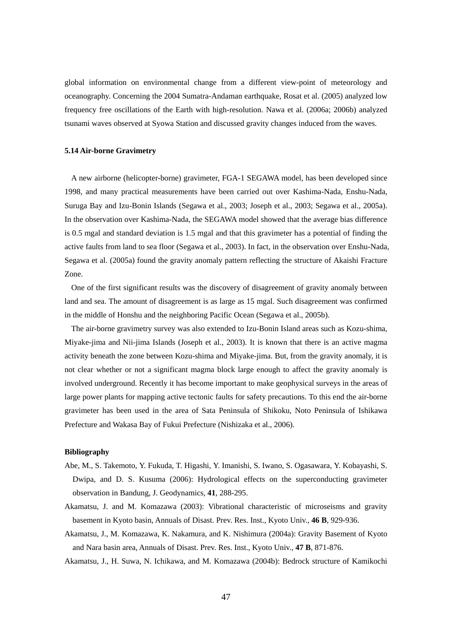global information on environmental change from a different view-point of meteorology and oceanography. Concerning the 2004 Sumatra-Andaman earthquake, Rosat et al. (2005) analyzed low frequency free oscillations of the Earth with high-resolution. Nawa et al. (2006a; 2006b) analyzed tsunami waves observed at Syowa Station and discussed gravity changes induced from the waves.

#### **5.14 Air-borne Gravimetry**

A new airborne (helicopter-borne) gravimeter, FGA-1 SEGAWA model, has been developed since 1998, and many practical measurements have been carried out over Kashima-Nada, Enshu-Nada, Suruga Bay and Izu-Bonin Islands (Segawa et al., 2003; Joseph et al., 2003; Segawa et al., 2005a). In the observation over Kashima-Nada, the SEGAWA model showed that the average bias difference is 0.5 mgal and standard deviation is 1.5 mgal and that this gravimeter has a potential of finding the active faults from land to sea floor (Segawa et al., 2003). In fact, in the observation over Enshu-Nada, Segawa et al. (2005a) found the gravity anomaly pattern reflecting the structure of Akaishi Fracture Zone.

One of the first significant results was the discovery of disagreement of gravity anomaly between land and sea. The amount of disagreement is as large as 15 mgal. Such disagreement was confirmed in the middle of Honshu and the neighboring Pacific Ocean (Segawa et al., 2005b).

The air-borne gravimetry survey was also extended to Izu-Bonin Island areas such as Kozu-shima, Miyake-jima and Nii-jima Islands (Joseph et al., 2003). It is known that there is an active magma activity beneath the zone between Kozu-shima and Miyake-jima. But, from the gravity anomaly, it is not clear whether or not a significant magma block large enough to affect the gravity anomaly is involved underground. Recently it has become important to make geophysical surveys in the areas of large power plants for mapping active tectonic faults for safety precautions. To this end the air-borne gravimeter has been used in the area of Sata Peninsula of Shikoku, Noto Peninsula of Ishikawa Prefecture and Wakasa Bay of Fukui Prefecture (Nishizaka et al., 2006).

## **Bibliography**

- Abe, M., S. Takemoto, Y. Fukuda, T. Higashi, Y. Imanishi, S. Iwano, S. Ogasawara, Y. Kobayashi, S. Dwipa, and D. S. Kusuma (2006): Hydrological effects on the superconducting gravimeter observation in Bandung, J. Geodynamics, **41**, 288-295.
- Akamatsu, J. and M. Komazawa (2003): Vibrational characteristic of microseisms and gravity basement in Kyoto basin, Annuals of Disast. Prev. Res. Inst., Kyoto Univ., **46 B**, 929-936.
- Akamatsu, J., M. Komazawa, K. Nakamura, and K. Nishimura (2004a): Gravity Basement of Kyoto and Nara basin area, Annuals of Disast. Prev. Res. Inst., Kyoto Univ., **47 B**, 871-876.

Akamatsu, J., H. Suwa, N. Ichikawa, and M. Komazawa (2004b): Bedrock structure of Kamikochi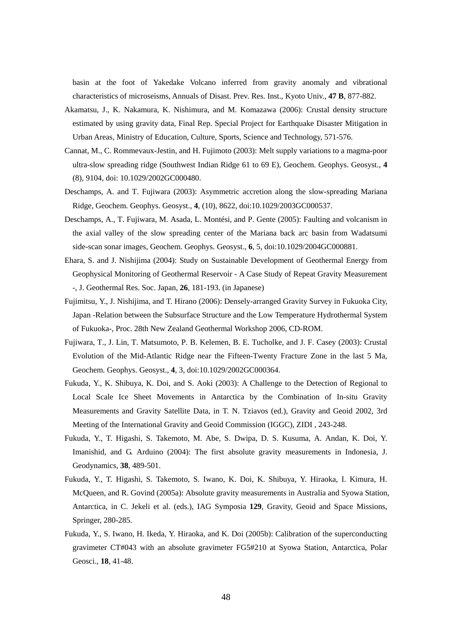basin at the foot of Yakedake Volcano inferred from gravity anomaly and vibrational characteristics of microseisms, Annuals of Disast. Prev. Res. Inst., Kyoto Univ., **47 B**, 877-882.

- Akamatsu, J., K. Nakamura, K. Nishimura, and M. Komazawa (2006): Crustal density structure estimated by using gravity data, Final Rep. Special Project for Earthquake Disaster Mitigation in Urban Areas, Ministry of Education, Culture, Sports, Science and Technology, 571-576.
- Cannat, M., C. Rommevaux-Jestin, and H. Fujimoto (2003): Melt supply variations to a magma-poor ultra-slow spreading ridge (Southwest Indian Ridge 61 to 69 E), Geochem. Geophys. Geosyst., **4**  (8), 9104, doi: 10.1029/2002GC000480.
- Deschamps, A. and T. Fujiwara (2003): Asymmetric accretion along the slow-spreading Mariana Ridge, Geochem. Geophys. Geosyst., **4**, (10), 8622, doi:10.1029/2003GC000537.
- Deschamps, A., T. Fujiwara, M. Asada, L. Montési, and P. Gente (2005): Faulting and volcanism in the axial valley of the slow spreading center of the Mariana back arc basin from Wadatsumi side-scan sonar images, Geochem. Geophys. Geosyst., **6**, 5, doi:10.1029/2004GC000881.
- Ehara, S. and J. Nishijima (2004): Study on Sustainable Development of Geothermal Energy from Geophysical Monitoring of Geothermal Reservoir - A Case Study of Repeat Gravity Measurement -, J. Geothermal Res. Soc. Japan, **26**, 181-193. (in Japanese)
- Fujimitsu, Y., J. Nishijima, and T. Hirano (2006): Densely-arranged Gravity Survey in Fukuoka City, Japan -Relation between the Subsurface Structure and the Low Temperature Hydrothermal System of Fukuoka-, Proc. 28th New Zealand Geothermal Workshop 2006, CD-ROM.
- Fujiwara, T., J. Lin, T. Matsumoto, P. B. Kelemen, B. E. Tucholke, and J. F. Casey (2003): Crustal Evolution of the Mid-Atlantic Ridge near the Fifteen-Twenty Fracture Zone in the last 5 Ma, Geochem. Geophys. Geosyst., **4**, 3, doi:10.1029/2002GC000364.
- Fukuda, Y., K. Shibuya, K. Doi, and S. Aoki (2003): A Challenge to the Detection of Regional to Local Scale Ice Sheet Movements in Antarctica by the Combination of In-situ Gravity Measurements and Gravity Satellite Data, in T. N. Tziavos (ed.), Gravity and Geoid 2002, 3rd Meeting of the International Gravity and Geoid Commission (IGGC), ZIDI , 243-248.
- Fukuda, Y., T. Higashi, S. Takemoto, M. Abe, S. Dwipa, D. S. Kusuma, A. Andan, K. Doi, Y. Imanishid, and G. Arduino (2004): The first absolute gravity measurements in Indonesia, J. Geodynamics, **38**, 489-501.
- Fukuda, Y., T. Higashi, S. Takemoto, S. Iwano, K. Doi, K. Shibuya, Y. Hiraoka, I. Kimura, H. McQueen, and R. Govind (2005a): Absolute gravity measurements in Australia and Syowa Station, Antarctica, in C. Jekeli et al. (eds.), IAG Symposia **129**, Gravity, Geoid and Space Missions, Springer, 280-285.
- Fukuda, Y., S. Iwano, H. Ikeda, Y. Hiraoka, and K. Doi (2005b): Calibration of the superconducting gravimeter CT#043 with an absolute gravimeter FG5#210 at Syowa Station, Antarctica, Polar Geosci., **18**, 41-48.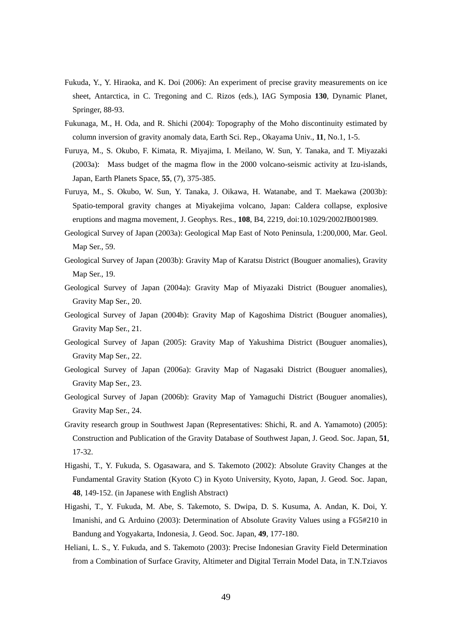- Fukuda, Y., Y. Hiraoka, and K. Doi (2006): An experiment of precise gravity measurements on ice sheet, Antarctica, in C. Tregoning and C. Rizos (eds.), IAG Symposia **130**, Dynamic Planet, Springer, 88-93.
- Fukunaga, M., H. Oda, and R. Shichi (2004): Topography of the Moho discontinuity estimated by column inversion of gravity anomaly data, Earth Sci. Rep., Okayama Univ., **11**, No.1, 1-5.
- Furuya, M., S. Okubo, F. Kimata, R. Miyajima, I. Meilano, W. Sun, Y. Tanaka, and T. Miyazaki (2003a): Mass budget of the magma flow in the 2000 volcano-seismic activity at Izu-islands, Japan, Earth Planets Space, **55**, (7), 375-385.
- Furuya, M., S. Okubo, W. Sun, Y. Tanaka, J. Oikawa, H. Watanabe, and T. Maekawa (2003b): Spatio-temporal gravity changes at Miyakejima volcano, Japan: Caldera collapse, explosive eruptions and magma movement, J. Geophys. Res., **108**, B4, 2219, doi:10.1029/2002JB001989.
- Geological Survey of Japan (2003a): Geological Map East of Noto Peninsula, 1:200,000, Mar. Geol. Map Ser., 59.
- Geological Survey of Japan (2003b): Gravity Map of Karatsu District (Bouguer anomalies), Gravity Map Ser., 19.
- Geological Survey of Japan (2004a): Gravity Map of Miyazaki District (Bouguer anomalies), Gravity Map Ser., 20.
- Geological Survey of Japan (2004b): Gravity Map of Kagoshima District (Bouguer anomalies), Gravity Map Ser., 21.
- Geological Survey of Japan (2005): Gravity Map of Yakushima District (Bouguer anomalies), Gravity Map Ser., 22.
- Geological Survey of Japan (2006a): Gravity Map of Nagasaki District (Bouguer anomalies), Gravity Map Ser., 23.
- Geological Survey of Japan (2006b): Gravity Map of Yamaguchi District (Bouguer anomalies), Gravity Map Ser., 24.
- Gravity research group in Southwest Japan (Representatives: Shichi, R. and A. Yamamoto) (2005): Construction and Publication of the Gravity Database of Southwest Japan, J. Geod. Soc. Japan, **51**, 17-32.
- Higashi, T., Y. Fukuda, S. Ogasawara, and S. Takemoto (2002): Absolute Gravity Changes at the Fundamental Gravity Station (Kyoto C) in Kyoto University, Kyoto, Japan, J. Geod. Soc. Japan, **48**, 149-152. (in Japanese with English Abstract)
- Higashi, T., Y. Fukuda, M. Abe, S. Takemoto, S. Dwipa, D. S. Kusuma, A. Andan, K. Doi, Y. Imanishi, and G. Arduino (2003): Determination of Absolute Gravity Values using a FG5#210 in Bandung and Yogyakarta, Indonesia, J. Geod. Soc. Japan, **49**, 177-180.
- Heliani, L. S., Y. Fukuda, and S. Takemoto (2003): Precise Indonesian Gravity Field Determination from a Combination of Surface Gravity, Altimeter and Digital Terrain Model Data, in T.N.Tziavos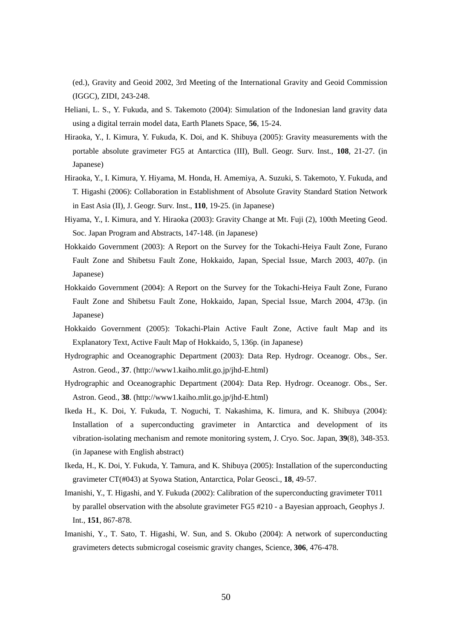(ed.), Gravity and Geoid 2002, 3rd Meeting of the International Gravity and Geoid Commission (IGGC), ZIDI, 243-248.

- Heliani, L. S., Y. Fukuda, and S. Takemoto (2004): Simulation of the Indonesian land gravity data using a digital terrain model data, Earth Planets Space, **56**, 15-24.
- Hiraoka, Y., I. Kimura, Y. Fukuda, K. Doi, and K. Shibuya (2005): Gravity measurements with the portable absolute gravimeter FG5 at Antarctica (III), Bull. Geogr. Surv. Inst., **108**, 21-27. (in Japanese)
- Hiraoka, Y., I. Kimura, Y. Hiyama, M. Honda, H. Amemiya, A. Suzuki, S. Takemoto, Y. Fukuda, and T. Higashi (2006): Collaboration in Establishment of Absolute Gravity Standard Station Network in East Asia (II), J. Geogr. Surv. Inst., **110**, 19-25. (in Japanese)
- Hiyama, Y., I. Kimura, and Y. Hiraoka (2003): Gravity Change at Mt. Fuji (2), 100th Meeting Geod. Soc. Japan Program and Abstracts, 147-148. (in Japanese)
- Hokkaido Government (2003): A Report on the Survey for the Tokachi-Heiya Fault Zone, Furano Fault Zone and Shibetsu Fault Zone, Hokkaido, Japan, Special Issue, March 2003, 407p. (in Japanese)
- Hokkaido Government (2004): A Report on the Survey for the Tokachi-Heiya Fault Zone, Furano Fault Zone and Shibetsu Fault Zone, Hokkaido, Japan, Special Issue, March 2004, 473p. (in Japanese)
- Hokkaido Government (2005): Tokachi-Plain Active Fault Zone, Active fault Map and its Explanatory Text, Active Fault Map of Hokkaido, 5, 136p. (in Japanese)
- Hydrographic and Oceanographic Department (2003): Data Rep. Hydrogr. Oceanogr. Obs., Ser. Astron. Geod., **37**. (http://www1.kaiho.mlit.go.jp/jhd-E.html)
- Hydrographic and Oceanographic Department (2004): Data Rep. Hydrogr. Oceanogr. Obs., Ser. Astron. Geod., **38**. (http://www1.kaiho.mlit.go.jp/jhd-E.html)
- Ikeda H., K. Doi, Y. Fukuda, T. Noguchi, T. Nakashima, K. Iimura, and K. Shibuya (2004): Installation of a superconducting gravimeter in Antarctica and development of its vibration-isolating mechanism and remote monitoring system, J. Cryo. Soc. Japan, **39**(8), 348-353. (in Japanese with English abstract)
- Ikeda, H., K. Doi, Y. Fukuda, Y. Tamura, and K. Shibuya (2005): Installation of the superconducting gravimeter CT(#043) at Syowa Station, Antarctica, Polar Geosci., **18**, 49-57.
- Imanishi, Y., T. Higashi, and Y. Fukuda (2002): Calibration of the superconducting gravimeter T011 by parallel observation with the absolute gravimeter FG5 #210 - a Bayesian approach, Geophys J. Int., **151**, 867-878.
- Imanishi, Y., T. Sato, T. Higashi, W. Sun, and S. Okubo (2004): A network of superconducting gravimeters detects submicrogal coseismic gravity changes, Science, **306**, 476-478.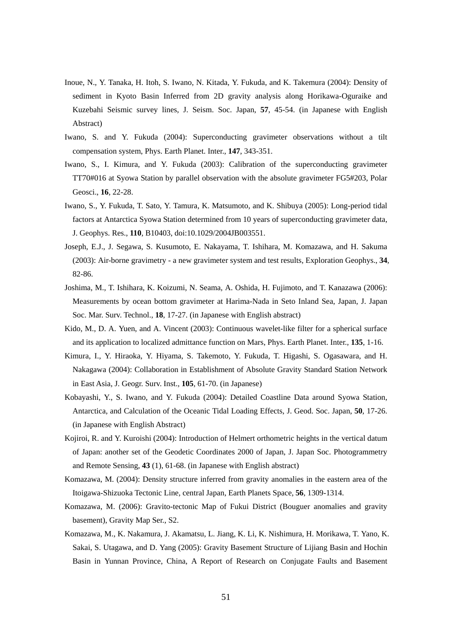- Inoue, N., Y. Tanaka, H. Itoh, S. Iwano, N. Kitada, Y. Fukuda, and K. Takemura (2004): Density of sediment in Kyoto Basin Inferred from 2D gravity analysis along Horikawa-Oguraike and Kuzebahi Seismic survey lines, J. Seism. Soc. Japan, **57**, 45-54. (in Japanese with English Abstract)
- Iwano, S. and Y. Fukuda (2004): Superconducting gravimeter observations without a tilt compensation system, Phys. Earth Planet. Inter., **147**, 343-351.
- Iwano, S., I. Kimura, and Y. Fukuda (2003): Calibration of the superconducting gravimeter TT70#016 at Syowa Station by parallel observation with the absolute gravimeter FG5#203, Polar Geosci., **16**, 22-28.
- Iwano, S., Y. Fukuda, T. Sato, Y. Tamura, K. Matsumoto, and K. Shibuya (2005): Long-period tidal factors at Antarctica Syowa Station determined from 10 years of superconducting gravimeter data, J. Geophys. Res., **110**, B10403, doi:10.1029/2004JB003551.
- Joseph, E.J., J. Segawa, S. Kusumoto, E. Nakayama, T. Ishihara, M. Komazawa, and H. Sakuma (2003): Air-borne gravimetry - a new gravimeter system and test results, Exploration Geophys., **34**, 82-86.
- Joshima, M., T. Ishihara, K. Koizumi, N. Seama, A. Oshida, H. Fujimoto, and T. Kanazawa (2006): Measurements by ocean bottom gravimeter at Harima-Nada in Seto Inland Sea, Japan, J. Japan Soc. Mar. Surv. Technol., **18**, 17-27. (in Japanese with English abstract)
- Kido, M., D. A. Yuen, and A. Vincent (2003): Continuous wavelet-like filter for a spherical surface and its application to localized admittance function on Mars, Phys. Earth Planet. Inter., **135**, 1-16.
- Kimura, I., Y. Hiraoka, Y. Hiyama, S. Takemoto, Y. Fukuda, T. Higashi, S. Ogasawara, and H. Nakagawa (2004): Collaboration in Establishment of Absolute Gravity Standard Station Network in East Asia, J. Geogr. Surv. Inst., **105**, 61-70. (in Japanese)
- Kobayashi, Y., S. Iwano, and Y. Fukuda (2004): Detailed Coastline Data around Syowa Station, Antarctica, and Calculation of the Oceanic Tidal Loading Effects, J. Geod. Soc. Japan, **50**, 17-26. (in Japanese with English Abstract)
- Kojiroi, R. and Y. Kuroishi (2004): Introduction of Helmert orthometric heights in the vertical datum of Japan: another set of the Geodetic Coordinates 2000 of Japan, J. Japan Soc. Photogrammetry and Remote Sensing, **43** (1), 61-68. (in Japanese with English abstract)
- Komazawa, M. (2004): Density structure inferred from gravity anomalies in the eastern area of the Itoigawa-Shizuoka Tectonic Line, central Japan, Earth Planets Space, **56**, 1309-1314.
- Komazawa, M. (2006): Gravito-tectonic Map of Fukui District (Bouguer anomalies and gravity basement), Gravity Map Ser., S2.
- Komazawa, M., K. Nakamura, J. Akamatsu, L. Jiang, K. Li, K. Nishimura, H. Morikawa, T. Yano, K. Sakai, S. Utagawa, and D. Yang (2005): Gravity Basement Structure of Lijiang Basin and Hochin Basin in Yunnan Province, China, A Report of Research on Conjugate Faults and Basement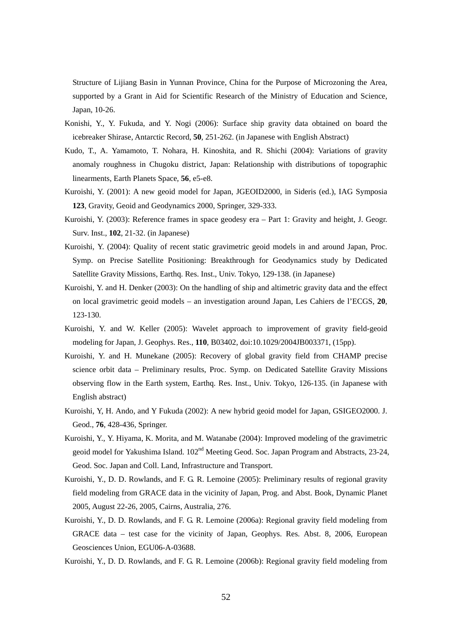Structure of Lijiang Basin in Yunnan Province, China for the Purpose of Microzoning the Area, supported by a Grant in Aid for Scientific Research of the Ministry of Education and Science, Japan, 10-26.

- Konishi, Y., Y. Fukuda, and Y. Nogi (2006): Surface ship gravity data obtained on board the icebreaker Shirase, Antarctic Record, **50**, 251-262. (in Japanese with English Abstract)
- Kudo, T., A. Yamamoto, T. Nohara, H. Kinoshita, and R. Shichi (2004): Variations of gravity anomaly roughness in Chugoku district, Japan: Relationship with distributions of topographic linearments, Earth Planets Space, **56**, e5-e8.
- Kuroishi, Y. (2001): A new geoid model for Japan, JGEOID2000, in Sideris (ed.), IAG Symposia **123**, Gravity, Geoid and Geodynamics 2000, Springer, 329-333.
- Kuroishi, Y. (2003): Reference frames in space geodesy era Part 1: Gravity and height, J. Geogr. Surv. Inst., **102**, 21-32. (in Japanese)
- Kuroishi, Y. (2004): Quality of recent static gravimetric geoid models in and around Japan, Proc. Symp. on Precise Satellite Positioning: Breakthrough for Geodynamics study by Dedicated Satellite Gravity Missions, Earthq. Res. Inst., Univ. Tokyo, 129-138. (in Japanese)
- Kuroishi, Y. and H. Denker (2003): On the handling of ship and altimetric gravity data and the effect on local gravimetric geoid models – an investigation around Japan, Les Cahiers de l'ECGS, **20**, 123-130.
- Kuroishi, Y. and W. Keller (2005): Wavelet approach to improvement of gravity field-geoid modeling for Japan, J. Geophys. Res., **110**, B03402, doi:10.1029/2004JB003371, (15pp).
- Kuroishi, Y. and H. Munekane (2005): Recovery of global gravity field from CHAMP precise science orbit data – Preliminary results, Proc. Symp. on Dedicated Satellite Gravity Missions observing flow in the Earth system, Earthq. Res. Inst., Univ. Tokyo, 126-135. (in Japanese with English abstract)
- Kuroishi, Y, H. Ando, and Y Fukuda (2002): A new hybrid geoid model for Japan, GSIGEO2000. J. Geod., **76**, 428-436, Springer.
- Kuroishi, Y., Y. Hiyama, K. Morita, and M. Watanabe (2004): Improved modeling of the gravimetric geoid model for Yakushima Island. 102<sup>nd</sup> Meeting Geod. Soc. Japan Program and Abstracts, 23-24, Geod. Soc. Japan and Coll. Land, Infrastructure and Transport.
- Kuroishi, Y., D. D. Rowlands, and F. G. R. Lemoine (2005): Preliminary results of regional gravity field modeling from GRACE data in the vicinity of Japan, Prog. and Abst. Book, Dynamic Planet 2005, August 22-26, 2005, Cairns, Australia, 276.
- Kuroishi, Y., D. D. Rowlands, and F. G. R. Lemoine (2006a): Regional gravity field modeling from GRACE data – test case for the vicinity of Japan, Geophys. Res. Abst. 8, 2006, European Geosciences Union, EGU06-A-03688.
- Kuroishi, Y., D. D. Rowlands, and F. G. R. Lemoine (2006b): Regional gravity field modeling from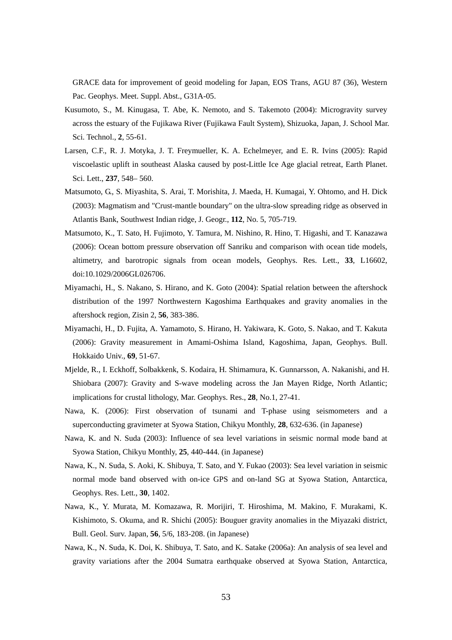GRACE data for improvement of geoid modeling for Japan, EOS Trans, AGU 87 (36), Western Pac. Geophys. Meet. Suppl. Abst., G31A-05.

- Kusumoto, S., M. Kinugasa, T. Abe, K. Nemoto, and S. Takemoto (2004): Microgravity survey across the estuary of the Fujikawa River (Fujikawa Fault System), Shizuoka, Japan, J. School Mar. Sci. Technol., **2**, 55-61.
- Larsen, C.F., R. J. Motyka, J. T. Freymueller, K. A. Echelmeyer, and E. R. Ivins (2005): Rapid viscoelastic uplift in southeast Alaska caused by post-Little Ice Age glacial retreat, Earth Planet. Sci. Lett., **237**, 548– 560.
- Matsumoto, G., S. Miyashita, S. Arai, T. Morishita, J. Maeda, H. Kumagai, Y. Ohtomo, and H. Dick (2003): Magmatism and "Crust-mantle boundary" on the ultra-slow spreading ridge as observed in Atlantis Bank, Southwest Indian ridge, J. Geogr., **112**, No. 5, 705-719.
- Matsumoto, K., T. Sato, H. Fujimoto, Y. Tamura, M. Nishino, R. Hino, T. Higashi, and T. Kanazawa (2006): Ocean bottom pressure observation off Sanriku and comparison with ocean tide models, altimetry, and barotropic signals from ocean models, Geophys. Res. Lett., **33**, L16602, doi:10.1029/2006GL026706.
- Miyamachi, H., S. Nakano, S. Hirano, and K. Goto (2004): Spatial relation between the aftershock distribution of the 1997 Northwestern Kagoshima Earthquakes and gravity anomalies in the aftershock region, Zisin 2, **56**, 383-386.
- Miyamachi, H., D. Fujita, A. Yamamoto, S. Hirano, H. Yakiwara, K. Goto, S. Nakao, and T. Kakuta (2006): Gravity measurement in Amami-Oshima Island, Kagoshima, Japan, Geophys. Bull. Hokkaido Univ., **69**, 51-67.
- Mjelde, R., I. Eckhoff, Solbakkenk, S. Kodaira, H. Shimamura, K. Gunnarsson, A. Nakanishi, and H. Shiobara (2007): Gravity and S-wave modeling across the Jan Mayen Ridge, North Atlantic; implications for crustal lithology, Mar. Geophys. Res., **28**, No.1, 27-41.
- Nawa, K. (2006): First observation of tsunami and T-phase using seismometers and a superconducting gravimeter at Syowa Station, Chikyu Monthly, **28**, 632-636. (in Japanese)
- Nawa, K. and N. Suda (2003): Influence of sea level variations in seismic normal mode band at Syowa Station, Chikyu Monthly, **25**, 440-444. (in Japanese)
- Nawa, K., N. Suda, S. Aoki, K. Shibuya, T. Sato, and Y. Fukao (2003): Sea level variation in seismic normal mode band observed with on-ice GPS and on-land SG at Syowa Station, Antarctica, Geophys. Res. Lett., **30**, 1402.
- Nawa, K., Y. Murata, M. Komazawa, R. Morijiri, T. Hiroshima, M. Makino, F. Murakami, K. Kishimoto, S. Okuma, and R. Shichi (2005): Bouguer gravity anomalies in the Miyazaki district, Bull. Geol. Surv. Japan, **56**, 5/6, 183-208. (in Japanese)
- Nawa, K., N. Suda, K. Doi, K. Shibuya, T. Sato, and K. Satake (2006a): An analysis of sea level and gravity variations after the 2004 Sumatra earthquake observed at Syowa Station, Antarctica,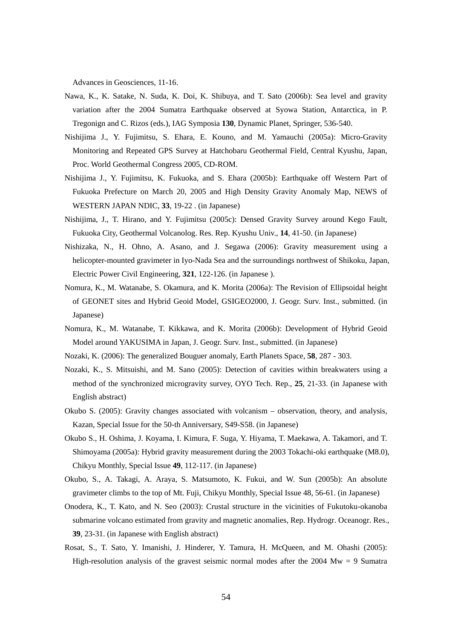Advances in Geosciences, 11-16.

- Nawa, K., K. Satake, N. Suda, K. Doi, K. Shibuya, and T. Sato (2006b): Sea level and gravity variation after the 2004 Sumatra Earthquake observed at Syowa Station, Antarctica, in P. Tregonign and C. Rizos (eds.), IAG Symposia **130**, Dynamic Planet, Springer, 536-540.
- Nishijima J., Y. Fujimitsu, S. Ehara, E. Kouno, and M. Yamauchi (2005a): Micro-Gravity Monitoring and Repeated GPS Survey at Hatchobaru Geothermal Field, Central Kyushu, Japan, Proc. World Geothermal Congress 2005, CD-ROM.
- Nishijima J., Y. Fujimitsu, K. Fukuoka, and S. Ehara (2005b): Earthquake off Western Part of Fukuoka Prefecture on March 20, 2005 and High Density Gravity Anomaly Map, NEWS of WESTERN JAPAN NDIC, **33**, 19-22 . (in Japanese)
- Nishijima, J., T. Hirano, and Y. Fujimitsu (2005c): Densed Gravity Survey around Kego Fault, Fukuoka City, Geothermal Volcanolog. Res. Rep. Kyushu Univ., **14**, 41-50. (in Japanese)
- Nishizaka, N., H. Ohno, A. Asano, and J. Segawa (2006): Gravity measurement using a helicopter-mounted gravimeter in Iyo-Nada Sea and the surroundings northwest of Shikoku, Japan, Electric Power Civil Engineering, **321**, 122-126. (in Japanese ).
- Nomura, K., M. Watanabe, S. Okamura, and K. Morita (2006a): The Revision of Ellipsoidal height of GEONET sites and Hybrid Geoid Model, GSIGEO2000, J. Geogr. Surv. Inst., submitted. (in Japanese)
- Nomura, K., M. Watanabe, T. Kikkawa, and K. Morita (2006b): Development of Hybrid Geoid Model around YAKUSIMA in Japan, J. Geogr. Surv. Inst., submitted. (in Japanese)
- Nozaki, K. (2006): The generalized Bouguer anomaly, Earth Planets Space, **58**, 287 303.
- Nozaki, K., S. Mitsuishi, and M. Sano (2005): Detection of cavities within breakwaters using a method of the synchronized microgravity survey, OYO Tech. Rep., **25**, 21-33. (in Japanese with English abstract)
- Okubo S. (2005): Gravity changes associated with volcanism observation, theory, and analysis, Kazan, Special Issue for the 50-th Anniversary, S49-S58. (in Japanese)
- Okubo S., H. Oshima, J. Koyama, I. Kimura, F. Suga, Y. Hiyama, T. Maekawa, A. Takamori, and T. Shimoyama (2005a): Hybrid gravity measurement during the 2003 Tokachi-oki earthquake (M8.0), Chikyu Monthly, Special Issue **49**, 112-117. (in Japanese)
- Okubo, S., A. Takagi, A. Araya, S. Matsumoto, K. Fukui, and W. Sun (2005b): An absolute gravimeter climbs to the top of Mt. Fuji, Chikyu Monthly, Special Issue 48, 56-61. (in Japanese)
- Onodera, K., T. Kato, and N. Seo (2003): Crustal structure in the vicinities of Fukutoku-okanoba submarine volcano estimated from gravity and magnetic anomalies, Rep. Hydrogr. Oceanogr. Res., **39**, 23-31. (in Japanese with English abstract)
- Rosat, S., T. Sato, Y. Imanishi, J. Hinderer, Y. Tamura, H. McQueen, and M. Ohashi (2005): High-resolution analysis of the gravest seismic normal modes after the  $2004 \text{ Mw} = 9$  Sumatra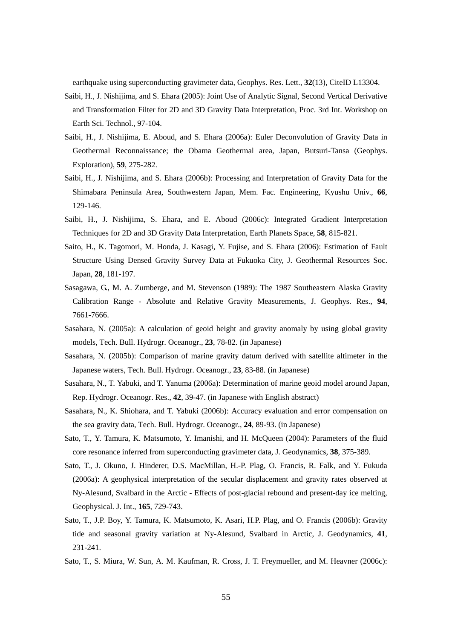earthquake using superconducting gravimeter data, Geophys. Res. Lett., **32**(13), CiteID L13304.

- Saibi, H., J. Nishijima, and S. Ehara (2005): Joint Use of Analytic Signal, Second Vertical Derivative and Transformation Filter for 2D and 3D Gravity Data Interpretation, Proc. 3rd Int. Workshop on Earth Sci. Technol., 97-104.
- Saibi, H., J. Nishijima, E. Aboud, and S. Ehara (2006a): Euler Deconvolution of Gravity Data in Geothermal Reconnaissance; the Obama Geothermal area, Japan, Butsuri-Tansa (Geophys. Exploration), **59**, 275-282.
- Saibi, H., J. Nishijima, and S. Ehara (2006b): Processing and Interpretation of Gravity Data for the Shimabara Peninsula Area, Southwestern Japan, Mem. Fac. Engineering, Kyushu Univ., **66**, 129-146.
- Saibi, H., J. Nishijima, S. Ehara, and E. Aboud (2006c): Integrated Gradient Interpretation Techniques for 2D and 3D Gravity Data Interpretation, Earth Planets Space, **58**, 815-821.
- Saito, H., K. Tagomori, M. Honda, J. Kasagi, Y. Fujise, and S. Ehara (2006): Estimation of Fault Structure Using Densed Gravity Survey Data at Fukuoka City, J. Geothermal Resources Soc. Japan, **28**, 181-197.
- Sasagawa, G., M. A. Zumberge, and M. Stevenson (1989): The 1987 Southeastern Alaska Gravity Calibration Range - Absolute and Relative Gravity Measurements, J. Geophys. Res., **94**, 7661-7666.
- Sasahara, N. (2005a): A calculation of geoid height and gravity anomaly by using global gravity models, Tech. Bull. Hydrogr. Oceanogr., **23**, 78-82. (in Japanese)
- Sasahara, N. (2005b): Comparison of marine gravity datum derived with satellite altimeter in the Japanese waters, Tech. Bull. Hydrogr. Oceanogr., **23**, 83-88. (in Japanese)
- Sasahara, N., T. Yabuki, and T. Yanuma (2006a): Determination of marine geoid model around Japan, Rep. Hydrogr. Oceanogr. Res., **42**, 39-47. (in Japanese with English abstract)
- Sasahara, N., K. Shiohara, and T. Yabuki (2006b): Accuracy evaluation and error compensation on the sea gravity data, Tech. Bull. Hydrogr. Oceanogr., **24**, 89-93. (in Japanese)
- Sato, T., Y. Tamura, K. Matsumoto, Y. Imanishi, and H. McQueen (2004): Parameters of the fluid core resonance inferred from superconducting gravimeter data, J. Geodynamics, **38**, 375-389.
- Sato, T., J. Okuno, J. Hinderer, D.S. MacMillan, H.-P. Plag, O. Francis, R. Falk, and Y. Fukuda (2006a): A geophysical interpretation of the secular displacement and gravity rates observed at Ny-Alesund, Svalbard in the Arctic - Effects of post-glacial rebound and present-day ice melting, Geophysical. J. Int., **165**, 729-743.
- Sato, T., J.P. Boy, Y. Tamura, K. Matsumoto, K. Asari, H.P. Plag, and O. Francis (2006b): Gravity tide and seasonal gravity variation at Ny-Alesund, Svalbard in Arctic, J. Geodynamics, **41**, 231-241.
- Sato, T., S. Miura, W. Sun, A. M. Kaufman, R. Cross, J. T. Freymueller, and M. Heavner (2006c):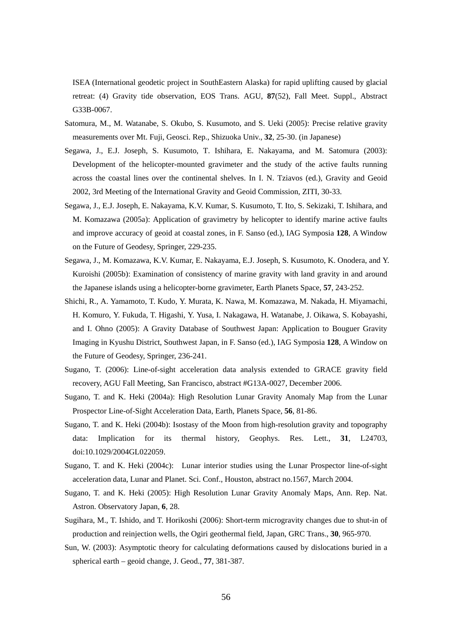ISEA (International geodetic project in SouthEastern Alaska) for rapid uplifting caused by glacial retreat: (4) Gravity tide observation, EOS Trans. AGU, **87**(52), Fall Meet. Suppl., Abstract G33B-0067.

- Satomura, M., M. Watanabe, S. Okubo, S. Kusumoto, and S. Ueki (2005): Precise relative gravity measurements over Mt. Fuji, Geosci. Rep., Shizuoka Univ., **32**, 25-30. (in Japanese)
- Segawa, J., E.J. Joseph, S. Kusumoto, T. Ishihara, E. Nakayama, and M. Satomura (2003): Development of the helicopter-mounted gravimeter and the study of the active faults running across the coastal lines over the continental shelves. In I. N. Tziavos (ed.), Gravity and Geoid 2002, 3rd Meeting of the International Gravity and Geoid Commission, ZITI, 30-33.
- Segawa, J., E.J. Joseph, E. Nakayama, K.V. Kumar, S. Kusumoto, T. Ito, S. Sekizaki, T. Ishihara, and M. Komazawa (2005a): Application of gravimetry by helicopter to identify marine active faults and improve accuracy of geoid at coastal zones, in F. Sanso (ed.), IAG Symposia **128**, A Window on the Future of Geodesy, Springer, 229-235.
- Segawa, J., M. Komazawa, K.V. Kumar, E. Nakayama, E.J. Joseph, S. Kusumoto, K. Onodera, and Y. Kuroishi (2005b): Examination of consistency of marine gravity with land gravity in and around the Japanese islands using a helicopter-borne gravimeter, Earth Planets Space, **57**, 243-252.
- Shichi, R., A. Yamamoto, T. Kudo, Y. Murata, K. Nawa, M. Komazawa, M. Nakada, H. Miyamachi, H. Komuro, Y. Fukuda, T. Higashi, Y. Yusa, I. Nakagawa, H. Watanabe, J. Oikawa, S. Kobayashi, and I. Ohno (2005): A Gravity Database of Southwest Japan: Application to Bouguer Gravity Imaging in Kyushu District, Southwest Japan, in F. Sanso (ed.), IAG Symposia **128**, A Window on the Future of Geodesy, Springer, 236-241.
- Sugano, T. (2006): Line-of-sight acceleration data analysis extended to GRACE gravity field recovery, AGU Fall Meeting, San Francisco, abstract #G13A-0027, December 2006.
- Sugano, T. and K. Heki (2004a): High Resolution Lunar Gravity Anomaly Map from the Lunar Prospector Line-of-Sight Acceleration Data, Earth, Planets Space, **56**, 81-86.
- Sugano, T. and K. Heki (2004b): Isostasy of the Moon from high-resolution gravity and topography data: Implication for its thermal history, Geophys. Res. Lett., **31**, L24703, doi:10.1029/2004GL022059.
- Sugano, T. and K. Heki (2004c): Lunar interior studies using the Lunar Prospector line-of-sight acceleration data, Lunar and Planet. Sci. Conf., Houston, abstract no.1567, March 2004.
- Sugano, T. and K. Heki (2005): High Resolution Lunar Gravity Anomaly Maps, Ann. Rep. Nat. Astron. Observatory Japan, **6**, 28.
- Sugihara, M., T. Ishido, and T. Horikoshi (2006): Short-term microgravity changes due to shut-in of production and reinjection wells, the Ogiri geothermal field, Japan, GRC Trans., **30**, 965-970.
- Sun, W. (2003): Asymptotic theory for calculating deformations caused by dislocations buried in a spherical earth – geoid change, J. Geod., **77**, 381-387.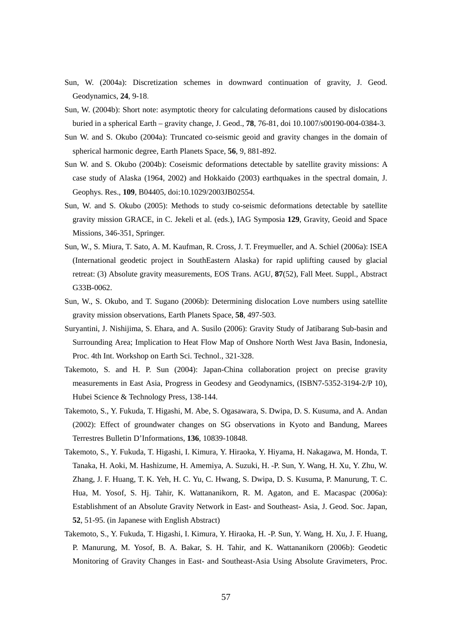- Sun, W. (2004a): Discretization schemes in downward continuation of gravity, J. Geod. Geodynamics, **24**, 9-18.
- Sun, W. (2004b): Short note: asymptotic theory for calculating deformations caused by dislocations buried in a spherical Earth – gravity change, J. Geod., **78**, 76-81, doi 10.1007/s00190-004-0384-3.
- Sun W. and S. Okubo (2004a): Truncated co-seismic geoid and gravity changes in the domain of spherical harmonic degree, Earth Planets Space, **56**, 9, 881-892.
- Sun W. and S. Okubo (2004b): Coseismic deformations detectable by satellite gravity missions: A case study of Alaska (1964, 2002) and Hokkaido (2003) earthquakes in the spectral domain, J. Geophys. Res., **109**, B04405, doi:10.1029/2003JB02554.
- Sun, W. and S. Okubo (2005): Methods to study co-seismic deformations detectable by satellite gravity mission GRACE, in C. Jekeli et al. (eds.), IAG Symposia **129**, Gravity, Geoid and Space Missions, 346-351, Springer.
- Sun, W., S. Miura, T. Sato, A. M. Kaufman, R. Cross, J. T. Freymueller, and A. Schiel (2006a): ISEA (International geodetic project in SouthEastern Alaska) for rapid uplifting caused by glacial retreat: (3) Absolute gravity measurements, EOS Trans. AGU, **87**(52), Fall Meet. Suppl., Abstract G33B-0062.
- Sun, W., S. Okubo, and T. Sugano (2006b): Determining dislocation Love numbers using satellite gravity mission observations, Earth Planets Space, **58**, 497-503.
- Suryantini, J. Nishijima, S. Ehara, and A. Susilo (2006): Gravity Study of Jatibarang Sub-basin and Surrounding Area; Implication to Heat Flow Map of Onshore North West Java Basin, Indonesia, Proc. 4th Int. Workshop on Earth Sci. Technol., 321-328.
- Takemoto, S. and H. P. Sun (2004): Japan-China collaboration project on precise gravity measurements in East Asia, Progress in Geodesy and Geodynamics, (ISBN7-5352-3194-2/P 10), Hubei Science & Technology Press, 138-144.
- Takemoto, S., Y. Fukuda, T. Higashi, M. Abe, S. Ogasawara, S. Dwipa, D. S. Kusuma, and A. Andan (2002): Effect of groundwater changes on SG observations in Kyoto and Bandung, Marees Terrestres Bulletin D'Informations, **136**, 10839-10848.
- Takemoto, S., Y. Fukuda, T. Higashi, I. Kimura, Y. Hiraoka, Y. Hiyama, H. Nakagawa, M. Honda, T. Tanaka, H. Aoki, M. Hashizume, H. Amemiya, A. Suzuki, H. -P. Sun, Y. Wang, H. Xu, Y. Zhu, W. Zhang, J. F. Huang, T. K. Yeh, H. C. Yu, C. Hwang, S. Dwipa, D. S. Kusuma, P. Manurung, T. C. Hua, M. Yosof, S. Hj. Tahir, K. Wattananikorn, R. M. Agaton, and E. Macaspac (2006a): Establishment of an Absolute Gravity Network in East- and Southeast- Asia, J. Geod. Soc. Japan, **52**, 51-95. (in Japanese with English Abstract)
- Takemoto, S., Y. Fukuda, T. Higashi, I. Kimura, Y. Hiraoka, H. -P. Sun, Y. Wang, H. Xu, J. F. Huang, P. Manurung, M. Yosof, B. A. Bakar, S. H. Tahir, and K. Wattananikorn (2006b): Geodetic Monitoring of Gravity Changes in East- and Southeast-Asia Using Absolute Gravimeters, Proc.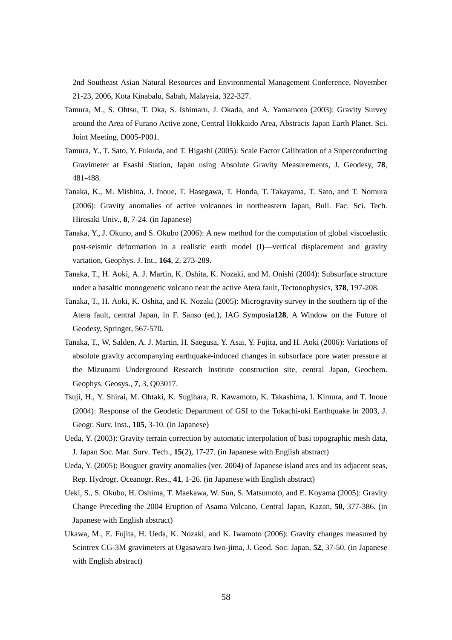2nd Southeast Asian Natural Resources and Environmental Management Conference, November 21-23, 2006, Kota Kinabalu, Sabah, Malaysia, 322-327.

- Tamura, M., S. Ohtsu, T. Oka, S. Ishimaru, J. Okada, and A. Yamamoto (2003): Gravity Survey around the Area of Furano Active zone, Central Hokkaido Area, Abstracts Japan Earth Planet. Sci. Joint Meeting, D005-P001.
- Tamura, Y., T. Sato, Y. Fukuda, and T. Higashi (2005): Scale Factor Calibration of a Superconducting Gravimeter at Esashi Station, Japan using Absolute Gravity Measurements, J. Geodesy, **78**, 481-488.
- Tanaka, K., M. Mishina, J. Inoue, T. Hasegawa, T. Honda, T. Takayama, T. Sato, and T. Nomura (2006): Gravity anomalies of active volcanoes in northeastern Japan, Bull. Fac. Sci. Tech. Hirosaki Univ., **8**, 7-24. (in Japanese)
- Tanaka, Y., J. Okuno, and S. Okubo (2006): A new method for the computation of global viscoelastic post-seismic deformation in a realistic earth model (I)—vertical displacement and gravity variation, Geophys. J. Int., **164**, 2, 273-289.
- Tanaka, T., H. Aoki, A. J. Martin, K. Oshita, K. Nozaki, and M. Onishi (2004): Subsurface structure under a basaltic monogenetic volcano near the active Atera fault, Tectonophysics, **378**, 197-208.
- Tanaka, T., H. Aoki, K. Oshita, and K. Nozaki (2005): Microgravity survey in the southern tip of the Atera fault, central Japan, in F. Sanso (ed.), IAG Symposia**128**, A Window on the Future of Geodesy, Springer, 567-570.
- Tanaka, T., W. Salden, A. J. Martin, H. Saegusa, Y. Asai, Y. Fujita, and H. Aoki (2006): Variations of absolute gravity accompanying earthquake-induced changes in subsurface pore water pressure at the Mizunami Underground Research Institute construction site, central Japan, Geochem. Geophys. Geosys., **7**, 3, Q03017.
- Tsuji, H., Y. Shirai, M. Ohtaki, K. Sugihara, R. Kawamoto, K. Takashima, I. Kimura, and T. Inoue (2004): Response of the Geodetic Department of GSI to the Tokachi-oki Earthquake in 2003, J. Geogr. Surv. Inst., **105**, 3-10. (in Japanese)
- Ueda, Y. (2003): Gravity terrain correction by automatic interpolation of basi topographic mesh data, J. Japan Soc. Mar. Surv. Tech., **15**(2), 17-27. (in Japanese with English abstract)
- Ueda, Y. (2005): Bouguer gravity anomalies (ver. 2004) of Japanese island arcs and its adjacent seas, Rep. Hydrogr. Oceanogr. Res., **41**, 1-26. (in Japanese with English abstract)
- Ueki, S., S. Okubo, H. Oshima, T. Maekawa, W. Sun, S. Matsumoto, and E. Koyama (2005): Gravity Change Preceding the 2004 Eruption of Asama Volcano, Central Japan, Kazan, **50**, 377-386. (in Japanese with English abstract)
- Ukawa, M., E. Fujita, H. Ueda, K. Nozaki, and K. Iwamoto (2006): Gravity changes measured by Scintrex CG-3M gravimeters at Ogasawara Iwo-jima, J. Geod. Soc. Japan, **52**, 37-50. (in Japanese with English abstract)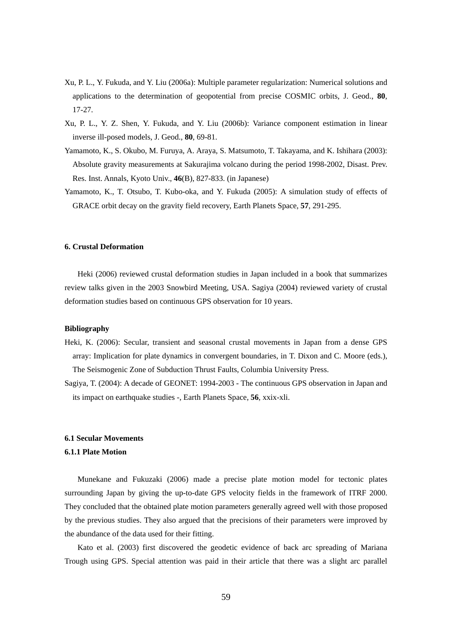- Xu, P. L., Y. Fukuda, and Y. Liu (2006a): Multiple parameter regularization: Numerical solutions and applications to the determination of geopotential from precise COSMIC orbits, J. Geod., **80**, 17-27.
- Xu, P. L., Y. Z. Shen, Y. Fukuda, and Y. Liu (2006b): Variance component estimation in linear inverse ill-posed models, J. Geod., **80**, 69-81.
- Yamamoto, K., S. Okubo, M. Furuya, A. Araya, S. Matsumoto, T. Takayama, and K. Ishihara (2003): Absolute gravity measurements at Sakurajima volcano during the period 1998-2002, Disast. Prev. Res. Inst. Annals, Kyoto Univ., **46**(B), 827-833. (in Japanese)
- Yamamoto, K., T. Otsubo, T. Kubo-oka, and Y. Fukuda (2005): A simulation study of effects of GRACE orbit decay on the gravity field recovery, Earth Planets Space, **57**, 291-295.

## **6. Crustal Deformation**

Heki (2006) reviewed crustal deformation studies in Japan included in a book that summarizes review talks given in the 2003 Snowbird Meeting, USA. Sagiya (2004) reviewed variety of crustal deformation studies based on continuous GPS observation for 10 years.

#### **Bibliography**

- Heki, K. (2006): Secular, transient and seasonal crustal movements in Japan from a dense GPS array: Implication for plate dynamics in convergent boundaries, in T. Dixon and C. Moore (eds.), The Seismogenic Zone of Subduction Thrust Faults, Columbia University Press.
- Sagiya, T. (2004): A decade of GEONET: 1994-2003 The continuous GPS observation in Japan and its impact on earthquake studies -, Earth Planets Space, **56**, xxix-xli.

# **6.1 Secular Movements**

## **6.1.1 Plate Motion**

Munekane and Fukuzaki (2006) made a precise plate motion model for tectonic plates surrounding Japan by giving the up-to-date GPS velocity fields in the framework of ITRF 2000. They concluded that the obtained plate motion parameters generally agreed well with those proposed by the previous studies. They also argued that the precisions of their parameters were improved by the abundance of the data used for their fitting.

Kato et al. (2003) first discovered the geodetic evidence of back arc spreading of Mariana Trough using GPS. Special attention was paid in their article that there was a slight arc parallel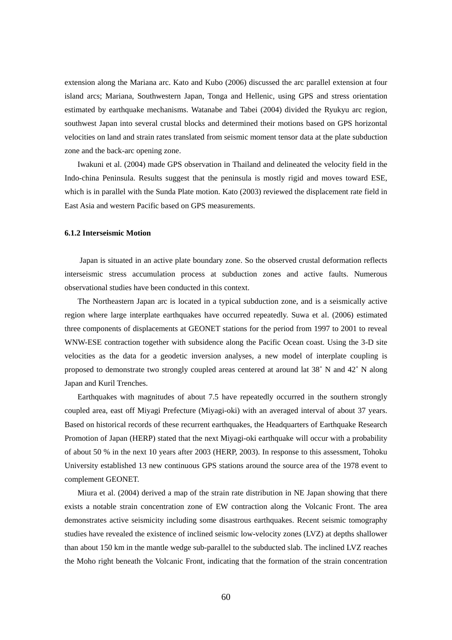extension along the Mariana arc. Kato and Kubo (2006) discussed the arc parallel extension at four island arcs; Mariana, Southwestern Japan, Tonga and Hellenic, using GPS and stress orientation estimated by earthquake mechanisms. Watanabe and Tabei (2004) divided the Ryukyu arc region, southwest Japan into several crustal blocks and determined their motions based on GPS horizontal velocities on land and strain rates translated from seismic moment tensor data at the plate subduction zone and the back-arc opening zone.

Iwakuni et al. (2004) made GPS observation in Thailand and delineated the velocity field in the Indo-china Peninsula. Results suggest that the peninsula is mostly rigid and moves toward ESE, which is in parallel with the Sunda Plate motion. Kato (2003) reviewed the displacement rate field in East Asia and western Pacific based on GPS measurements.

#### **6.1.2 Interseismic Motion**

Japan is situated in an active plate boundary zone. So the observed crustal deformation reflects interseismic stress accumulation process at subduction zones and active faults. Numerous observational studies have been conducted in this context.

The Northeastern Japan arc is located in a typical subduction zone, and is a seismically active region where large interplate earthquakes have occurred repeatedly. Suwa et al. (2006) estimated three components of displacements at GEONET stations for the period from 1997 to 2001 to reveal WNW-ESE contraction together with subsidence along the Pacific Ocean coast. Using the 3-D site velocities as the data for a geodetic inversion analyses, a new model of interplate coupling is proposed to demonstrate two strongly coupled areas centered at around lat 38˚ N and 42˚ N along Japan and Kuril Trenches.

Earthquakes with magnitudes of about 7.5 have repeatedly occurred in the southern strongly coupled area, east off Miyagi Prefecture (Miyagi-oki) with an averaged interval of about 37 years. Based on historical records of these recurrent earthquakes, the Headquarters of Earthquake Research Promotion of Japan (HERP) stated that the next Miyagi-oki earthquake will occur with a probability of about 50 % in the next 10 years after 2003 (HERP, 2003). In response to this assessment, Tohoku University established 13 new continuous GPS stations around the source area of the 1978 event to complement GEONET.

Miura et al. (2004) derived a map of the strain rate distribution in NE Japan showing that there exists a notable strain concentration zone of EW contraction along the Volcanic Front. The area demonstrates active seismicity including some disastrous earthquakes. Recent seismic tomography studies have revealed the existence of inclined seismic low-velocity zones (LVZ) at depths shallower than about 150 km in the mantle wedge sub-parallel to the subducted slab. The inclined LVZ reaches the Moho right beneath the Volcanic Front, indicating that the formation of the strain concentration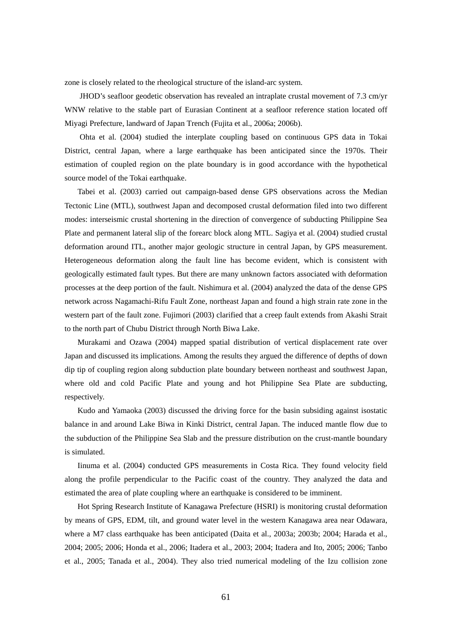zone is closely related to the rheological structure of the island-arc system.

JHOD's seafloor geodetic observation has revealed an intraplate crustal movement of 7.3 cm/yr WNW relative to the stable part of Eurasian Continent at a seafloor reference station located off Miyagi Prefecture, landward of Japan Trench (Fujita et al., 2006a; 2006b).

Ohta et al. (2004) studied the interplate coupling based on continuous GPS data in Tokai District, central Japan, where a large earthquake has been anticipated since the 1970s. Their estimation of coupled region on the plate boundary is in good accordance with the hypothetical source model of the Tokai earthquake.

Tabei et al. (2003) carried out campaign-based dense GPS observations across the Median Tectonic Line (MTL), southwest Japan and decomposed crustal deformation filed into two different modes: interseismic crustal shortening in the direction of convergence of subducting Philippine Sea Plate and permanent lateral slip of the forearc block along MTL. Sagiya et al. (2004) studied crustal deformation around ITL, another major geologic structure in central Japan, by GPS measurement. Heterogeneous deformation along the fault line has become evident, which is consistent with geologically estimated fault types. But there are many unknown factors associated with deformation processes at the deep portion of the fault. Nishimura et al. (2004) analyzed the data of the dense GPS network across Nagamachi-Rifu Fault Zone, northeast Japan and found a high strain rate zone in the western part of the fault zone. Fujimori (2003) clarified that a creep fault extends from Akashi Strait to the north part of Chubu District through North Biwa Lake.

Murakami and Ozawa (2004) mapped spatial distribution of vertical displacement rate over Japan and discussed its implications. Among the results they argued the difference of depths of down dip tip of coupling region along subduction plate boundary between northeast and southwest Japan, where old and cold Pacific Plate and young and hot Philippine Sea Plate are subducting, respectively.

Kudo and Yamaoka (2003) discussed the driving force for the basin subsiding against isostatic balance in and around Lake Biwa in Kinki District, central Japan. The induced mantle flow due to the subduction of the Philippine Sea Slab and the pressure distribution on the crust-mantle boundary is simulated.

Iinuma et al. (2004) conducted GPS measurements in Costa Rica. They found velocity field along the profile perpendicular to the Pacific coast of the country. They analyzed the data and estimated the area of plate coupling where an earthquake is considered to be imminent.

Hot Spring Research Institute of Kanagawa Prefecture (HSRI) is monitoring crustal deformation by means of GPS, EDM, tilt, and ground water level in the western Kanagawa area near Odawara, where a M7 class earthquake has been anticipated (Daita et al., 2003a; 2003b; 2004; Harada et al., 2004; 2005; 2006; Honda et al., 2006; Itadera et al., 2003; 2004; Itadera and Ito, 2005; 2006; Tanbo et al., 2005; Tanada et al., 2004). They also tried numerical modeling of the Izu collision zone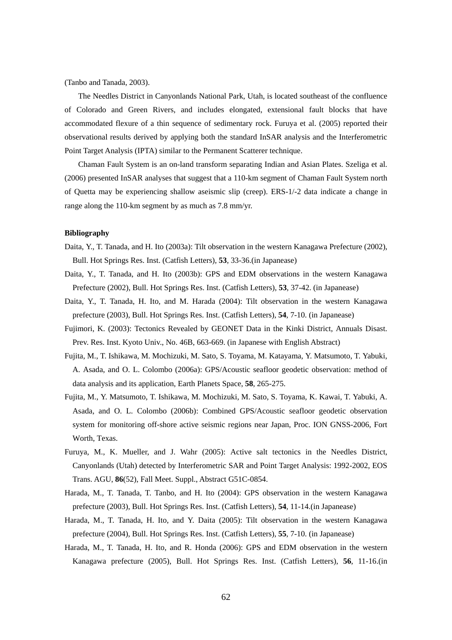(Tanbo and Tanada, 2003).

The Needles District in Canyonlands National Park, Utah, is located southeast of the confluence of Colorado and Green Rivers, and includes elongated, extensional fault blocks that have accommodated flexure of a thin sequence of sedimentary rock. Furuya et al. (2005) reported their observational results derived by applying both the standard InSAR analysis and the Interferometric Point Target Analysis (IPTA) similar to the Permanent Scatterer technique.

Chaman Fault System is an on-land transform separating Indian and Asian Plates. Szeliga et al. (2006) presented InSAR analyses that suggest that a 110-km segment of Chaman Fault System north of Quetta may be experiencing shallow aseismic slip (creep). ERS-1/-2 data indicate a change in range along the 110-km segment by as much as 7.8 mm/yr.

## **Bibliography**

- Daita, Y., T. Tanada, and H. Ito (2003a): Tilt observation in the western Kanagawa Prefecture (2002), Bull. Hot Springs Res. Inst. (Catfish Letters), **53**, 33-36.(in Japanease)
- Daita, Y., T. Tanada, and H. Ito (2003b): GPS and EDM observations in the western Kanagawa Prefecture (2002), Bull. Hot Springs Res. Inst. (Catfish Letters), **53**, 37-42. (in Japanease)
- Daita, Y., T. Tanada, H. Ito, and M. Harada (2004): Tilt observation in the western Kanagawa prefecture (2003), Bull. Hot Springs Res. Inst. (Catfish Letters), **54**, 7-10. (in Japanease)
- Fujimori, K. (2003): Tectonics Revealed by GEONET Data in the Kinki District, Annuals Disast. Prev. Res. Inst. Kyoto Univ., No. 46B, 663-669. (in Japanese with English Abstract)
- Fujita, M., T. Ishikawa, M. Mochizuki, M. Sato, S. Toyama, M. Katayama, Y. Matsumoto, T. Yabuki, A. Asada, and O. L. Colombo (2006a): GPS/Acoustic seafloor geodetic observation: method of data analysis and its application, Earth Planets Space, **58**, 265-275.
- Fujita, M., Y. Matsumoto, T. Ishikawa, M. Mochizuki, M. Sato, S. Toyama, K. Kawai, T. Yabuki, A. Asada, and O. L. Colombo (2006b): Combined GPS/Acoustic seafloor geodetic observation system for monitoring off-shore active seismic regions near Japan, Proc. ION GNSS-2006, Fort Worth, Texas.
- Furuya, M., K. Mueller, and J. Wahr (2005): Active salt tectonics in the Needles District, Canyonlands (Utah) detected by Interferometric SAR and Point Target Analysis: 1992-2002, EOS Trans. AGU, **86**(52), Fall Meet. Suppl., Abstract G51C-0854.
- Harada, M., T. Tanada, T. Tanbo, and H. Ito (2004): GPS observation in the western Kanagawa prefecture (2003), Bull. Hot Springs Res. Inst. (Catfish Letters), **54**, 11-14.(in Japanease)
- Harada, M., T. Tanada, H. Ito, and Y. Daita (2005): Tilt observation in the western Kanagawa prefecture (2004), Bull. Hot Springs Res. Inst. (Catfish Letters), **55**, 7-10. (in Japanease)
- Harada, M., T. Tanada, H. Ito, and R. Honda (2006): GPS and EDM observation in the western Kanagawa prefecture (2005), Bull. Hot Springs Res. Inst. (Catfish Letters), **56**, 11-16.(in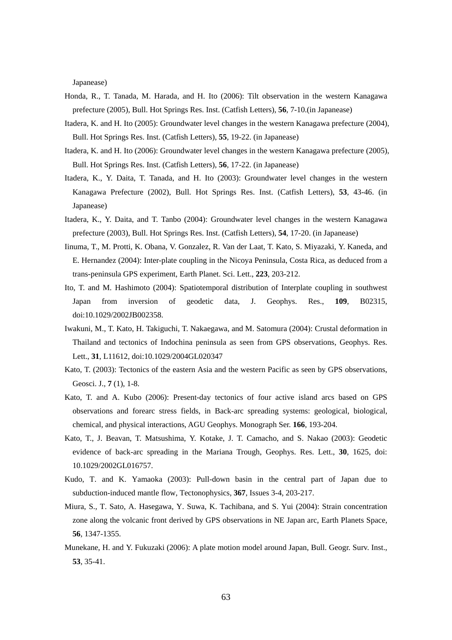Japanease)

- Honda, R., T. Tanada, M. Harada, and H. Ito (2006): Tilt observation in the western Kanagawa prefecture (2005), Bull. Hot Springs Res. Inst. (Catfish Letters), **56**, 7-10.(in Japanease)
- Itadera, K. and H. Ito (2005): Groundwater level changes in the western Kanagawa prefecture (2004), Bull. Hot Springs Res. Inst. (Catfish Letters), **55**, 19-22. (in Japanease)
- Itadera, K. and H. Ito (2006): Groundwater level changes in the western Kanagawa prefecture (2005), Bull. Hot Springs Res. Inst. (Catfish Letters), **56**, 17-22. (in Japanease)
- Itadera, K., Y. Daita, T. Tanada, and H. Ito (2003): Groundwater level changes in the western Kanagawa Prefecture (2002), Bull. Hot Springs Res. Inst. (Catfish Letters), **53**, 43-46. (in Japanease)
- Itadera, K., Y. Daita, and T. Tanbo (2004): Groundwater level changes in the western Kanagawa prefecture (2003), Bull. Hot Springs Res. Inst. (Catfish Letters), **54**, 17-20. (in Japanease)
- Iinuma, T., M. Protti, K. Obana, V. Gonzalez, R. Van der Laat, T. Kato, S. Miyazaki, Y. Kaneda, and E. Hernandez (2004): Inter-plate coupling in the Nicoya Peninsula, Costa Rica, as deduced from a trans-peninsula GPS experiment, Earth Planet. Sci. Lett., **223**, 203-212.
- Ito, T. and M. Hashimoto (2004): Spatiotemporal distribution of Interplate coupling in southwest Japan from inversion of geodetic data, J. Geophys. Res., **109**, B02315, doi:10.1029/2002JB002358.
- Iwakuni, M., T. Kato, H. Takiguchi, T. Nakaegawa, and M. Satomura (2004): Crustal deformation in Thailand and tectonics of Indochina peninsula as seen from GPS observations, Geophys. Res. Lett., **31**, L11612, doi:10.1029/2004GL020347
- Kato, T. (2003): Tectonics of the eastern Asia and the western Pacific as seen by GPS observations, Geosci. J., **7** (1), 1-8.
- Kato, T. and A. Kubo (2006): Present-day tectonics of four active island arcs based on GPS observations and forearc stress fields, in Back-arc spreading systems: geological, biological, chemical, and physical interactions, AGU Geophys. Monograph Ser. **166**, 193-204.
- Kato, T., J. Beavan, T. Matsushima, Y. Kotake, J. T. Camacho, and S. Nakao (2003): Geodetic evidence of back-arc spreading in the Mariana Trough, Geophys. Res. Lett., **30**, 1625, doi: 10.1029/2002GL016757.
- Kudo, T. and K. Yamaoka (2003): Pull-down basin in the central part of Japan due to subduction-induced mantle flow, Tectonophysics, **367**, Issues 3-4, 203-217.
- Miura, S., T. Sato, A. Hasegawa, Y. Suwa, K. Tachibana, and S. Yui (2004): Strain concentration zone along the volcanic front derived by GPS observations in NE Japan arc, Earth Planets Space, **56**, 1347-1355.
- Munekane, H. and Y. Fukuzaki (2006): A plate motion model around Japan, Bull. Geogr. Surv. Inst., **53**, 35-41.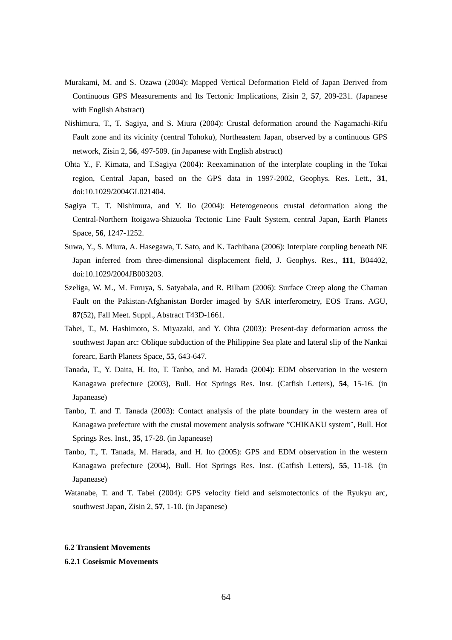- Murakami, M. and S. Ozawa (2004): Mapped Vertical Deformation Field of Japan Derived from Continuous GPS Measurements and Its Tectonic Implications, Zisin 2, **57**, 209-231. (Japanese with English Abstract)
- Nishimura, T., T. Sagiya, and S. Miura (2004): Crustal deformation around the Nagamachi-Rifu Fault zone and its vicinity (central Tohoku), Northeastern Japan, observed by a continuous GPS network, Zisin 2, **56**, 497-509. (in Japanese with English abstract)
- Ohta Y., F. Kimata, and T.Sagiya (2004): Reexamination of the interplate coupling in the Tokai region, Central Japan, based on the GPS data in 1997-2002, Geophys. Res. Lett., **31**, doi:10.1029/2004GL021404.
- Sagiya T., T. Nishimura, and Y. Iio (2004): Heterogeneous crustal deformation along the Central-Northern Itoigawa-Shizuoka Tectonic Line Fault System, central Japan, Earth Planets Space, **56**, 1247-1252.
- Suwa, Y., S. Miura, A. Hasegawa, T. Sato, and K. Tachibana (2006): Interplate coupling beneath NE Japan inferred from three-dimensional displacement field, J. Geophys. Res., **111**, B04402, doi:10.1029/2004JB003203.
- Szeliga, W. M., M. Furuya, S. Satyabala, and R. Bilham (2006): Surface Creep along the Chaman Fault on the Pakistan-Afghanistan Border imaged by SAR interferometry, EOS Trans. AGU, **87**(52), Fall Meet. Suppl., Abstract T43D-1661.
- Tabei, T., M. Hashimoto, S. Miyazaki, and Y. Ohta (2003): Present-day deformation across the southwest Japan arc: Oblique subduction of the Philippine Sea plate and lateral slip of the Nankai forearc, Earth Planets Space, **55**, 643-647.
- Tanada, T., Y. Daita, H. Ito, T. Tanbo, and M. Harada (2004): EDM observation in the western Kanagawa prefecture (2003), Bull. Hot Springs Res. Inst. (Catfish Letters), **54**, 15-16. (in Japanease)
- Tanbo, T. and T. Tanada (2003): Contact analysis of the plate boundary in the western area of Kanagawa prefecture with the crustal movement analysis software "CHIKAKU system¨, Bull. Hot Springs Res. Inst., **35**, 17-28. (in Japanease)
- Tanbo, T., T. Tanada, M. Harada, and H. Ito (2005): GPS and EDM observation in the western Kanagawa prefecture (2004), Bull. Hot Springs Res. Inst. (Catfish Letters), **55**, 11-18. (in Japanease)
- Watanabe, T. and T. Tabei (2004): GPS velocity field and seismotectonics of the Ryukyu arc, southwest Japan, Zisin 2, **57**, 1-10. (in Japanese)

# **6.2 Transient Movements**

# **6.2.1 Coseismic Movements**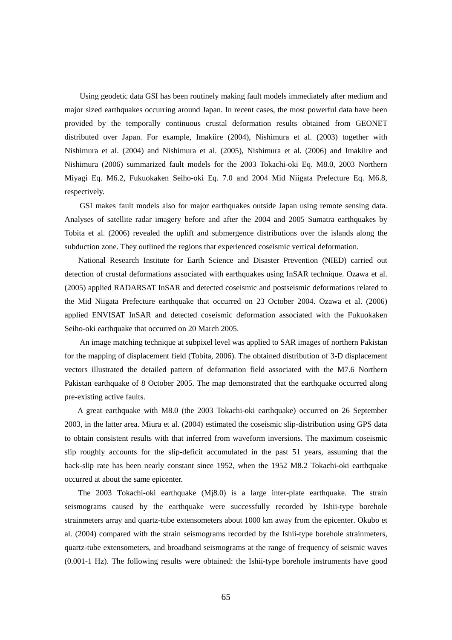Using geodetic data GSI has been routinely making fault models immediately after medium and major sized earthquakes occurring around Japan. In recent cases, the most powerful data have been provided by the temporally continuous crustal deformation results obtained from GEONET distributed over Japan. For example, Imakiire (2004), Nishimura et al. (2003) together with Nishimura et al. (2004) and Nishimura et al. (2005), Nishimura et al. (2006) and Imakiire and Nishimura (2006) summarized fault models for the 2003 Tokachi-oki Eq. M8.0, 2003 Northern Miyagi Eq. M6.2, Fukuokaken Seiho-oki Eq. 7.0 and 2004 Mid Niigata Prefecture Eq. M6.8, respectively.

GSI makes fault models also for major earthquakes outside Japan using remote sensing data. Analyses of satellite radar imagery before and after the 2004 and 2005 Sumatra earthquakes by Tobita et al. (2006) revealed the uplift and submergence distributions over the islands along the subduction zone. They outlined the regions that experienced coseismic vertical deformation.

National Research Institute for Earth Science and Disaster Prevention (NIED) carried out detection of crustal deformations associated with earthquakes using InSAR technique. Ozawa et al. (2005) applied RADARSAT InSAR and detected coseismic and postseismic deformations related to the Mid Niigata Prefecture earthquake that occurred on 23 October 2004. Ozawa et al. (2006) applied ENVISAT InSAR and detected coseismic deformation associated with the Fukuokaken Seiho-oki earthquake that occurred on 20 March 2005.

An image matching technique at subpixel level was applied to SAR images of northern Pakistan for the mapping of displacement field (Tobita, 2006). The obtained distribution of 3-D displacement vectors illustrated the detailed pattern of deformation field associated with the M7.6 Northern Pakistan earthquake of 8 October 2005. The map demonstrated that the earthquake occurred along pre-existing active faults.

A great earthquake with M8.0 (the 2003 Tokachi-oki earthquake) occurred on 26 September 2003, in the latter area. Miura et al. (2004) estimated the coseismic slip-distribution using GPS data to obtain consistent results with that inferred from waveform inversions. The maximum coseismic slip roughly accounts for the slip-deficit accumulated in the past 51 years, assuming that the back-slip rate has been nearly constant since 1952, when the 1952 M8.2 Tokachi-oki earthquake occurred at about the same epicenter.

The 2003 Tokachi-oki earthquake (Mj8.0) is a large inter-plate earthquake. The strain seismograms caused by the earthquake were successfully recorded by Ishii-type borehole strainmeters array and quartz-tube extensometers about 1000 km away from the epicenter. Okubo et al. (2004) compared with the strain seismograms recorded by the Ishii-type borehole strainmeters, quartz-tube extensometers, and broadband seismograms at the range of frequency of seismic waves (0.001-1 Hz). The following results were obtained: the Ishii-type borehole instruments have good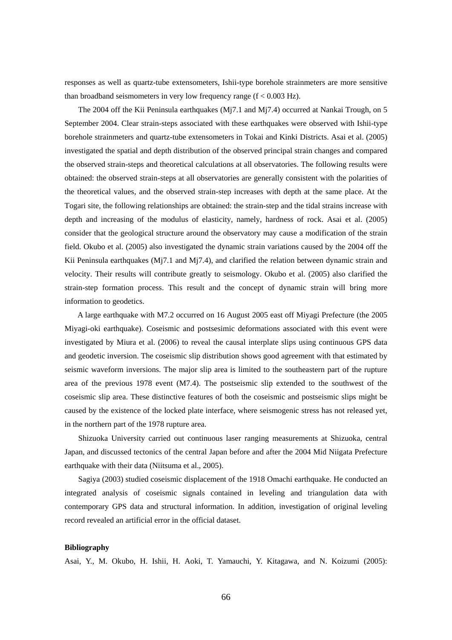responses as well as quartz-tube extensometers, Ishii-type borehole strainmeters are more sensitive than broadband seismometers in very low frequency range  $(f < 0.003 \text{ Hz})$ .

The 2004 off the Kii Peninsula earthquakes (Mj7.1 and Mj7.4) occurred at Nankai Trough, on 5 September 2004. Clear strain-steps associated with these earthquakes were observed with Ishii-type borehole strainmeters and quartz-tube extensometers in Tokai and Kinki Districts. Asai et al. (2005) investigated the spatial and depth distribution of the observed principal strain changes and compared the observed strain-steps and theoretical calculations at all observatories. The following results were obtained: the observed strain-steps at all observatories are generally consistent with the polarities of the theoretical values, and the observed strain-step increases with depth at the same place. At the Togari site, the following relationships are obtained: the strain-step and the tidal strains increase with depth and increasing of the modulus of elasticity, namely, hardness of rock. Asai et al. (2005) consider that the geological structure around the observatory may cause a modification of the strain field. Okubo et al. (2005) also investigated the dynamic strain variations caused by the 2004 off the Kii Peninsula earthquakes (Mj7.1 and Mj7.4), and clarified the relation between dynamic strain and velocity. Their results will contribute greatly to seismology. Okubo et al. (2005) also clarified the strain-step formation process. This result and the concept of dynamic strain will bring more information to geodetics.

A large earthquake with M7.2 occurred on 16 August 2005 east off Miyagi Prefecture (the 2005 Miyagi-oki earthquake). Coseismic and postsesimic deformations associated with this event were investigated by Miura et al. (2006) to reveal the causal interplate slips using continuous GPS data and geodetic inversion. The coseismic slip distribution shows good agreement with that estimated by seismic waveform inversions. The major slip area is limited to the southeastern part of the rupture area of the previous 1978 event (M7.4). The postseismic slip extended to the southwest of the coseismic slip area. These distinctive features of both the coseismic and postseismic slips might be caused by the existence of the locked plate interface, where seismogenic stress has not released yet, in the northern part of the 1978 rupture area.

Shizuoka University carried out continuous laser ranging measurements at Shizuoka, central Japan, and discussed tectonics of the central Japan before and after the 2004 Mid Niigata Prefecture earthquake with their data (Niitsuma et al., 2005).

Sagiya (2003) studied coseismic displacement of the 1918 Omachi earthquake. He conducted an integrated analysis of coseismic signals contained in leveling and triangulation data with contemporary GPS data and structural information. In addition, investigation of original leveling record revealed an artificial error in the official dataset.

#### **Bibliography**

Asai, Y., M. Okubo, H. Ishii, H. Aoki, T. Yamauchi, Y. Kitagawa, and N. Koizumi (2005):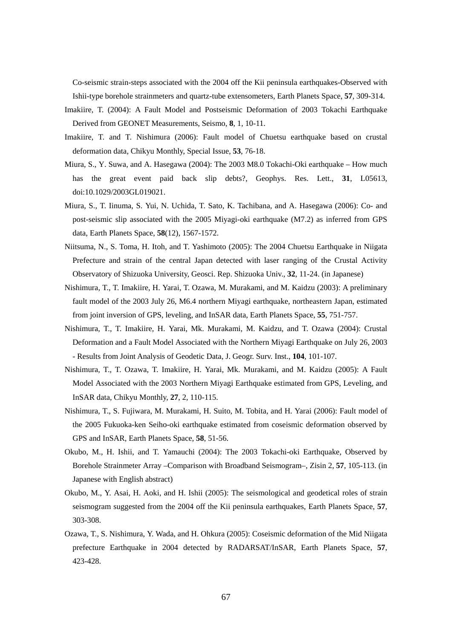Co-seismic strain-steps associated with the 2004 off the Kii peninsula earthquakes-Observed with Ishii-type borehole strainmeters and quartz-tube extensometers, Earth Planets Space, **57**, 309-314.

- Imakiire, T. (2004): A Fault Model and Postseismic Deformation of 2003 Tokachi Earthquake Derived from GEONET Measurements, Seismo, **8**, 1, 10-11.
- Imakiire, T. and T. Nishimura (2006): Fault model of Chuetsu earthquake based on crustal deformation data, Chikyu Monthly, Special Issue, **53**, 76-18.
- Miura, S., Y. Suwa, and A. Hasegawa (2004): The 2003 M8.0 Tokachi-Oki earthquake How much has the great event paid back slip debts?, Geophys. Res. Lett., **31**, L05613, doi:10.1029/2003GL019021.
- Miura, S., T. Iinuma, S. Yui, N. Uchida, T. Sato, K. Tachibana, and A. Hasegawa (2006): Co- and post-seismic slip associated with the 2005 Miyagi-oki earthquake (M7.2) as inferred from GPS data, Earth Planets Space, **58**(12), 1567-1572.
- Niitsuma, N., S. Toma, H. Itoh, and T. Yashimoto (2005): The 2004 Chuetsu Earthquake in Niigata Prefecture and strain of the central Japan detected with laser ranging of the Crustal Activity Observatory of Shizuoka University, Geosci. Rep. Shizuoka Univ., **32**, 11-24. (in Japanese)
- Nishimura, T., T. Imakiire, H. Yarai, T. Ozawa, M. Murakami, and M. Kaidzu (2003): A preliminary fault model of the 2003 July 26, M6.4 northern Miyagi earthquake, northeastern Japan, estimated from joint inversion of GPS, leveling, and InSAR data, Earth Planets Space, **55**, 751-757.
- Nishimura, T., T. Imakiire, H. Yarai, Mk. Murakami, M. Kaidzu, and T. Ozawa (2004): Crustal Deformation and a Fault Model Associated with the Northern Miyagi Earthquake on July 26, 2003 - Results from Joint Analysis of Geodetic Data, J. Geogr. Surv. Inst., **104**, 101-107.
- Nishimura, T., T. Ozawa, T. Imakiire, H. Yarai, Mk. Murakami, and M. Kaidzu (2005): A Fault Model Associated with the 2003 Northern Miyagi Earthquake estimated from GPS, Leveling, and InSAR data, Chikyu Monthly, **27**, 2, 110-115.
- Nishimura, T., S. Fujiwara, M. Murakami, H. Suito, M. Tobita, and H. Yarai (2006): Fault model of the 2005 Fukuoka-ken Seiho-oki earthquake estimated from coseismic deformation observed by GPS and InSAR, Earth Planets Space, **58**, 51-56.
- Okubo, M., H. Ishii, and T. Yamauchi (2004): The 2003 Tokachi-oki Earthquake, Observed by Borehole Strainmeter Array –Comparison with Broadband Seismogram–, Zisin 2, **57**, 105-113. (in Japanese with English abstract)
- Okubo, M., Y. Asai, H. Aoki, and H. Ishii (2005): The seismological and geodetical roles of strain seismogram suggested from the 2004 off the Kii peninsula earthquakes, Earth Planets Space, **57**, 303-308.
- Ozawa, T., S. Nishimura, Y. Wada, and H. Ohkura (2005): Coseismic deformation of the Mid Niigata prefecture Earthquake in 2004 detected by RADARSAT/InSAR, Earth Planets Space, **57**, 423-428.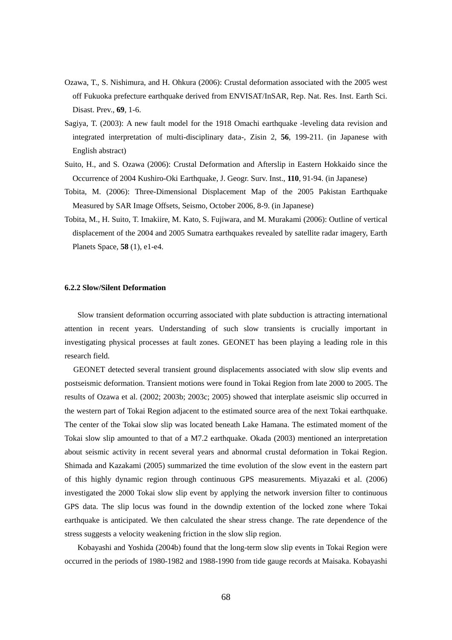- Ozawa, T., S. Nishimura, and H. Ohkura (2006): Crustal deformation associated with the 2005 west off Fukuoka prefecture earthquake derived from ENVISAT/InSAR, Rep. Nat. Res. Inst. Earth Sci. Disast. Prev., **69**, 1-6.
- Sagiya, T. (2003): A new fault model for the 1918 Omachi earthquake -leveling data revision and integrated interpretation of multi-disciplinary data-, Zisin 2, **56**, 199-211. (in Japanese with English abstract)
- Suito, H., and S. Ozawa (2006): Crustal Deformation and Afterslip in Eastern Hokkaido since the Occurrence of 2004 Kushiro-Oki Earthquake, J. Geogr. Surv. Inst., **110**, 91-94. (in Japanese)
- Tobita, M. (2006): Three-Dimensional Displacement Map of the 2005 Pakistan Earthquake Measured by SAR Image Offsets, Seismo, October 2006, 8-9. (in Japanese)
- Tobita, M., H. Suito, T. Imakiire, M. Kato, S. Fujiwara, and M. Murakami (2006): Outline of vertical displacement of the 2004 and 2005 Sumatra earthquakes revealed by satellite radar imagery, Earth Planets Space, **58** (1), e1-e4.

## **6.2.2 Slow/Silent Deformation**

Slow transient deformation occurring associated with plate subduction is attracting international attention in recent years. Understanding of such slow transients is crucially important in investigating physical processes at fault zones. GEONET has been playing a leading role in this research field.

GEONET detected several transient ground displacements associated with slow slip events and postseismic deformation. Transient motions were found in Tokai Region from late 2000 to 2005. The results of Ozawa et al. (2002; 2003b; 2003c; 2005) showed that interplate aseismic slip occurred in the western part of Tokai Region adjacent to the estimated source area of the next Tokai earthquake. The center of the Tokai slow slip was located beneath Lake Hamana. The estimated moment of the Tokai slow slip amounted to that of a M7.2 earthquake. Okada (2003) mentioned an interpretation about seismic activity in recent several years and abnormal crustal deformation in Tokai Region. Shimada and Kazakami (2005) summarized the time evolution of the slow event in the eastern part of this highly dynamic region through continuous GPS measurements. Miyazaki et al. (2006) investigated the 2000 Tokai slow slip event by applying the network inversion filter to continuous GPS data. The slip locus was found in the downdip extention of the locked zone where Tokai earthquake is anticipated. We then calculated the shear stress change. The rate dependence of the stress suggests a velocity weakening friction in the slow slip region.

Kobayashi and Yoshida (2004b) found that the long-term slow slip events in Tokai Region were occurred in the periods of 1980-1982 and 1988-1990 from tide gauge records at Maisaka. Kobayashi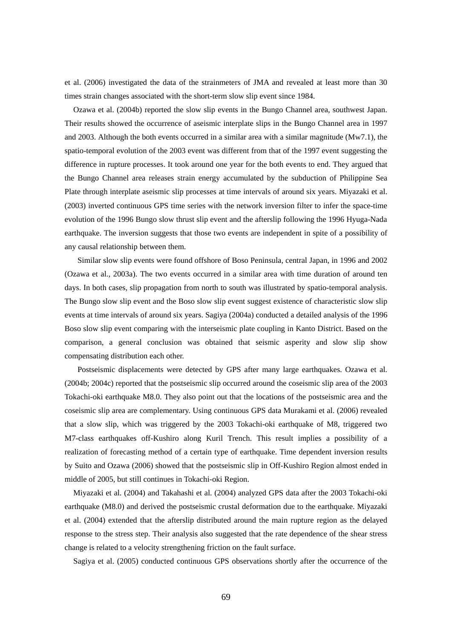et al. (2006) investigated the data of the strainmeters of JMA and revealed at least more than 30 times strain changes associated with the short-term slow slip event since 1984.

Ozawa et al. (2004b) reported the slow slip events in the Bungo Channel area, southwest Japan. Their results showed the occurrence of aseismic interplate slips in the Bungo Channel area in 1997 and 2003. Although the both events occurred in a similar area with a similar magnitude (Mw7.1), the spatio-temporal evolution of the 2003 event was different from that of the 1997 event suggesting the difference in rupture processes. It took around one year for the both events to end. They argued that the Bungo Channel area releases strain energy accumulated by the subduction of Philippine Sea Plate through interplate aseismic slip processes at time intervals of around six years. Miyazaki et al. (2003) inverted continuous GPS time series with the network inversion filter to infer the space-time evolution of the 1996 Bungo slow thrust slip event and the afterslip following the 1996 Hyuga-Nada earthquake. The inversion suggests that those two events are independent in spite of a possibility of any causal relationship between them.

Similar slow slip events were found offshore of Boso Peninsula, central Japan, in 1996 and 2002 (Ozawa et al., 2003a). The two events occurred in a similar area with time duration of around ten days. In both cases, slip propagation from north to south was illustrated by spatio-temporal analysis. The Bungo slow slip event and the Boso slow slip event suggest existence of characteristic slow slip events at time intervals of around six years. Sagiya (2004a) conducted a detailed analysis of the 1996 Boso slow slip event comparing with the interseismic plate coupling in Kanto District. Based on the comparison, a general conclusion was obtained that seismic asperity and slow slip show compensating distribution each other.

Postseismic displacements were detected by GPS after many large earthquakes. Ozawa et al. (2004b; 2004c) reported that the postseismic slip occurred around the coseismic slip area of the 2003 Tokachi-oki earthquake M8.0. They also point out that the locations of the postseismic area and the coseismic slip area are complementary. Using continuous GPS data Murakami et al. (2006) revealed that a slow slip, which was triggered by the 2003 Tokachi-oki earthquake of M8, triggered two M7-class earthquakes off-Kushiro along Kuril Trench. This result implies a possibility of a realization of forecasting method of a certain type of earthquake. Time dependent inversion results by Suito and Ozawa (2006) showed that the postseismic slip in Off-Kushiro Region almost ended in middle of 2005, but still continues in Tokachi-oki Region.

Miyazaki et al. (2004) and Takahashi et al. (2004) analyzed GPS data after the 2003 Tokachi-oki earthquake (M8.0) and derived the postseismic crustal deformation due to the earthquake. Miyazaki et al. (2004) extended that the afterslip distributed around the main rupture region as the delayed response to the stress step. Their analysis also suggested that the rate dependence of the shear stress change is related to a velocity strengthening friction on the fault surface.

Sagiya et al. (2005) conducted continuous GPS observations shortly after the occurrence of the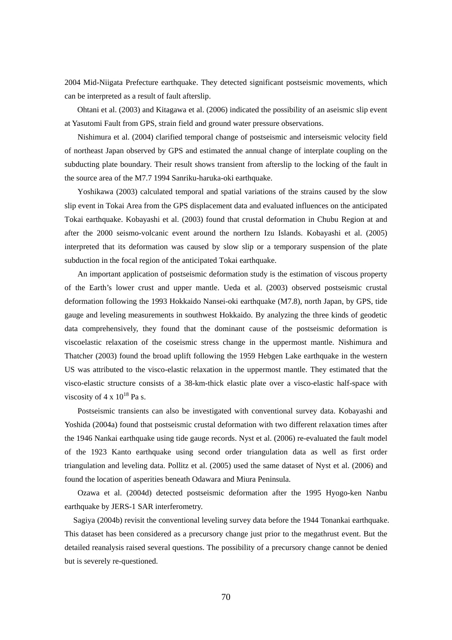2004 Mid-Niigata Prefecture earthquake. They detected significant postseismic movements, which can be interpreted as a result of fault afterslip.

 Ohtani et al. (2003) and Kitagawa et al. (2006) indicated the possibility of an aseismic slip event at Yasutomi Fault from GPS, strain field and ground water pressure observations.

Nishimura et al. (2004) clarified temporal change of postseismic and interseismic velocity field of northeast Japan observed by GPS and estimated the annual change of interplate coupling on the subducting plate boundary. Their result shows transient from afterslip to the locking of the fault in the source area of the M7.7 1994 Sanriku-haruka-oki earthquake.

Yoshikawa (2003) calculated temporal and spatial variations of the strains caused by the slow slip event in Tokai Area from the GPS displacement data and evaluated influences on the anticipated Tokai earthquake. Kobayashi et al. (2003) found that crustal deformation in Chubu Region at and after the 2000 seismo-volcanic event around the northern Izu Islands. Kobayashi et al. (2005) interpreted that its deformation was caused by slow slip or a temporary suspension of the plate subduction in the focal region of the anticipated Tokai earthquake.

An important application of postseismic deformation study is the estimation of viscous property of the Earth's lower crust and upper mantle. Ueda et al. (2003) observed postseismic crustal deformation following the 1993 Hokkaido Nansei-oki earthquake (M7.8), north Japan, by GPS, tide gauge and leveling measurements in southwest Hokkaido. By analyzing the three kinds of geodetic data comprehensively, they found that the dominant cause of the postseismic deformation is viscoelastic relaxation of the coseismic stress change in the uppermost mantle. Nishimura and Thatcher (2003) found the broad uplift following the 1959 Hebgen Lake earthquake in the western US was attributed to the visco-elastic relaxation in the uppermost mantle. They estimated that the visco-elastic structure consists of a 38-km-thick elastic plate over a visco-elastic half-space with viscosity of  $4 \times 10^{18}$  Pa s.

Postseismic transients can also be investigated with conventional survey data. Kobayashi and Yoshida (2004a) found that postseismic crustal deformation with two different relaxation times after the 1946 Nankai earthquake using tide gauge records. Nyst et al. (2006) re-evaluated the fault model of the 1923 Kanto earthquake using second order triangulation data as well as first order triangulation and leveling data. Pollitz et al. (2005) used the same dataset of Nyst et al. (2006) and found the location of asperities beneath Odawara and Miura Peninsula.

Ozawa et al. (2004d) detected postseismic deformation after the 1995 Hyogo-ken Nanbu earthquake by JERS-1 SAR interferometry.

Sagiya (2004b) revisit the conventional leveling survey data before the 1944 Tonankai earthquake. This dataset has been considered as a precursory change just prior to the megathrust event. But the detailed reanalysis raised several questions. The possibility of a precursory change cannot be denied but is severely re-questioned.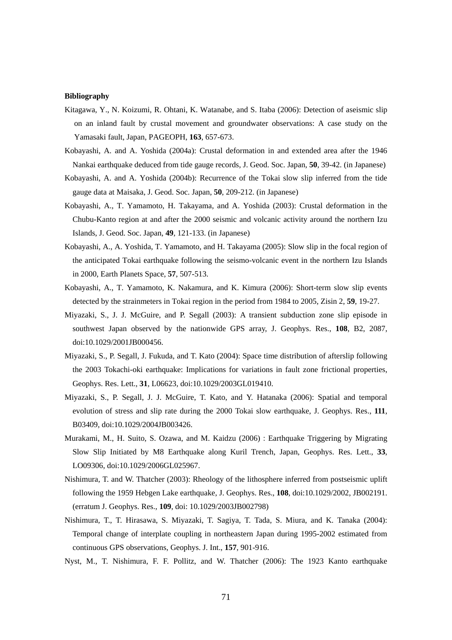- Kitagawa, Y., N. Koizumi, R. Ohtani, K. Watanabe, and S. Itaba (2006): Detection of aseismic slip on an inland fault by crustal movement and groundwater observations: A case study on the Yamasaki fault, Japan, PAGEOPH, **163**, 657-673.
- Kobayashi, A. and A. Yoshida (2004a): Crustal deformation in and extended area after the 1946 Nankai earthquake deduced from tide gauge records, J. Geod. Soc. Japan, **50**, 39-42. (in Japanese)
- Kobayashi, A. and A. Yoshida (2004b): Recurrence of the Tokai slow slip inferred from the tide gauge data at Maisaka, J. Geod. Soc. Japan, **50**, 209-212. (in Japanese)
- Kobayashi, A., T. Yamamoto, H. Takayama, and A. Yoshida (2003): Crustal deformation in the Chubu-Kanto region at and after the 2000 seismic and volcanic activity around the northern Izu Islands, J. Geod. Soc. Japan, **49**, 121-133. (in Japanese)
- Kobayashi, A., A. Yoshida, T. Yamamoto, and H. Takayama (2005): Slow slip in the focal region of the anticipated Tokai earthquake following the seismo-volcanic event in the northern Izu Islands in 2000, Earth Planets Space, **57**, 507-513.
- Kobayashi, A., T. Yamamoto, K. Nakamura, and K. Kimura (2006): Short-term slow slip events detected by the strainmeters in Tokai region in the period from 1984 to 2005, Zisin 2, **59**, 19-27.
- Miyazaki, S., J. J. McGuire, and P. Segall (2003): A transient subduction zone slip episode in southwest Japan observed by the nationwide GPS array, J. Geophys. Res., **108**, B2, 2087, doi:10.1029/2001JB000456.
- Miyazaki, S., P. Segall, J. Fukuda, and T. Kato (2004): Space time distribution of afterslip following the 2003 Tokachi-oki earthquake: Implications for variations in fault zone frictional properties, Geophys. Res. Lett., **31**, L06623, doi:10.1029/2003GL019410.
- Miyazaki, S., P. Segall, J. J. McGuire, T. Kato, and Y. Hatanaka (2006): Spatial and temporal evolution of stress and slip rate during the 2000 Tokai slow earthquake, J. Geophys. Res., **111**, B03409, doi:10.1029/2004JB003426.
- Murakami, M., H. Suito, S. Ozawa, and M. Kaidzu (2006): Earthquake Triggering by Migrating Slow Slip Initiated by M8 Earthquake along Kuril Trench, Japan, Geophys. Res. Lett., **33**, LO09306, doi:10.1029/2006GL025967.
- Nishimura, T. and W. Thatcher (2003): Rheology of the lithosphere inferred from postseismic uplift following the 1959 Hebgen Lake earthquake, J. Geophys. Res., **108**, doi:10.1029/2002, JB002191. (erratum J. Geophys. Res., **109**, doi: 10.1029/2003JB002798)
- Nishimura, T., T. Hirasawa, S. Miyazaki, T. Sagiya, T. Tada, S. Miura, and K. Tanaka (2004): Temporal change of interplate coupling in northeastern Japan during 1995-2002 estimated from continuous GPS observations, Geophys. J. Int., **157**, 901-916.
- Nyst, M., T. Nishimura, F. F. Pollitz, and W. Thatcher (2006): The 1923 Kanto earthquake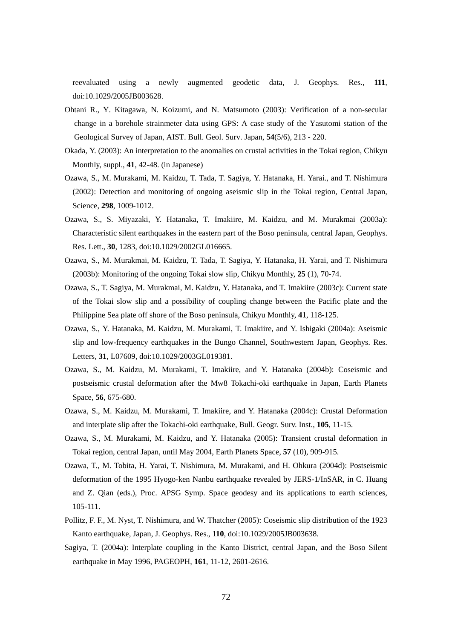reevaluated using a newly augmented geodetic data, J. Geophys. Res., **111**, doi:10.1029/2005JB003628.

- Ohtani R., Y. Kitagawa, N. Koizumi, and N. Matsumoto (2003): Verification of a non-secular change in a borehole strainmeter data using GPS: A case study of the Yasutomi station of the Geological Survey of Japan, AIST. Bull. Geol. Surv. Japan, **54**(5/6), 213 - 220.
- Okada, Y. (2003): An interpretation to the anomalies on crustal activities in the Tokai region, Chikyu Monthly, suppl., **41**, 42-48. (in Japanese)
- Ozawa, S., M. Murakami, M. Kaidzu, T. Tada, T. Sagiya, Y. Hatanaka, H. Yarai., and T. Nishimura (2002): Detection and monitoring of ongoing aseismic slip in the Tokai region, Central Japan, Science, **298**, 1009-1012.
- Ozawa, S., S. Miyazaki, Y. Hatanaka, T. Imakiire, M. Kaidzu, and M. Murakmai (2003a): Characteristic silent earthquakes in the eastern part of the Boso peninsula, central Japan, Geophys. Res. Lett., **30**, 1283, doi:10.1029/2002GL016665.
- Ozawa, S., M. Murakmai, M. Kaidzu, T. Tada, T. Sagiya, Y. Hatanaka, H. Yarai, and T. Nishimura (2003b): Monitoring of the ongoing Tokai slow slip, Chikyu Monthly, **25** (1), 70-74.
- Ozawa, S., T. Sagiya, M. Murakmai, M. Kaidzu, Y. Hatanaka, and T. Imakiire (2003c): Current state of the Tokai slow slip and a possibility of coupling change between the Pacific plate and the Philippine Sea plate off shore of the Boso peninsula, Chikyu Monthly, **41**, 118-125.
- Ozawa, S., Y. Hatanaka, M. Kaidzu, M. Murakami, T. Imakiire, and Y. Ishigaki (2004a): Aseismic slip and low-frequency earthquakes in the Bungo Channel, Southwestern Japan, Geophys. Res. Letters, **31**, L07609, doi:10.1029/2003GL019381.
- Ozawa, S., M. Kaidzu, M. Murakami, T. Imakiire, and Y. Hatanaka (2004b): Coseismic and postseismic crustal deformation after the Mw8 Tokachi-oki earthquake in Japan, Earth Planets Space, **56**, 675-680.
- Ozawa, S., M. Kaidzu, M. Murakami, T. Imakiire, and Y. Hatanaka (2004c): Crustal Deformation and interplate slip after the Tokachi-oki earthquake, Bull. Geogr. Surv. Inst., **105**, 11-15.
- Ozawa, S., M. Murakami, M. Kaidzu, and Y. Hatanaka (2005): Transient crustal deformation in Tokai region, central Japan, until May 2004, Earth Planets Space, **57** (10), 909-915.
- Ozawa, T., M. Tobita, H. Yarai, T. Nishimura, M. Murakami, and H. Ohkura (2004d): Postseismic deformation of the 1995 Hyogo-ken Nanbu earthquake revealed by JERS-1/InSAR, in C. Huang and Z. Qian (eds.), Proc. APSG Symp. Space geodesy and its applications to earth sciences, 105-111.
- Pollitz, F. F., M. Nyst, T. Nishimura, and W. Thatcher (2005): Coseismic slip distribution of the 1923 Kanto earthquake, Japan, J. Geophys. Res., **110**, doi:10.1029/2005JB003638.
- Sagiya, T. (2004a): Interplate coupling in the Kanto District, central Japan, and the Boso Silent earthquake in May 1996, PAGEOPH, **161**, 11-12, 2601-2616.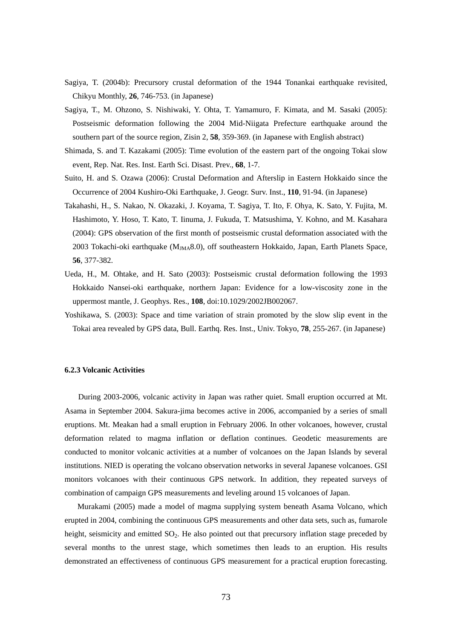- Sagiya, T. (2004b): Precursory crustal deformation of the 1944 Tonankai earthquake revisited, Chikyu Monthly, **26**, 746-753. (in Japanese)
- Sagiya, T., M. Ohzono, S. Nishiwaki, Y. Ohta, T. Yamamuro, F. Kimata, and M. Sasaki (2005): Postseismic deformation following the 2004 Mid-Niigata Prefecture earthquake around the southern part of the source region, Zisin 2, **58**, 359-369. (in Japanese with English abstract)
- Shimada, S. and T. Kazakami (2005): Time evolution of the eastern part of the ongoing Tokai slow event, Rep. Nat. Res. Inst. Earth Sci. Disast. Prev., **68**, 1-7.
- Suito, H. and S. Ozawa (2006): Crustal Deformation and Afterslip in Eastern Hokkaido since the Occurrence of 2004 Kushiro-Oki Earthquake, J. Geogr. Surv. Inst., **110**, 91-94. (in Japanese)
- Takahashi, H., S. Nakao, N. Okazaki, J. Koyama, T. Sagiya, T. Ito, F. Ohya, K. Sato, Y. Fujita, M. Hashimoto, Y. Hoso, T. Kato, T. Iinuma, J. Fukuda, T. Matsushima, Y. Kohno, and M. Kasahara (2004): GPS observation of the first month of postseismic crustal deformation associated with the 2003 Tokachi-oki earthquake (M<sub>JMA</sub>8.0), off southeastern Hokkaido, Japan, Earth Planets Space, **56**, 377-382.
- Ueda, H., M. Ohtake, and H. Sato (2003): Postseismic crustal deformation following the 1993 Hokkaido Nansei-oki earthquake, northern Japan: Evidence for a low-viscosity zone in the uppermost mantle, J. Geophys. Res., **108**, doi:10.1029/2002JB002067.
- Yoshikawa, S. (2003): Space and time variation of strain promoted by the slow slip event in the Tokai area revealed by GPS data, Bull. Earthq. Res. Inst., Univ. Tokyo, **78**, 255-267. (in Japanese)

## **6.2.3 Volcanic Activities**

During 2003-2006, volcanic activity in Japan was rather quiet. Small eruption occurred at Mt. Asama in September 2004. Sakura-jima becomes active in 2006, accompanied by a series of small eruptions. Mt. Meakan had a small eruption in February 2006. In other volcanoes, however, crustal deformation related to magma inflation or deflation continues. Geodetic measurements are conducted to monitor volcanic activities at a number of volcanoes on the Japan Islands by several institutions. NIED is operating the volcano observation networks in several Japanese volcanoes. GSI monitors volcanoes with their continuous GPS network. In addition, they repeated surveys of combination of campaign GPS measurements and leveling around 15 volcanoes of Japan.

Murakami (2005) made a model of magma supplying system beneath Asama Volcano, which erupted in 2004, combining the continuous GPS measurements and other data sets, such as, fumarole height, seismicity and emitted SO<sub>2</sub>. He also pointed out that precursory inflation stage preceded by several months to the unrest stage, which sometimes then leads to an eruption. His results demonstrated an effectiveness of continuous GPS measurement for a practical eruption forecasting.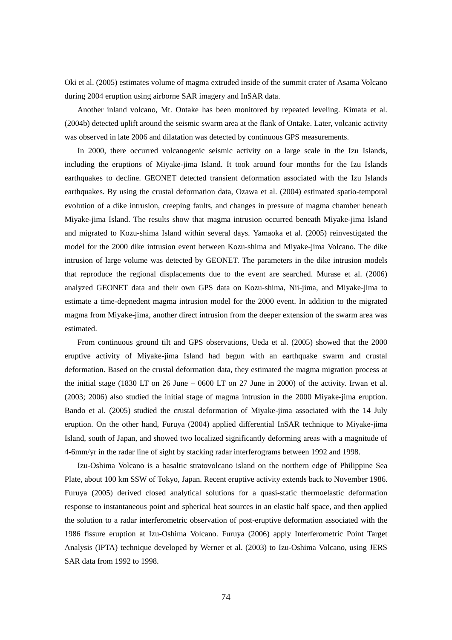Oki et al. (2005) estimates volume of magma extruded inside of the summit crater of Asama Volcano during 2004 eruption using airborne SAR imagery and InSAR data.

Another inland volcano, Mt. Ontake has been monitored by repeated leveling. Kimata et al. (2004b) detected uplift around the seismic swarm area at the flank of Ontake. Later, volcanic activity was observed in late 2006 and dilatation was detected by continuous GPS measurements.

In 2000, there occurred volcanogenic seismic activity on a large scale in the Izu Islands, including the eruptions of Miyake-jima Island. It took around four months for the Izu Islands earthquakes to decline. GEONET detected transient deformation associated with the Izu Islands earthquakes. By using the crustal deformation data, Ozawa et al. (2004) estimated spatio-temporal evolution of a dike intrusion, creeping faults, and changes in pressure of magma chamber beneath Miyake-jima Island. The results show that magma intrusion occurred beneath Miyake-jima Island and migrated to Kozu-shima Island within several days. Yamaoka et al. (2005) reinvestigated the model for the 2000 dike intrusion event between Kozu-shima and Miyake-jima Volcano. The dike intrusion of large volume was detected by GEONET. The parameters in the dike intrusion models that reproduce the regional displacements due to the event are searched. Murase et al. (2006) analyzed GEONET data and their own GPS data on Kozu-shima, Nii-jima, and Miyake-jima to estimate a time-depnedent magma intrusion model for the 2000 event. In addition to the migrated magma from Miyake-jima, another direct intrusion from the deeper extension of the swarm area was estimated.

From continuous ground tilt and GPS observations, Ueda et al. (2005) showed that the 2000 eruptive activity of Miyake-jima Island had begun with an earthquake swarm and crustal deformation. Based on the crustal deformation data, they estimated the magma migration process at the initial stage (1830 LT on 26 June – 0600 LT on 27 June in 2000) of the activity. Irwan et al. (2003; 2006) also studied the initial stage of magma intrusion in the 2000 Miyake-jima eruption. Bando et al. (2005) studied the crustal deformation of Miyake-jima associated with the 14 July eruption. On the other hand, Furuya (2004) applied differential InSAR technique to Miyake-jima Island, south of Japan, and showed two localized significantly deforming areas with a magnitude of 4-6mm/yr in the radar line of sight by stacking radar interferograms between 1992 and 1998.

Izu-Oshima Volcano is a basaltic stratovolcano island on the northern edge of Philippine Sea Plate, about 100 km SSW of Tokyo, Japan. Recent eruptive activity extends back to November 1986. Furuya (2005) derived closed analytical solutions for a quasi-static thermoelastic deformation response to instantaneous point and spherical heat sources in an elastic half space, and then applied the solution to a radar interferometric observation of post-eruptive deformation associated with the 1986 fissure eruption at Izu-Oshima Volcano. Furuya (2006) apply Interferometric Point Target Analysis (IPTA) technique developed by Werner et al. (2003) to Izu-Oshima Volcano, using JERS SAR data from 1992 to 1998.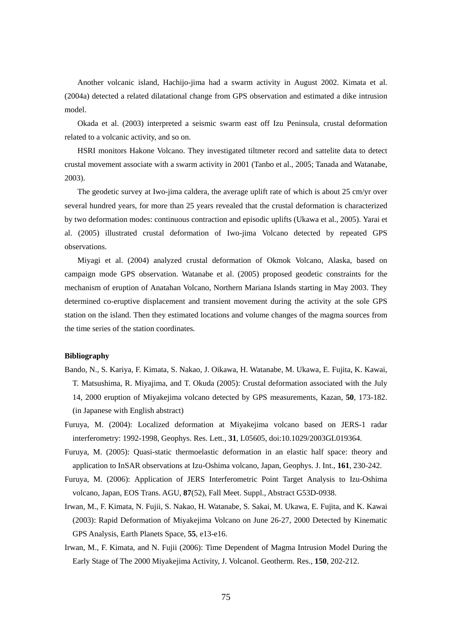Another volcanic island, Hachijo-jima had a swarm activity in August 2002. Kimata et al. (2004a) detected a related dilatational change from GPS observation and estimated a dike intrusion model.

Okada et al. (2003) interpreted a seismic swarm east off Izu Peninsula, crustal deformation related to a volcanic activity, and so on.

HSRI monitors Hakone Volcano. They investigated tiltmeter record and sattelite data to detect crustal movement associate with a swarm activity in 2001 (Tanbo et al., 2005; Tanada and Watanabe, 2003).

The geodetic survey at Iwo-jima caldera, the average uplift rate of which is about 25 cm/yr over several hundred years, for more than 25 years revealed that the crustal deformation is characterized by two deformation modes: continuous contraction and episodic uplifts (Ukawa et al., 2005). Yarai et al. (2005) illustrated crustal deformation of Iwo-jima Volcano detected by repeated GPS observations.

Miyagi et al. (2004) analyzed crustal deformation of Okmok Volcano, Alaska, based on campaign mode GPS observation. Watanabe et al. (2005) proposed geodetic constraints for the mechanism of eruption of Anatahan Volcano, Northern Mariana Islands starting in May 2003. They determined co-eruptive displacement and transient movement during the activity at the sole GPS station on the island. Then they estimated locations and volume changes of the magma sources from the time series of the station coordinates.

- Bando, N., S. Kariya, F. Kimata, S. Nakao, J. Oikawa, H. Watanabe, M. Ukawa, E. Fujita, K. Kawai, T. Matsushima, R. Miyajima, and T. Okuda (2005): Crustal deformation associated with the July 14, 2000 eruption of Miyakejima volcano detected by GPS measurements, Kazan, **50**, 173-182. (in Japanese with English abstract)
- Furuya, M. (2004): Localized deformation at Miyakejima volcano based on JERS-1 radar interferometry: 1992-1998, Geophys. Res. Lett., **31**, L05605, doi:10.1029/2003GL019364.
- Furuya, M. (2005): Quasi-static thermoelastic deformation in an elastic half space: theory and application to InSAR observations at Izu-Oshima volcano, Japan, Geophys. J. Int., **161**, 230-242.
- Furuya, M. (2006): Application of JERS Interferometric Point Target Analysis to Izu-Oshima volcano, Japan, EOS Trans. AGU, **87**(52), Fall Meet. Suppl., Abstract G53D-0938.
- Irwan, M., F. Kimata, N. Fujii, S. Nakao, H. Watanabe, S. Sakai, M. Ukawa, E. Fujita, and K. Kawai (2003): Rapid Deformation of Miyakejima Volcano on June 26-27, 2000 Detected by Kinematic GPS Analysis, Earth Planets Space, **55**, e13-e16.
- Irwan, M., F. Kimata, and N. Fujii (2006): Time Dependent of Magma Intrusion Model During the Early Stage of The 2000 Miyakejima Activity, J. Volcanol. Geotherm. Res., **150**, 202-212.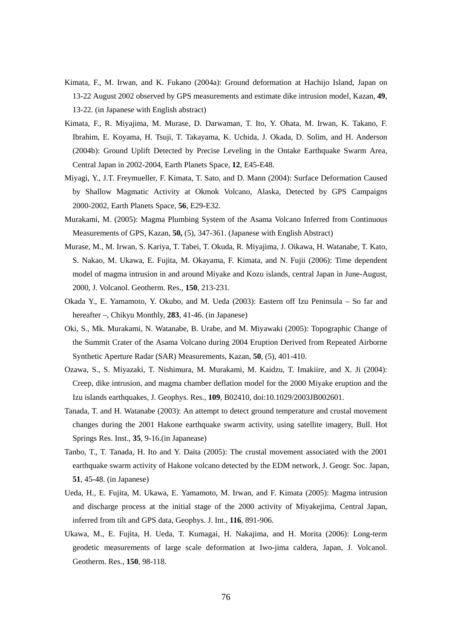- Kimata, F., M. Irwan, and K. Fukano (2004a): Ground deformation at Hachijo Island, Japan on 13-22 August 2002 observed by GPS measurements and estimate dike intrusion model, Kazan, **49**, 13-22. (in Japanese with English abstract)
- Kimata, F., R. Miyajima, M. Murase, D. Darwaman, T. Ito, Y. Ohata, M. Irwan, K. Takano, F. Ibrahim, E. Koyama, H. Tsuji, T. Takayama, K. Uchida, J. Okada, D. Solim, and H. Anderson (2004b): Ground Uplift Detected by Precise Leveling in the Ontake Earthquake Swarm Area, Central Japan in 2002-2004, Earth Planets Space, **12**, E45-E48.
- Miyagi, Y., J.T. Freymueller, F. Kimata, T. Sato, and D. Mann (2004): Surface Deformation Caused by Shallow Magmatic Activity at Okmok Volcano, Alaska, Detected by GPS Campaigns 2000-2002, Earth Planets Space, **56**, E29-E32.
- Murakami, M. (2005): Magma Plumbing System of the Asama Volcano Inferred from Continuous Measurements of GPS, Kazan, **50,** (5), 347-361. (Japanese with English Abstract)
- Murase, M., M. Irwan, S. Kariya, T. Tabei, T. Okuda, R. Miyajima, J. Oikawa, H. Watanabe, T. Kato, S. Nakao, M. Ukawa, E. Fujita, M. Okayama, F. Kimata, and N. Fujii (2006): Time dependent model of magma intrusion in and around Miyake and Kozu islands, central Japan in June-August, 2000, J. Volcanol. Geotherm. Res., **150**, 213-231.
- Okada Y., E. Yamamoto, Y. Okubo, and M. Ueda (2003): Eastern off Izu Peninsula So far and hereafter –, Chikyu Monthly, **283**, 41-46. (in Japanese)
- Oki, S., Mk. Murakami, N. Watanabe, B. Urabe, and M. Miyawaki (2005): Topographic Change of the Summit Crater of the Asama Volcano during 2004 Eruption Derived from Repeated Airborne Synthetic Aperture Radar (SAR) Measurements, Kazan, **50**, (5), 401-410.
- Ozawa, S., S. Miyazaki, T. Nishimura, M. Murakami, M. Kaidzu, T. Imakiire, and X. Ji (2004): Creep, dike intrusion, and magma chamber deflation model for the 2000 Miyake eruption and the Izu islands earthquakes, J. Geophys. Res., **109**, B02410, doi:10.1029/2003JB002601.
- Tanada, T. and H. Watanabe (2003): An attempt to detect ground temperature and crustal movement changes during the 2001 Hakone earthquake swarm activity, using satellite imagery, Bull. Hot Springs Res. Inst., **35**, 9-16.(in Japanease)
- Tanbo, T., T. Tanada, H. Ito and Y. Daita (2005): The crustal movement associated with the 2001 earthquake swarm activity of Hakone volcano detected by the EDM network, J. Geogr. Soc. Japan, **51**, 45-48. (in Japanese)
- Ueda, H., E. Fujita, M. Ukawa, E. Yamamoto, M. Irwan, and F. Kimata (2005): Magma intrusion and discharge process at the initial stage of the 2000 activity of Miyakejima, Central Japan, inferred from tilt and GPS data, Geophys. J. Int., **116**, 891-906.
- Ukawa, M., E. Fujita, H. Ueda, T. Kumagai, H. Nakajima, and H. Morita (2006): Long-term geodetic measurements of large scale deformation at Iwo-jima caldera, Japan, J. Volcanol. Geotherm. Res., **150**, 98-118.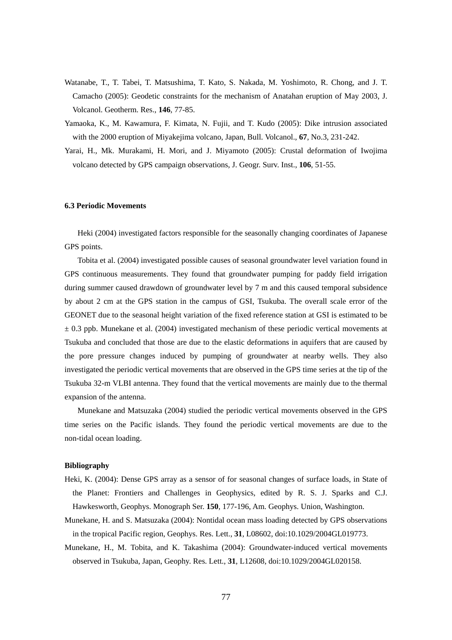- Watanabe, T., T. Tabei, T. Matsushima, T. Kato, S. Nakada, M. Yoshimoto, R. Chong, and J. T. Camacho (2005): Geodetic constraints for the mechanism of Anatahan eruption of May 2003, J. Volcanol. Geotherm. Res., **146**, 77-85.
- Yamaoka, K., M. Kawamura, F. Kimata, N. Fujii, and T. Kudo (2005): Dike intrusion associated with the 2000 eruption of Miyakejima volcano, Japan, Bull. Volcanol., **67**, No.3, 231-242.
- Yarai, H., Mk. Murakami, H. Mori, and J. Miyamoto (2005): Crustal deformation of Iwojima volcano detected by GPS campaign observations, J. Geogr. Surv. Inst., **106**, 51-55.

# **6.3 Periodic Movements**

Heki (2004) investigated factors responsible for the seasonally changing coordinates of Japanese GPS points.

Tobita et al. (2004) investigated possible causes of seasonal groundwater level variation found in GPS continuous measurements. They found that groundwater pumping for paddy field irrigation during summer caused drawdown of groundwater level by 7 m and this caused temporal subsidence by about 2 cm at the GPS station in the campus of GSI, Tsukuba. The overall scale error of the GEONET due to the seasonal height variation of the fixed reference station at GSI is estimated to be  $\pm$  0.3 ppb. Munekane et al. (2004) investigated mechanism of these periodic vertical movements at Tsukuba and concluded that those are due to the elastic deformations in aquifers that are caused by the pore pressure changes induced by pumping of groundwater at nearby wells. They also investigated the periodic vertical movements that are observed in the GPS time series at the tip of the Tsukuba 32-m VLBI antenna. They found that the vertical movements are mainly due to the thermal expansion of the antenna.

Munekane and Matsuzaka (2004) studied the periodic vertical movements observed in the GPS time series on the Pacific islands. They found the periodic vertical movements are due to the non-tidal ocean loading.

- Heki, K. (2004): Dense GPS array as a sensor of for seasonal changes of surface loads, in State of the Planet: Frontiers and Challenges in Geophysics, edited by R. S. J. Sparks and C.J. Hawkesworth, Geophys. Monograph Ser. **150**, 177-196, Am. Geophys. Union, Washington.
- Munekane, H. and S. Matsuzaka (2004): Nontidal ocean mass loading detected by GPS observations in the tropical Pacific region, Geophys. Res. Lett., **31**, L08602, doi:10.1029/2004GL019773.
- Munekane, H., M. Tobita, and K. Takashima (2004): Groundwater-induced vertical movements observed in Tsukuba, Japan, Geophy. Res. Lett., **31**, L12608, doi:10.1029/2004GL020158.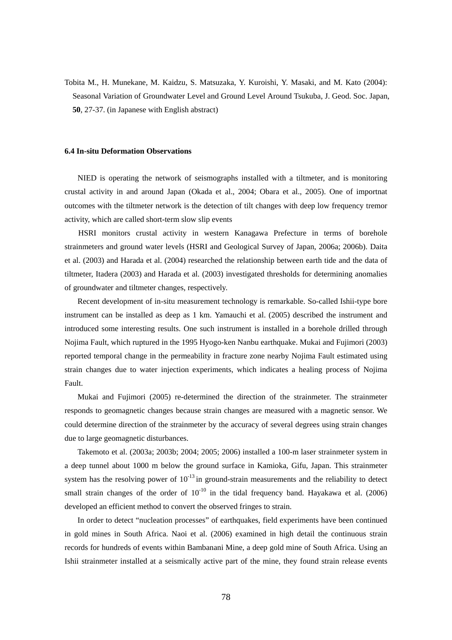Tobita M., H. Munekane, M. Kaidzu, S. Matsuzaka, Y. Kuroishi, Y. Masaki, and M. Kato (2004): Seasonal Variation of Groundwater Level and Ground Level Around Tsukuba, J. Geod. Soc. Japan, **50**, 27-37. (in Japanese with English abstract)

#### **6.4 In-situ Deformation Observations**

NIED is operating the network of seismographs installed with a tiltmeter, and is monitoring crustal activity in and around Japan (Okada et al., 2004; Obara et al., 2005). One of importnat outcomes with the tiltmeter network is the detection of tilt changes with deep low frequency tremor activity, which are called short-term slow slip events

HSRI monitors crustal activity in western Kanagawa Prefecture in terms of borehole strainmeters and ground water levels (HSRI and Geological Survey of Japan, 2006a; 2006b). Daita et al. (2003) and Harada et al. (2004) researched the relationship between earth tide and the data of tiltmeter, Itadera (2003) and Harada et al. (2003) investigated thresholds for determining anomalies of groundwater and tiltmeter changes, respectively.

Recent development of in-situ measurement technology is remarkable. So-called Ishii-type bore instrument can be installed as deep as 1 km. Yamauchi et al. (2005) described the instrument and introduced some interesting results. One such instrument is installed in a borehole drilled through Nojima Fault, which ruptured in the 1995 Hyogo-ken Nanbu earthquake. Mukai and Fujimori (2003) reported temporal change in the permeability in fracture zone nearby Nojima Fault estimated using strain changes due to water injection experiments, which indicates a healing process of Nojima Fault.

Mukai and Fujimori (2005) re-determined the direction of the strainmeter. The strainmeter responds to geomagnetic changes because strain changes are measured with a magnetic sensor. We could determine direction of the strainmeter by the accuracy of several degrees using strain changes due to large geomagnetic disturbances.

Takemoto et al. (2003a; 2003b; 2004; 2005; 2006) installed a 100-m laser strainmeter system in a deep tunnel about 1000 m below the ground surface in Kamioka, Gifu, Japan. This strainmeter system has the resolving power of  $10^{-13}$  in ground-strain measurements and the reliability to detect small strain changes of the order of  $10^{-10}$  in the tidal frequency band. Hayakawa et al. (2006) developed an efficient method to convert the observed fringes to strain.

In order to detect "nucleation processes" of earthquakes, field experiments have been continued in gold mines in South Africa. Naoi et al. (2006) examined in high detail the continuous strain records for hundreds of events within Bambanani Mine, a deep gold mine of South Africa. Using an Ishii strainmeter installed at a seismically active part of the mine, they found strain release events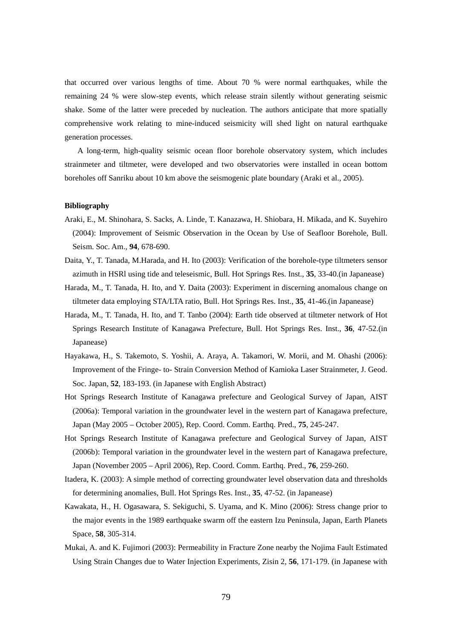that occurred over various lengths of time. About 70 % were normal earthquakes, while the remaining 24 % were slow-step events, which release strain silently without generating seismic shake. Some of the latter were preceded by nucleation. The authors anticipate that more spatially comprehensive work relating to mine-induced seismicity will shed light on natural earthquake generation processes.

A long-term, high-quality seismic ocean floor borehole observatory system, which includes strainmeter and tiltmeter, were developed and two observatories were installed in ocean bottom boreholes off Sanriku about 10 km above the seismogenic plate boundary (Araki et al., 2005).

- Araki, E., M. Shinohara, S. Sacks, A. Linde, T. Kanazawa, H. Shiobara, H. Mikada, and K. Suyehiro (2004): Improvement of Seismic Observation in the Ocean by Use of Seafloor Borehole, Bull. Seism. Soc. Am., **94**, 678-690.
- Daita, Y., T. Tanada, M.Harada, and H. Ito (2003): Verification of the borehole-type tiltmeters sensor azimuth in HSRl using tide and teleseismic, Bull. Hot Springs Res. Inst., **35**, 33-40.(in Japanease)
- Harada, M., T. Tanada, H. Ito, and Y. Daita (2003): Experiment in discerning anomalous change on tiltmeter data employing STA/LTA ratio, Bull. Hot Springs Res. Inst., **35**, 41-46.(in Japanease)
- Harada, M., T. Tanada, H. Ito, and T. Tanbo (2004): Earth tide observed at tiltmeter network of Hot Springs Research Institute of Kanagawa Prefecture, Bull. Hot Springs Res. Inst., **36**, 47-52.(in Japanease)
- Hayakawa, H., S. Takemoto, S. Yoshii, A. Araya, A. Takamori, W. Morii, and M. Ohashi (2006): Improvement of the Fringe- to- Strain Conversion Method of Kamioka Laser Strainmeter, J. Geod. Soc. Japan, **52**, 183-193. (in Japanese with English Abstract)
- Hot Springs Research Institute of Kanagawa prefecture and Geological Survey of Japan, AIST (2006a): Temporal variation in the groundwater level in the western part of Kanagawa prefecture, Japan (May 2005 – October 2005), Rep. Coord. Comm. Earthq. Pred., **75**, 245-247.
- Hot Springs Research Institute of Kanagawa prefecture and Geological Survey of Japan, AIST (2006b): Temporal variation in the groundwater level in the western part of Kanagawa prefecture, Japan (November 2005 – April 2006), Rep. Coord. Comm. Earthq. Pred., **76**, 259-260.
- Itadera, K. (2003): A simple method of correcting groundwater level observation data and thresholds for determining anomalies, Bull. Hot Springs Res. Inst., **35**, 47-52. (in Japanease)
- Kawakata, H., H. Ogasawara, S. Sekiguchi, S. Uyama, and K. Mino (2006): Stress change prior to the major events in the 1989 earthquake swarm off the eastern Izu Peninsula, Japan, Earth Planets Space, **58**, 305-314.
- Mukai, A. and K. Fujimori (2003): Permeability in Fracture Zone nearby the Nojima Fault Estimated Using Strain Changes due to Water Injection Experiments, Zisin 2, **56**, 171-179. (in Japanese with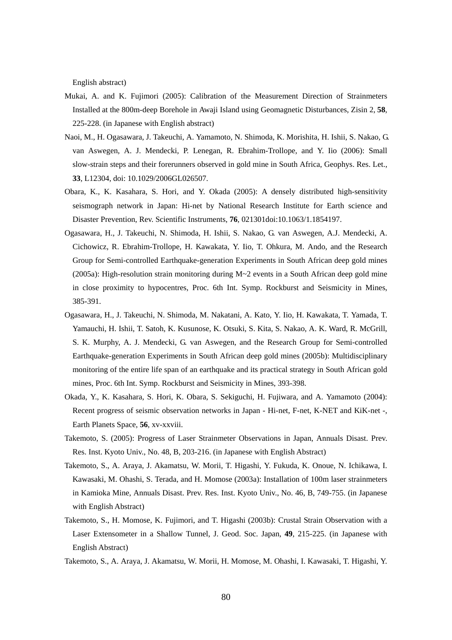English abstract)

- Mukai, A. and K. Fujimori (2005): Calibration of the Measurement Direction of Strainmeters Installed at the 800m-deep Borehole in Awaji Island using Geomagnetic Disturbances, Zisin 2, **58**, 225-228. (in Japanese with English abstract)
- Naoi, M., H. Ogasawara, J. Takeuchi, A. Yamamoto, N. Shimoda, K. Morishita, H. Ishii, S. Nakao, G. van Aswegen, A. J. Mendecki, P. Lenegan, R. Ebrahim-Trollope, and Y. Iio (2006): Small slow-strain steps and their forerunners observed in gold mine in South Africa, Geophys. Res. Let., **33**, L12304, doi: 10.1029/2006GL026507.
- Obara, K., K. Kasahara, S. Hori, and Y. Okada (2005): A densely distributed high-sensitivity seismograph network in Japan: Hi-net by National Research Institute for Earth science and Disaster Prevention, Rev. Scientific Instruments, **76**, 021301doi:10.1063/1.1854197.
- Ogasawara, H., J. Takeuchi, N. Shimoda, H. Ishii, S. Nakao, G. van Aswegen, A.J. Mendecki, A. Cichowicz, R. Ebrahim-Trollope, H. Kawakata, Y. Iio, T. Ohkura, M. Ando, and the Research Group for Semi-controlled Earthquake-generation Experiments in South African deep gold mines (2005a): High-resolution strain monitoring during  $M\sim 2$  events in a South African deep gold mine in close proximity to hypocentres, Proc. 6th Int. Symp. Rockburst and Seismicity in Mines, 385-391.
- Ogasawara, H., J. Takeuchi, N. Shimoda, M. Nakatani, A. Kato, Y. Iio, H. Kawakata, T. Yamada, T. Yamauchi, H. Ishii, T. Satoh, K. Kusunose, K. Otsuki, S. Kita, S. Nakao, A. K. Ward, R. McGrill, S. K. Murphy, A. J. Mendecki, G. van Aswegen, and the Research Group for Semi-controlled Earthquake-generation Experiments in South African deep gold mines (2005b): Multidisciplinary monitoring of the entire life span of an earthquake and its practical strategy in South African gold mines, Proc. 6th Int. Symp. Rockburst and Seismicity in Mines, 393-398.
- Okada, Y., K. Kasahara, S. Hori, K. Obara, S. Sekiguchi, H. Fujiwara, and A. Yamamoto (2004): Recent progress of seismic observation networks in Japan - Hi-net, F-net, K-NET and KiK-net -, Earth Planets Space, **56**, xv-xxviii.
- Takemoto, S. (2005): Progress of Laser Strainmeter Observations in Japan, Annuals Disast. Prev. Res. Inst. Kyoto Univ., No. 48, B, 203-216. (in Japanese with English Abstract)
- Takemoto, S., A. Araya, J. Akamatsu, W. Morii, T. Higashi, Y. Fukuda, K. Onoue, N. Ichikawa, I. Kawasaki, M. Ohashi, S. Terada, and H. Momose (2003a): Installation of 100m laser strainmeters in Kamioka Mine, Annuals Disast. Prev. Res. Inst. Kyoto Univ., No. 46, B, 749-755. (in Japanese with English Abstract)
- Takemoto, S., H. Momose, K. Fujimori, and T. Higashi (2003b): Crustal Strain Observation with a Laser Extensometer in a Shallow Tunnel, J. Geod. Soc. Japan, **49**, 215-225. (in Japanese with English Abstract)
- Takemoto, S., A. Araya, J. Akamatsu, W. Morii, H. Momose, M. Ohashi, I. Kawasaki, T. Higashi, Y.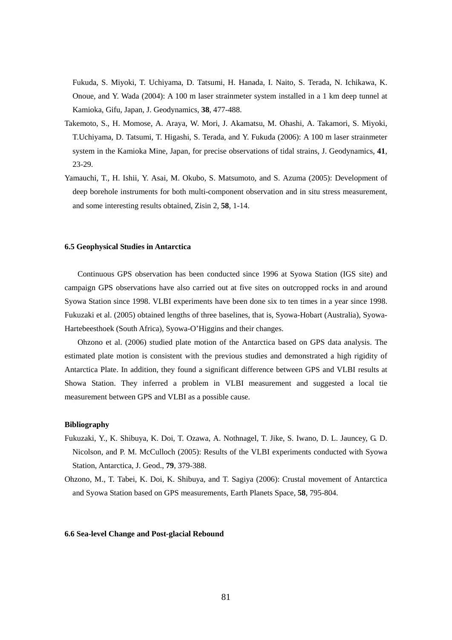Fukuda, S. Miyoki, T. Uchiyama, D. Tatsumi, H. Hanada, I. Naito, S. Terada, N. Ichikawa, K. Onoue, and Y. Wada (2004): A 100 m laser strainmeter system installed in a 1 km deep tunnel at Kamioka, Gifu, Japan, J. Geodynamics, **38**, 477-488.

- Takemoto, S., H. Momose, A. Araya, W. Mori, J. Akamatsu, M. Ohashi, A. Takamori, S. Miyoki, T.Uchiyama, D. Tatsumi, T. Higashi, S. Terada, and Y. Fukuda (2006): A 100 m laser strainmeter system in the Kamioka Mine, Japan, for precise observations of tidal strains, J. Geodynamics, **41**, 23-29.
- Yamauchi, T., H. Ishii, Y. Asai, M. Okubo, S. Matsumoto, and S. Azuma (2005): Development of deep borehole instruments for both multi-component observation and in situ stress measurement, and some interesting results obtained, Zisin 2, **58**, 1-14.

#### **6.5 Geophysical Studies in Antarctica**

Continuous GPS observation has been conducted since 1996 at Syowa Station (IGS site) and campaign GPS observations have also carried out at five sites on outcropped rocks in and around Syowa Station since 1998. VLBI experiments have been done six to ten times in a year since 1998. Fukuzaki et al. (2005) obtained lengths of three baselines, that is, Syowa-Hobart (Australia), Syowa-Hartebeesthoek (South Africa), Syowa-O'Higgins and their changes.

Ohzono et al. (2006) studied plate motion of the Antarctica based on GPS data analysis. The estimated plate motion is consistent with the previous studies and demonstrated a high rigidity of Antarctica Plate. In addition, they found a significant difference between GPS and VLBI results at Showa Station. They inferred a problem in VLBI measurement and suggested a local tie measurement between GPS and VLBI as a possible cause.

# **Bibliography**

- Fukuzaki, Y., K. Shibuya, K. Doi, T. Ozawa, A. Nothnagel, T. Jike, S. Iwano, D. L. Jauncey, G. D. Nicolson, and P. M. McCulloch (2005): Results of the VLBI experiments conducted with Syowa Station, Antarctica, J. Geod., **79**, 379-388.
- Ohzono, M., T. Tabei, K. Doi, K. Shibuya, and T. Sagiya (2006): Crustal movement of Antarctica and Syowa Station based on GPS measurements, Earth Planets Space, **58**, 795-804.

# **6.6 Sea-level Change and Post-glacial Rebound**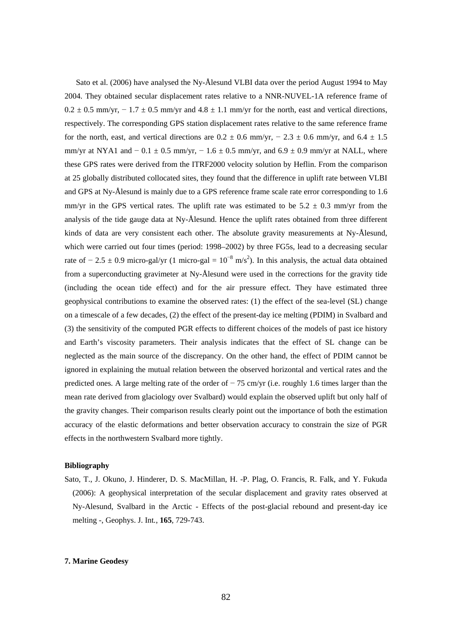Sato et al. (2006) have analysed the Ny-Ålesund VLBI data over the period August 1994 to May 2004. They obtained secular displacement rates relative to a NNR-NUVEL-1A reference frame of  $0.2 \pm 0.5$  mm/yr,  $-1.7 \pm 0.5$  mm/yr and  $4.8 \pm 1.1$  mm/yr for the north, east and vertical directions, respectively. The corresponding GPS station displacement rates relative to the same reference frame for the north, east, and vertical directions are  $0.2 \pm 0.6$  mm/yr,  $-2.3 \pm 0.6$  mm/yr, and  $6.4 \pm 1.5$ mm/yr at NYA1 and  $-0.1 \pm 0.5$  mm/yr,  $-1.6 \pm 0.5$  mm/yr, and  $6.9 \pm 0.9$  mm/yr at NALL, where these GPS rates were derived from the ITRF2000 velocity solution by Heflin. From the comparison at 25 globally distributed collocated sites, they found that the difference in uplift rate between VLBI and GPS at Ny-Ålesund is mainly due to a GPS reference frame scale rate error corresponding to 1.6 mm/yr in the GPS vertical rates. The uplift rate was estimated to be  $5.2 \pm 0.3$  mm/yr from the analysis of the tide gauge data at Ny-Ålesund. Hence the uplift rates obtained from three different kinds of data are very consistent each other. The absolute gravity measurements at Ny-Ålesund, which were carried out four times (period: 1998–2002) by three FG5s, lead to a decreasing secular rate of  $-2.5 \pm 0.9$  micro-gal/yr (1 micro-gal =  $10^{-8}$  m/s<sup>2</sup>). In this analysis, the actual data obtained from a superconducting gravimeter at Ny-Ålesund were used in the corrections for the gravity tide (including the ocean tide effect) and for the air pressure effect. They have estimated three geophysical contributions to examine the observed rates: (1) the effect of the sea-level (SL) change on a timescale of a few decades, (2) the effect of the present-day ice melting (PDIM) in Svalbard and (3) the sensitivity of the computed PGR effects to different choices of the models of past ice history and Earth's viscosity parameters. Their analysis indicates that the effect of SL change can be neglected as the main source of the discrepancy. On the other hand, the effect of PDIM cannot be ignored in explaining the mutual relation between the observed horizontal and vertical rates and the predicted ones. A large melting rate of the order of  $-75$  cm/yr (i.e. roughly 1.6 times larger than the mean rate derived from glaciology over Svalbard) would explain the observed uplift but only half of the gravity changes. Their comparison results clearly point out the importance of both the estimation accuracy of the elastic deformations and better observation accuracy to constrain the size of PGR effects in the northwestern Svalbard more tightly.

# **Bibliography**

Sato, T., J. Okuno, J. Hinderer, D. S. MacMillan, H. -P. Plag, O. Francis, R. Falk, and Y. Fukuda (2006): A geophysical interpretation of the secular displacement and gravity rates observed at Ny-Alesund, Svalbard in the Arctic - Effects of the post-glacial rebound and present-day ice melting -, Geophys. J. Int*.*, **165**, 729-743.

## **7. Marine Geodesy**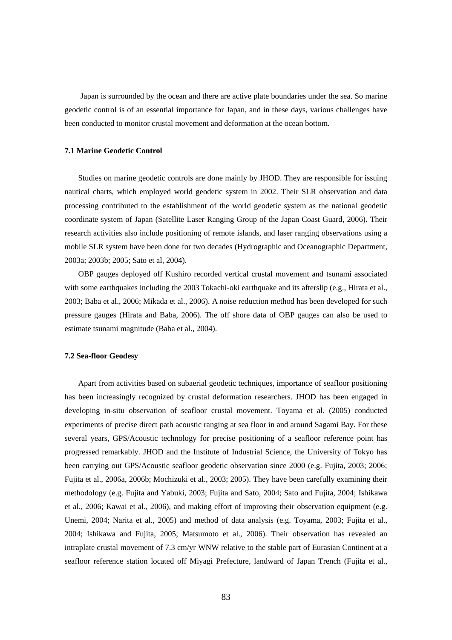Japan is surrounded by the ocean and there are active plate boundaries under the sea. So marine geodetic control is of an essential importance for Japan, and in these days, various challenges have been conducted to monitor crustal movement and deformation at the ocean bottom.

#### **7.1 Marine Geodetic Control**

Studies on marine geodetic controls are done mainly by JHOD. They are responsible for issuing nautical charts, which employed world geodetic system in 2002. Their SLR observation and data processing contributed to the establishment of the world geodetic system as the national geodetic coordinate system of Japan (Satellite Laser Ranging Group of the Japan Coast Guard, 2006). Their research activities also include positioning of remote islands, and laser ranging observations using a mobile SLR system have been done for two decades (Hydrographic and Oceanographic Department, 2003a; 2003b; 2005; Sato et al, 2004).

OBP gauges deployed off Kushiro recorded vertical crustal movement and tsunami associated with some earthquakes including the 2003 Tokachi-oki earthquake and its afterslip (e.g., Hirata et al., 2003; Baba et al., 2006; Mikada et al., 2006). A noise reduction method has been developed for such pressure gauges (Hirata and Baba, 2006). The off shore data of OBP gauges can also be used to estimate tsunami magnitude (Baba et al., 2004).

# **7.2 Sea-floor Geodesy**

Apart from activities based on subaerial geodetic techniques, importance of seafloor positioning has been increasingly recognized by crustal deformation researchers. JHOD has been engaged in developing in-situ observation of seafloor crustal movement. Toyama et al. (2005) conducted experiments of precise direct path acoustic ranging at sea floor in and around Sagami Bay. For these several years, GPS/Acoustic technology for precise positioning of a seafloor reference point has progressed remarkably. JHOD and the Institute of Industrial Science, the University of Tokyo has been carrying out GPS/Acoustic seafloor geodetic observation since 2000 (e.g. Fujita, 2003; 2006; Fujita et al., 2006a, 2006b; Mochizuki et al., 2003; 2005). They have been carefully examining their methodology (e.g. Fujita and Yabuki, 2003; Fujita and Sato, 2004; Sato and Fujita, 2004; Ishikawa et al., 2006; Kawai et al., 2006), and making effort of improving their observation equipment (e.g. Unemi, 2004; Narita et al., 2005) and method of data analysis (e.g. Toyama, 2003; Fujita et al., 2004; Ishikawa and Fujita, 2005; Matsumoto et al., 2006). Their observation has revealed an intraplate crustal movement of 7.3 cm/yr WNW relative to the stable part of Eurasian Continent at a seafloor reference station located off Miyagi Prefecture, landward of Japan Trench (Fujita et al.,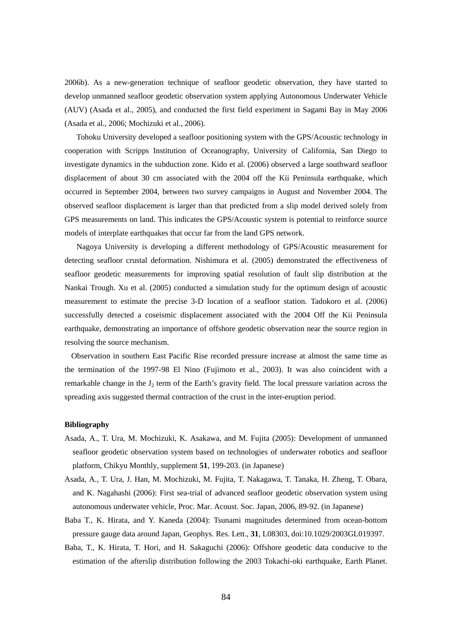2006b). As a new-generation technique of seafloor geodetic observation, they have started to develop unmanned seafloor geodetic observation system applying Autonomous Underwater Vehicle (AUV) (Asada et al., 2005), and conducted the first field experiment in Sagami Bay in May 2006 (Asada et al., 2006; Mochizuki et al., 2006).

Tohoku University developed a seafloor positioning system with the GPS/Acoustic technology in cooperation with Scripps Institution of Oceanography, University of California, San Diego to investigate dynamics in the subduction zone. Kido et al. (2006) observed a large southward seafloor displacement of about 30 cm associated with the 2004 off the Kii Peninsula earthquake, which occurred in September 2004, between two survey campaigns in August and November 2004. The observed seafloor displacement is larger than that predicted from a slip model derived solely from GPS measurements on land. This indicates the GPS/Acoustic system is potential to reinforce source models of interplate earthquakes that occur far from the land GPS network.

Nagoya University is developing a different methodology of GPS/Acoustic measurement for detecting seafloor crustal deformation. Nishimura et al. (2005) demonstrated the effectiveness of seafloor geodetic measurements for improving spatial resolution of fault slip distribution at the Nankai Trough. Xu et al. (2005) conducted a simulation study for the optimum design of acoustic measurement to estimate the precise 3-D location of a seafloor station. Tadokoro et al. (2006) successfully detected a coseismic displacement associated with the 2004 Off the Kii Peninsula earthquake, demonstrating an importance of offshore geodetic observation near the source region in resolving the source mechanism.

Observation in southern East Pacific Rise recorded pressure increase at almost the same time as the termination of the 1997-98 El Nino (Fujimoto et al., 2003). It was also coincident with a remarkable change in the  $J_2$  term of the Earth's gravity field. The local pressure variation across the spreading axis suggested thermal contraction of the crust in the inter-eruption period.

- Asada, A., T. Ura, M. Mochizuki, K. Asakawa, and M. Fujita (2005): Development of unmanned seafloor geodetic observation system based on technologies of underwater robotics and seafloor platform, Chikyu Monthly, supplement **51**, 199-203. (in Japanese)
- Asada, A., T. Ura, J. Han, M. Mochizuki, M. Fujita, T. Nakagawa, T. Tanaka, H. Zheng, T. Obara, and K. Nagahashi (2006): First sea-trial of advanced seafloor geodetic observation system using autonomous underwater vehicle, Proc. Mar. Acoust. Soc. Japan, 2006, 89-92. (in Japanese)
- Baba T., K. Hirata, and Y. Kaneda (2004): Tsunami magnitudes determined from ocean-bottom pressure gauge data around Japan, Geophys. Res. Lett., **31**, L08303, doi:10.1029/2003GL019397.
- Baba, T., K. Hirata, T. Hori, and H. Sakaguchi (2006): Offshore geodetic data conducive to the estimation of the afterslip distribution following the 2003 Tokachi-oki earthquake, Earth Planet.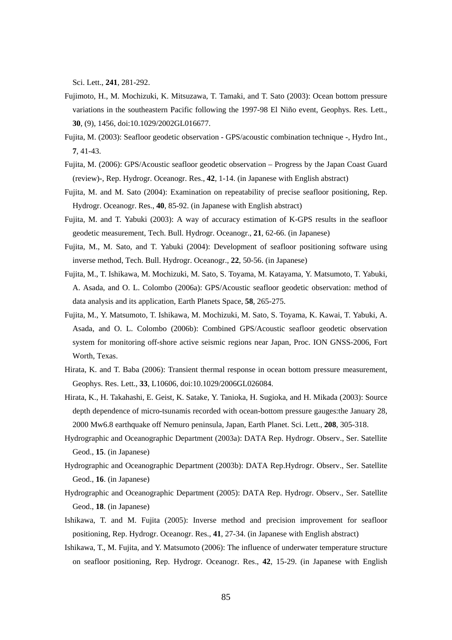Sci. Lett., **241**, 281-292.

- Fujimoto, H., M. Mochizuki, K. Mitsuzawa, T. Tamaki, and T. Sato (2003): Ocean bottom pressure variations in the southeastern Pacific following the 1997-98 El Niño event, Geophys. Res. Lett., **30**, (9), 1456, doi:10.1029/2002GL016677.
- Fujita, M. (2003): Seafloor geodetic observation GPS/acoustic combination technique -, Hydro Int., **7**, 41-43.
- Fujita, M. (2006): GPS/Acoustic seafloor geodetic observation Progress by the Japan Coast Guard (review)-, Rep. Hydrogr. Oceanogr. Res., **42**, 1-14. (in Japanese with English abstract)
- Fujita, M. and M. Sato (2004): Examination on repeatability of precise seafloor positioning, Rep. Hydrogr. Oceanogr. Res., **40**, 85-92. (in Japanese with English abstract)
- Fujita, M. and T. Yabuki (2003): A way of accuracy estimation of K-GPS results in the seafloor geodetic measurement, Tech. Bull. Hydrogr. Oceanogr., **21**, 62-66. (in Japanese)
- Fujita, M., M. Sato, and T. Yabuki (2004): Development of seafloor positioning software using inverse method, Tech. Bull. Hydrogr. Oceanogr., **22**, 50-56. (in Japanese)
- Fujita, M., T. Ishikawa, M. Mochizuki, M. Sato, S. Toyama, M. Katayama, Y. Matsumoto, T. Yabuki, A. Asada, and O. L. Colombo (2006a): GPS/Acoustic seafloor geodetic observation: method of data analysis and its application, Earth Planets Space, **58**, 265-275.
- Fujita, M., Y. Matsumoto, T. Ishikawa, M. Mochizuki, M. Sato, S. Toyama, K. Kawai, T. Yabuki, A. Asada, and O. L. Colombo (2006b): Combined GPS/Acoustic seafloor geodetic observation system for monitoring off-shore active seismic regions near Japan, Proc. ION GNSS-2006, Fort Worth, Texas.
- Hirata, K. and T. Baba (2006): Transient thermal response in ocean bottom pressure measurement, Geophys. Res. Lett., **33**, L10606, doi:10.1029/2006GL026084.
- Hirata, K., H. Takahashi, E. Geist, K. Satake, Y. Tanioka, H. Sugioka, and H. Mikada (2003): Source depth dependence of micro-tsunamis recorded with ocean-bottom pressure gauges:the January 28, 2000 Mw6.8 earthquake off Nemuro peninsula, Japan, Earth Planet. Sci. Lett., **208**, 305-318.
- Hydrographic and Oceanographic Department (2003a): DATA Rep. Hydrogr. Observ., Ser. Satellite Geod., **15**. (in Japanese)
- Hydrographic and Oceanographic Department (2003b): DATA Rep.Hydrogr. Observ., Ser. Satellite Geod., **16**. (in Japanese)
- Hydrographic and Oceanographic Department (2005): DATA Rep. Hydrogr. Observ., Ser. Satellite Geod., **18**. (in Japanese)
- Ishikawa, T. and M. Fujita (2005): Inverse method and precision improvement for seafloor positioning, Rep. Hydrogr. Oceanogr. Res., **41**, 27-34. (in Japanese with English abstract)
- Ishikawa, T., M. Fujita, and Y. Matsumoto (2006): The influence of underwater temperature structure on seafloor positioning, Rep. Hydrogr. Oceanogr. Res., **42**, 15-29. (in Japanese with English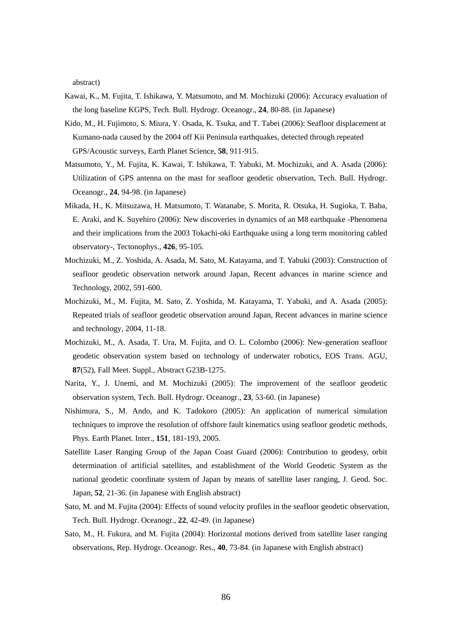abstract)

- Kawai, K., M. Fujita, T. Ishikawa, Y. Matsumoto, and M. Mochizuki (2006): Accuracy evaluation of the long baseline KGPS, Tech. Bull. Hydrogr. Oceanogr., **24**, 80-88. (in Japanese)
- Kido, M., H. Fujimoto, S. Miura, Y. Osada, K. Tsuka, and T. Tabei (2006): Seafloor displacement at Kumano-nada caused by the 2004 off Kii Peninsula earthquakes, detected through repeated GPS/Acoustic surveys, Earth Planet Science, **58**, 911-915.
- Matsumoto, Y., M. Fujita, K. Kawai, T. Ishikawa, T. Yabuki, M. Mochizuki, and A. Asada (2006): Utilization of GPS antenna on the mast for seafloor geodetic observation, Tech. Bull. Hydrogr. Oceanogr., **24**, 94-98. (in Japanese)
- Mikada, H., K. Mitsuzawa, H. Matsumoto, T. Watanabe, S. Morita, R. Otsuka, H. Sugioka, T. Baba, E. Araki, and K. Suyehiro (2006): New discoveries in dynamics of an M8 earthquake -Phenomena and their implications from the 2003 Tokachi-oki Earthquake using a long term monitoring cabled observatory-, Tectonophys., **426**, 95-105.
- Mochizuki, M., Z. Yoshida, A. Asada, M. Sato, M. Katayama, and T. Yabuki (2003): Construction of seafloor geodetic observation network around Japan, Recent advances in marine science and Technology, 2002, 591-600.
- Mochizuki, M., M. Fujita, M. Sato, Z. Yoshida, M. Katayama, T. Yabuki, and A. Asada (2005): Repeated trials of seafloor geodetic observation around Japan, Recent advances in marine science and technology, 2004, 11-18.
- Mochizuki, M., A. Asada, T. Ura, M. Fujita, and O. L. Colombo (2006): New-generation seafloor geodetic observation system based on technology of underwater robotics, EOS Trans. AGU, **87**(52), Fall Meet. Suppl., Abstract G23B-1275.
- Narita, Y., J. Unemi, and M. Mochizuki (2005): The improvement of the seafloor geodetic observation system, Tech. Bull. Hydrogr. Oceanogr., **23**, 53-60. (in Japanese)
- Nishimura, S., M. Ando, and K. Tadokoro (2005): An application of numerical simulation techniques to improve the resolution of offshore fault kinematics using seafloor geodetic methods, Phys. Earth Planet. Inter., **151**, 181-193, 2005.
- Satellite Laser Ranging Group of the Japan Coast Guard (2006): Contribution to geodesy, orbit determination of artificial satellites, and establishment of the World Geodetic System as the national geodetic coordinate system of Japan by means of satellite laser ranging, J. Geod. Soc. Japan, **52**, 21-36. (in Japanese with English abstract)
- Sato, M. and M. Fujita (2004): Effects of sound velocity profiles in the seafloor geodetic observation, Tech. Bull. Hydrogr. Oceanogr., **22**, 42-49. (in Japanese)
- Sato, M., H. Fukura, and M. Fujita (2004): Horizontal motions derived from satellite laser ranging observations, Rep. Hydrogr. Oceanogr. Res., **40**, 73-84. (in Japanese with English abstract)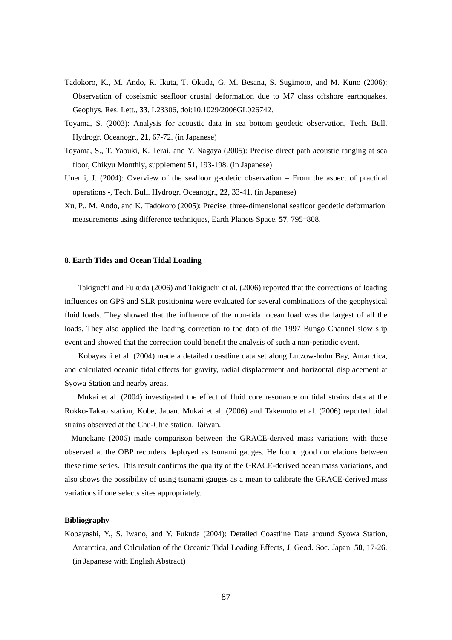- Tadokoro, K., M. Ando, R. Ikuta, T. Okuda, G. M. Besana, S. Sugimoto, and M. Kuno (2006): Observation of coseismic seafloor crustal deformation due to M7 class offshore earthquakes, Geophys. Res. Lett., **33**, L23306, doi:10.1029/2006GL026742.
- Toyama, S. (2003): Analysis for acoustic data in sea bottom geodetic observation, Tech. Bull. Hydrogr. Oceanogr., **21**, 67-72. (in Japanese)
- Toyama, S., T. Yabuki, K. Terai, and Y. Nagaya (2005): Precise direct path acoustic ranging at sea floor, Chikyu Monthly, supplement **51**, 193-198. (in Japanese)
- Unemi, J. (2004): Overview of the seafloor geodetic observation From the aspect of practical operations -, Tech. Bull. Hydrogr. Oceanogr., **22**, 33-41. (in Japanese)
- Xu, P., M. Ando, and K. Tadokoro (2005): Precise, three-dimensional seafloor geodetic deformation measurements using difference techniques, Earth Planets Space, **57**, 795−808.

#### **8. Earth Tides and Ocean Tidal Loading**

Takiguchi and Fukuda (2006) and Takiguchi et al. (2006) reported that the corrections of loading influences on GPS and SLR positioning were evaluated for several combinations of the geophysical fluid loads. They showed that the influence of the non-tidal ocean load was the largest of all the loads. They also applied the loading correction to the data of the 1997 Bungo Channel slow slip event and showed that the correction could benefit the analysis of such a non-periodic event.

Kobayashi et al. (2004) made a detailed coastline data set along Lutzow-holm Bay, Antarctica, and calculated oceanic tidal effects for gravity, radial displacement and horizontal displacement at Syowa Station and nearby areas.

Mukai et al. (2004) investigated the effect of fluid core resonance on tidal strains data at the Rokko-Takao station, Kobe, Japan. Mukai et al. (2006) and Takemoto et al. (2006) reported tidal strains observed at the Chu-Chie station, Taiwan.

Munekane (2006) made comparison between the GRACE-derived mass variations with those observed at the OBP recorders deployed as tsunami gauges. He found good correlations between these time series. This result confirms the quality of the GRACE-derived ocean mass variations, and also shows the possibility of using tsunami gauges as a mean to calibrate the GRACE-derived mass variations if one selects sites appropriately.

# **Bibliography**

Kobayashi, Y., S. Iwano, and Y. Fukuda (2004): Detailed Coastline Data around Syowa Station, Antarctica, and Calculation of the Oceanic Tidal Loading Effects, J. Geod. Soc. Japan, **50**, 17-26. (in Japanese with English Abstract)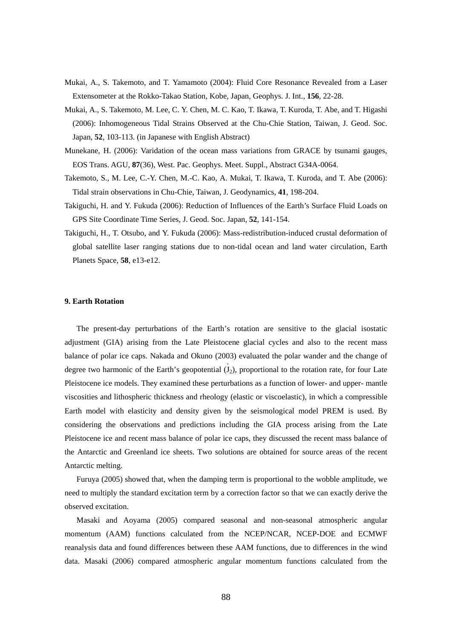- Mukai, A., S. Takemoto, and T. Yamamoto (2004): Fluid Core Resonance Revealed from a Laser Extensometer at the Rokko-Takao Station, Kobe, Japan, Geophys. J. Int., **156**, 22-28.
- Mukai, A., S. Takemoto, M. Lee, C. Y. Chen, M. C. Kao, T. Ikawa, T. Kuroda, T. Abe, and T. Higashi (2006): Inhomogeneous Tidal Strains Observed at the Chu-Chie Station, Taiwan, J. Geod. Soc. Japan, **52**, 103-113. (in Japanese with English Abstract)
- Munekane, H. (2006): Varidation of the ocean mass variations from GRACE by tsunami gauges, EOS Trans. AGU, **87**(36), West. Pac. Geophys. Meet. Suppl., Abstract G34A-0064.
- Takemoto, S., M. Lee, C.-Y. Chen, M.-C. Kao, A. Mukai, T. Ikawa, T. Kuroda, and T. Abe (2006): Tidal strain observations in Chu-Chie, Taiwan, J. Geodynamics, **41**, 198-204.
- Takiguchi, H. and Y. Fukuda (2006): Reduction of Influences of the Earth's Surface Fluid Loads on GPS Site Coordinate Time Series, J. Geod. Soc. Japan, **52**, 141-154.
- Takiguchi, H., T. Otsubo, and Y. Fukuda (2006): Mass-redistribution-induced crustal deformation of global satellite laser ranging stations due to non-tidal ocean and land water circulation, Earth Planets Space, **58**, e13-e12.

## **9. Earth Rotation**

The present-day perturbations of the Earth's rotation are sensitive to the glacial isostatic adjustment (GIA) arising from the Late Pleistocene glacial cycles and also to the recent mass balance of polar ice caps. Nakada and Okuno (2003) evaluated the polar wander and the change of . degree two harmonic of the Earth's geopotential  $(J_2)$ , proportional to the rotation rate, for four Late Pleistocene ice models. They examined these perturbations as a function of lower- and upper- mantle viscosities and lithospheric thickness and rheology (elastic or viscoelastic), in which a compressible Earth model with elasticity and density given by the seismological model PREM is used. By considering the observations and predictions including the GIA process arising from the Late Pleistocene ice and recent mass balance of polar ice caps, they discussed the recent mass balance of the Antarctic and Greenland ice sheets. Two solutions are obtained for source areas of the recent Antarctic melting.

Furuya (2005) showed that, when the damping term is proportional to the wobble amplitude, we need to multiply the standard excitation term by a correction factor so that we can exactly derive the observed excitation.

Masaki and Aoyama (2005) compared seasonal and non-seasonal atmospheric angular momentum (AAM) functions calculated from the NCEP/NCAR, NCEP-DOE and ECMWF reanalysis data and found differences between these AAM functions, due to differences in the wind data. Masaki (2006) compared atmospheric angular momentum functions calculated from the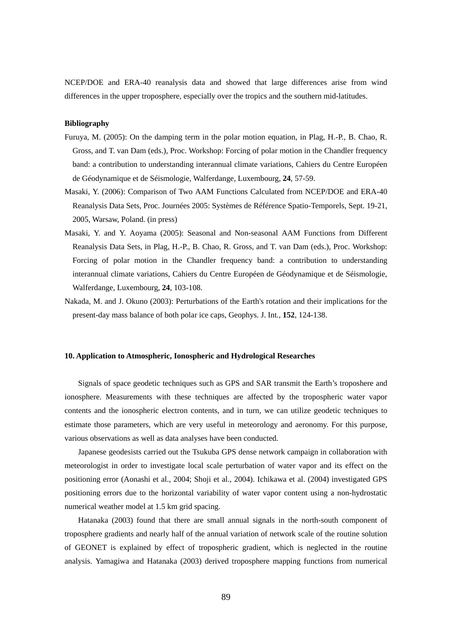NCEP/DOE and ERA-40 reanalysis data and showed that large differences arise from wind differences in the upper troposphere, especially over the tropics and the southern mid-latitudes.

# **Bibliography**

- Furuya, M. (2005): On the damping term in the polar motion equation, in Plag, H.-P., B. Chao, R. Gross, and T. van Dam (eds.), Proc. Workshop: Forcing of polar motion in the Chandler frequency band: a contribution to understanding interannual climate variations, Cahiers du Centre Européen de Géodynamique et de Séismologie, Walferdange, Luxembourg, **24**, 57-59.
- Masaki, Y. (2006): Comparison of Two AAM Functions Calculated from NCEP/DOE and ERA-40 Reanalysis Data Sets, Proc. Journées 2005: Systèmes de Référence Spatio-Temporels, Sept. 19-21, 2005, Warsaw, Poland. (in press)
- Masaki, Y. and Y. Aoyama (2005): Seasonal and Non-seasonal AAM Functions from Different Reanalysis Data Sets, in Plag, H.-P., B. Chao, R. Gross, and T. van Dam (eds.), Proc. Workshop: Forcing of polar motion in the Chandler frequency band: a contribution to understanding interannual climate variations, Cahiers du Centre Européen de Géodynamique et de Séismologie, Walferdange, Luxembourg, **24**, 103-108.
- Nakada, M. and J. Okuno (2003): Perturbations of the Earth's rotation and their implications for the present-day mass balance of both polar ice caps, Geophys. J. Int*.*, **152**, 124-138.

# **10. Application to Atmospheric, Ionospheric and Hydrological Researches**

Signals of space geodetic techniques such as GPS and SAR transmit the Earth's troposhere and ionosphere. Measurements with these techniques are affected by the tropospheric water vapor contents and the ionospheric electron contents, and in turn, we can utilize geodetic techniques to estimate those parameters, which are very useful in meteorology and aeronomy. For this purpose, various observations as well as data analyses have been conducted.

Japanese geodesists carried out the Tsukuba GPS dense network campaign in collaboration with meteorologist in order to investigate local scale perturbation of water vapor and its effect on the positioning error (Aonashi et al., 2004; Shoji et al., 2004). Ichikawa et al. (2004) investigated GPS positioning errors due to the horizontal variability of water vapor content using a non-hydrostatic numerical weather model at 1.5 km grid spacing.

Hatanaka (2003) found that there are small annual signals in the north-south component of troposphere gradients and nearly half of the annual variation of network scale of the routine solution of GEONET is explained by effect of tropospheric gradient, which is neglected in the routine analysis. Yamagiwa and Hatanaka (2003) derived troposphere mapping functions from numerical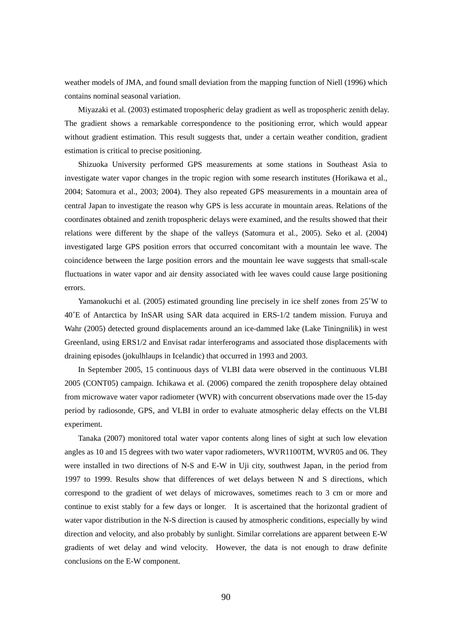weather models of JMA, and found small deviation from the mapping function of Niell (1996) which contains nominal seasonal variation.

Miyazaki et al. (2003) estimated tropospheric delay gradient as well as tropospheric zenith delay. The gradient shows a remarkable correspondence to the positioning error, which would appear without gradient estimation. This result suggests that, under a certain weather condition, gradient estimation is critical to precise positioning.

Shizuoka University performed GPS measurements at some stations in Southeast Asia to investigate water vapor changes in the tropic region with some research institutes (Horikawa et al., 2004; Satomura et al., 2003; 2004). They also repeated GPS measurements in a mountain area of central Japan to investigate the reason why GPS is less accurate in mountain areas. Relations of the coordinates obtained and zenith tropospheric delays were examined, and the results showed that their relations were different by the shape of the valleys (Satomura et al., 2005). Seko et al. (2004) investigated large GPS position errors that occurred concomitant with a mountain lee wave. The coincidence between the large position errors and the mountain lee wave suggests that small-scale fluctuations in water vapor and air density associated with lee waves could cause large positioning errors.

Yamanokuchi et al. (2005) estimated grounding line precisely in ice shelf zones from 25˚W to 40˚E of Antarctica by InSAR using SAR data acquired in ERS-1/2 tandem mission. Furuya and Wahr (2005) detected ground displacements around an ice-dammed lake (Lake Tiningnilik) in west Greenland, using ERS1/2 and Envisat radar interferograms and associated those displacements with draining episodes (jokulhlaups in Icelandic) that occurred in 1993 and 2003.

In September 2005, 15 continuous days of VLBI data were observed in the continuous VLBI 2005 (CONT05) campaign. Ichikawa et al. (2006) compared the zenith troposphere delay obtained from microwave water vapor radiometer (WVR) with concurrent observations made over the 15-day period by radiosonde, GPS, and VLBI in order to evaluate atmospheric delay effects on the VLBI experiment.

Tanaka (2007) monitored total water vapor contents along lines of sight at such low elevation angles as 10 and 15 degrees with two water vapor radiometers, WVR1100TM, WVR05 and 06. They were installed in two directions of N-S and E-W in Uji city, southwest Japan, in the period from 1997 to 1999. Results show that differences of wet delays between N and S directions, which correspond to the gradient of wet delays of microwaves, sometimes reach to 3 cm or more and continue to exist stably for a few days or longer. It is ascertained that the horizontal gradient of water vapor distribution in the N-S direction is caused by atmospheric conditions, especially by wind direction and velocity, and also probably by sunlight. Similar correlations are apparent between E-W gradients of wet delay and wind velocity. However, the data is not enough to draw definite conclusions on the E-W component.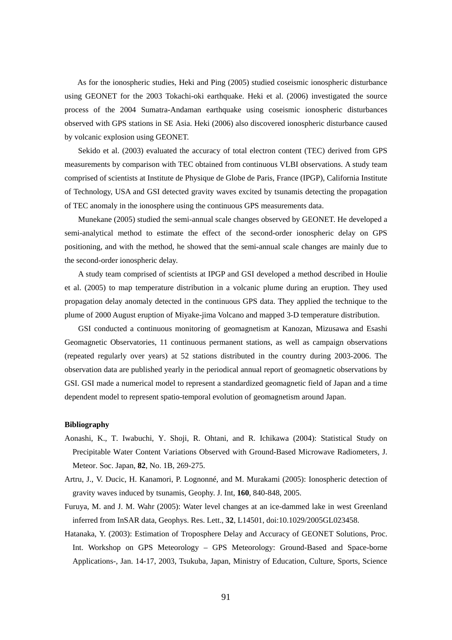As for the ionospheric studies, Heki and Ping (2005) studied coseismic ionospheric disturbance using GEONET for the 2003 Tokachi-oki earthquake. Heki et al. (2006) investigated the source process of the 2004 Sumatra-Andaman earthquake using coseismic ionospheric disturbances observed with GPS stations in SE Asia. Heki (2006) also discovered ionospheric disturbance caused by volcanic explosion using GEONET.

Sekido et al. (2003) evaluated the accuracy of total electron content (TEC) derived from GPS measurements by comparison with TEC obtained from continuous VLBI observations. A study team comprised of scientists at Institute de Physique de Globe de Paris, France (IPGP), California Institute of Technology, USA and GSI detected gravity waves excited by tsunamis detecting the propagation of TEC anomaly in the ionosphere using the continuous GPS measurements data.

Munekane (2005) studied the semi-annual scale changes observed by GEONET. He developed a semi-analytical method to estimate the effect of the second-order ionospheric delay on GPS positioning, and with the method, he showed that the semi-annual scale changes are mainly due to the second-order ionospheric delay.

A study team comprised of scientists at IPGP and GSI developed a method described in Houlie et al. (2005) to map temperature distribution in a volcanic plume during an eruption. They used propagation delay anomaly detected in the continuous GPS data. They applied the technique to the plume of 2000 August eruption of Miyake-jima Volcano and mapped 3-D temperature distribution.

GSI conducted a continuous monitoring of geomagnetism at Kanozan, Mizusawa and Esashi Geomagnetic Observatories, 11 continuous permanent stations, as well as campaign observations (repeated regularly over years) at 52 stations distributed in the country during 2003-2006. The observation data are published yearly in the periodical annual report of geomagnetic observations by GSI. GSI made a numerical model to represent a standardized geomagnetic field of Japan and a time dependent model to represent spatio-temporal evolution of geomagnetism around Japan.

- Aonashi, K., T. Iwabuchi, Y. Shoji, R. Ohtani, and R. Ichikawa (2004): Statistical Study on Precipitable Water Content Variations Observed with Ground-Based Microwave Radiometers, J. Meteor. Soc. Japan, **82**, No. 1B, 269-275.
- Artru, J., V. Ducic, H. Kanamori, P. Lognonné, and M. Murakami (2005): Ionospheric detection of gravity waves induced by tsunamis, Geophy. J. Int, **160**, 840-848, 2005.
- Furuya, M. and J. M. Wahr (2005): Water level changes at an ice-dammed lake in west Greenland inferred from InSAR data, Geophys. Res. Lett., **32**, L14501, doi:10.1029/2005GL023458.
- Hatanaka, Y. (2003): Estimation of Troposphere Delay and Accuracy of GEONET Solutions, Proc. Int. Workshop on GPS Meteorology – GPS Meteorology: Ground-Based and Space-borne Applications-, Jan. 14-17, 2003, Tsukuba, Japan, Ministry of Education, Culture, Sports, Science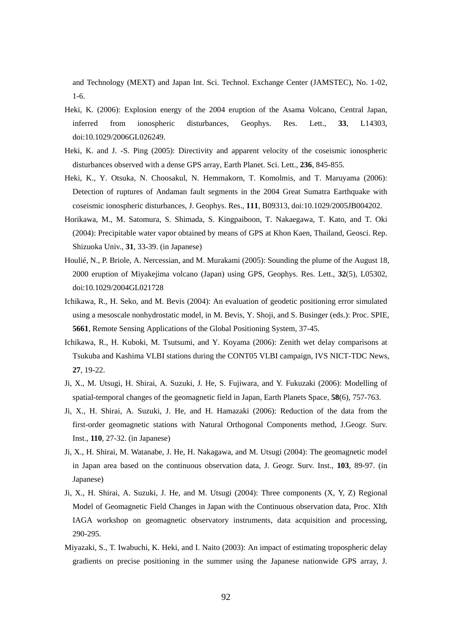and Technology (MEXT) and Japan Int. Sci. Technol. Exchange Center (JAMSTEC), No. 1-02, 1-6.

- Heki, K. (2006): Explosion energy of the 2004 eruption of the Asama Volcano, Central Japan, inferred from ionospheric disturbances, Geophys. Res. Lett., **33**, L14303, doi:10.1029/2006GL026249.
- Heki, K. and J. -S. Ping (2005): Directivity and apparent velocity of the coseismic ionospheric disturbances observed with a dense GPS array, Earth Planet. Sci. Lett., **236**, 845-855.
- Heki, K., Y. Otsuka, N. Choosakul, N. Hemmakorn, T. Komolmis, and T. Maruyama (2006): Detection of ruptures of Andaman fault segments in the 2004 Great Sumatra Earthquake with coseismic ionospheric disturbances, J. Geophys. Res., **111**, B09313, doi:10.1029/2005JB004202.
- Horikawa, M., M. Satomura, S. Shimada, S. Kingpaiboon, T. Nakaegawa, T. Kato, and T. Oki (2004): Precipitable water vapor obtained by means of GPS at Khon Kaen, Thailand, Geosci. Rep. Shizuoka Univ., **31**, 33-39. (in Japanese)
- Houlié, N., P. Briole, A. Nercessian, and M. Murakami (2005): Sounding the plume of the August 18, 2000 eruption of Miyakejima volcano (Japan) using GPS, Geophys. Res. Lett., **32**(5), L05302, doi:10.1029/2004GL021728
- Ichikawa, R., H. Seko, and M. Bevis (2004): An evaluation of geodetic positioning error simulated using a mesoscale nonhydrostatic model, in M. Bevis, Y. Shoji, and S. Businger (eds.): Proc. SPIE, **5661**, Remote Sensing Applications of the Global Positioning System, 37-45.
- Ichikawa, R., H. Kuboki, M. Tsutsumi, and Y. Koyama (2006): Zenith wet delay comparisons at Tsukuba and Kashima VLBI stations during the CONT05 VLBI campaign, IVS NICT-TDC News, **27**, 19-22.
- Ji, X., M. Utsugi, H. Shirai, A. Suzuki, J. He, S. Fujiwara, and Y. Fukuzaki (2006): Modelling of spatial-temporal changes of the geomagnetic field in Japan, Earth Planets Space, **58**(6), 757-763.
- Ji, X., H. Shirai, A. Suzuki, J. He, and H. Hamazaki (2006): Reduction of the data from the first-order geomagnetic stations with Natural Orthogonal Components method, J.Geogr. Surv. Inst., **110**, 27-32. (in Japanese)
- Ji, X., H. Shirai, M. Watanabe, J. He, H. Nakagawa, and M. Utsugi (2004): The geomagnetic model in Japan area based on the continuous observation data, J. Geogr. Surv. Inst., **103**, 89-97. (in Japanese)
- Ji, X., H. Shirai, A. Suzuki, J. He, and M. Utsugi (2004): Three components (X, Y, Z) Regional Model of Geomagnetic Field Changes in Japan with the Continuous observation data, Proc. XIth IAGA workshop on geomagnetic observatory instruments, data acquisition and processing, 290-295.
- Miyazaki, S., T. Iwabuchi, K. Heki, and I. Naito (2003): An impact of estimating tropospheric delay gradients on precise positioning in the summer using the Japanese nationwide GPS array, J.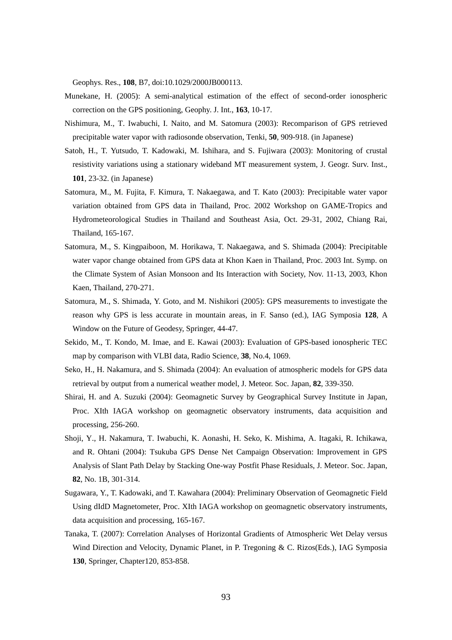Geophys. Res., **108**, B7, doi:10.1029/2000JB000113.

- Munekane, H. (2005): A semi-analytical estimation of the effect of second-order ionospheric correction on the GPS positioning, Geophy. J. Int., **163**, 10-17.
- Nishimura, M., T. Iwabuchi, I. Naito, and M. Satomura (2003): Recomparison of GPS retrieved precipitable water vapor with radiosonde observation, Tenki, **50**, 909-918. (in Japanese)
- Satoh, H., T. Yutsudo, T. Kadowaki, M. Ishihara, and S. Fujiwara (2003): Monitoring of crustal resistivity variations using a stationary wideband MT measurement system, J. Geogr. Surv. Inst., **101**, 23-32. (in Japanese)
- Satomura, M., M. Fujita, F. Kimura, T. Nakaegawa, and T. Kato (2003): Precipitable water vapor variation obtained from GPS data in Thailand, Proc. 2002 Workshop on GAME-Tropics and Hydrometeorological Studies in Thailand and Southeast Asia, Oct. 29-31, 2002, Chiang Rai, Thailand, 165-167.
- Satomura, M., S. Kingpaiboon, M. Horikawa, T. Nakaegawa, and S. Shimada (2004): Precipitable water vapor change obtained from GPS data at Khon Kaen in Thailand, Proc. 2003 Int. Symp. on the Climate System of Asian Monsoon and Its Interaction with Society, Nov. 11-13, 2003, Khon Kaen, Thailand, 270-271.
- Satomura, M., S. Shimada, Y. Goto, and M. Nishikori (2005): GPS measurements to investigate the reason why GPS is less accurate in mountain areas, in F. Sanso (ed.), IAG Symposia **128**, A Window on the Future of Geodesy, Springer, 44-47.
- Sekido, M., T. Kondo, M. Imae, and E. Kawai (2003): Evaluation of GPS-based ionospheric TEC map by comparison with VLBI data, Radio Science, **38**, No.4, 1069.
- Seko, H., H. Nakamura, and S. Shimada (2004): An evaluation of atmospheric models for GPS data retrieval by output from a numerical weather model, J. Meteor. Soc. Japan, **82**, 339-350.
- Shirai, H. and A. Suzuki (2004): Geomagnetic Survey by Geographical Survey Institute in Japan, Proc. XIth IAGA workshop on geomagnetic observatory instruments, data acquisition and processing, 256-260.
- Shoji, Y., H. Nakamura, T. Iwabuchi, K. Aonashi, H. Seko, K. Mishima, A. Itagaki, R. Ichikawa, and R. Ohtani (2004): Tsukuba GPS Dense Net Campaign Observation: Improvement in GPS Analysis of Slant Path Delay by Stacking One-way Postfit Phase Residuals, J. Meteor. Soc. Japan, **82**, No. 1B, 301-314.
- Sugawara, Y., T. Kadowaki, and T. Kawahara (2004): Preliminary Observation of Geomagnetic Field Using dIdD Magnetometer, Proc. XIth IAGA workshop on geomagnetic observatory instruments, data acquisition and processing, 165-167.
- Tanaka, T. (2007): Correlation Analyses of Horizontal Gradients of Atmospheric Wet Delay versus Wind Direction and Velocity, Dynamic Planet, in P. Tregoning & C. Rizos(Eds.), IAG Symposia **130**, Springer, Chapter120, 853-858.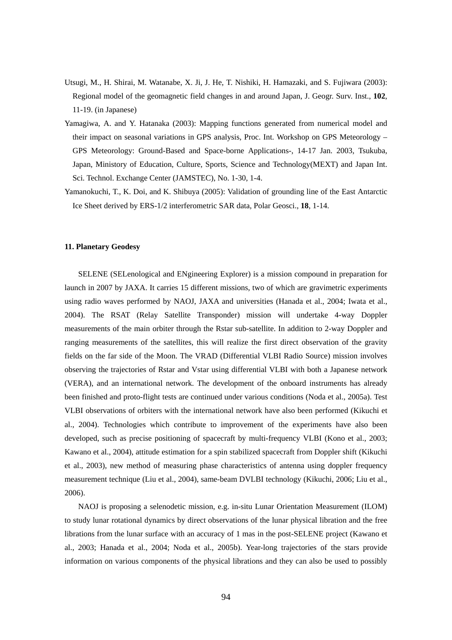- Utsugi, M., H. Shirai, M. Watanabe, X. Ji, J. He, T. Nishiki, H. Hamazaki, and S. Fujiwara (2003): Regional model of the geomagnetic field changes in and around Japan, J. Geogr. Surv. Inst., **102**, 11-19. (in Japanese)
- Yamagiwa, A. and Y. Hatanaka (2003): Mapping functions generated from numerical model and their impact on seasonal variations in GPS analysis, Proc. Int. Workshop on GPS Meteorology – GPS Meteorology: Ground-Based and Space-borne Applications-, 14-17 Jan. 2003, Tsukuba, Japan, Ministory of Education, Culture, Sports, Science and Technology(MEXT) and Japan Int. Sci. Technol. Exchange Center (JAMSTEC), No. 1-30, 1-4.
- Yamanokuchi, T., K. Doi, and K. Shibuya (2005): Validation of grounding line of the East Antarctic Ice Sheet derived by ERS-1/2 interferometric SAR data, Polar Geosci., **18**, 1-14.

#### **11. Planetary Geodesy**

SELENE (SELenological and ENgineering Explorer) is a mission compound in preparation for launch in 2007 by JAXA. It carries 15 different missions, two of which are gravimetric experiments using radio waves performed by NAOJ, JAXA and universities (Hanada et al., 2004; Iwata et al., 2004). The RSAT (Relay Satellite Transponder) mission will undertake 4-way Doppler measurements of the main orbiter through the Rstar sub-satellite. In addition to 2-way Doppler and ranging measurements of the satellites, this will realize the first direct observation of the gravity fields on the far side of the Moon. The VRAD (Differential VLBI Radio Source) mission involves observing the trajectories of Rstar and Vstar using differential VLBI with both a Japanese network (VERA), and an international network. The development of the onboard instruments has already been finished and proto-flight tests are continued under various conditions (Noda et al., 2005a). Test VLBI observations of orbiters with the international network have also been performed (Kikuchi et al., 2004). Technologies which contribute to improvement of the experiments have also been developed, such as precise positioning of spacecraft by multi-frequency VLBI (Kono et al., 2003; Kawano et al., 2004), attitude estimation for a spin stabilized spacecraft from Doppler shift (Kikuchi et al., 2003), new method of measuring phase characteristics of antenna using doppler frequency measurement technique (Liu et al., 2004), same-beam DVLBI technology (Kikuchi, 2006; Liu et al., 2006).

NAOJ is proposing a selenodetic mission, e.g. in-situ Lunar Orientation Measurement (ILOM) to study lunar rotational dynamics by direct observations of the lunar physical libration and the free librations from the lunar surface with an accuracy of 1 mas in the post-SELENE project (Kawano et al., 2003; Hanada et al., 2004; Noda et al., 2005b). Year-long trajectories of the stars provide information on various components of the physical librations and they can also be used to possibly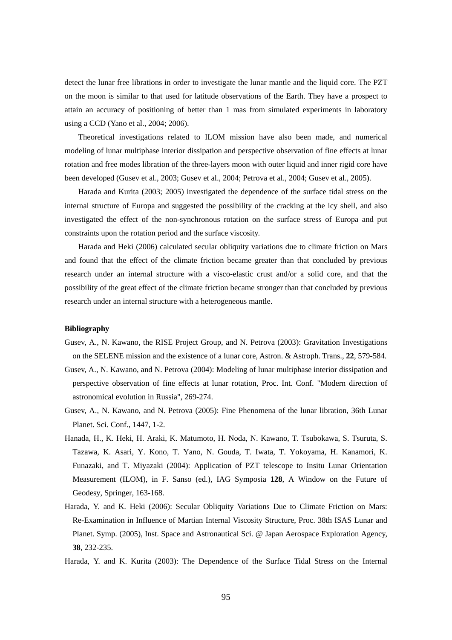detect the lunar free librations in order to investigate the lunar mantle and the liquid core. The PZT on the moon is similar to that used for latitude observations of the Earth. They have a prospect to attain an accuracy of positioning of better than 1 mas from simulated experiments in laboratory using a CCD (Yano et al., 2004; 2006).

Theoretical investigations related to ILOM mission have also been made, and numerical modeling of lunar multiphase interior dissipation and perspective observation of fine effects at lunar rotation and free modes libration of the three-layers moon with outer liquid and inner rigid core have been developed (Gusev et al., 2003; Gusev et al., 2004; Petrova et al., 2004; Gusev et al., 2005).

Harada and Kurita (2003; 2005) investigated the dependence of the surface tidal stress on the internal structure of Europa and suggested the possibility of the cracking at the icy shell, and also investigated the effect of the non-synchronous rotation on the surface stress of Europa and put constraints upon the rotation period and the surface viscosity.

Harada and Heki (2006) calculated secular obliquity variations due to climate friction on Mars and found that the effect of the climate friction became greater than that concluded by previous research under an internal structure with a visco-elastic crust and/or a solid core, and that the possibility of the great effect of the climate friction became stronger than that concluded by previous research under an internal structure with a heterogeneous mantle.

- Gusev, A., N. Kawano, the RISE Project Group, and N. Petrova (2003): Gravitation Investigations on the SELENE mission and the existence of a lunar core, Astron. & Astroph. Trans., **22**, 579-584.
- Gusev, A., N. Kawano, and N. Petrova (2004): Modeling of lunar multiphase interior dissipation and perspective observation of fine effects at lunar rotation, Proc. Int. Conf. "Modern direction of astronomical evolution in Russia", 269-274.
- Gusev, A., N. Kawano, and N. Petrova (2005): Fine Phenomena of the lunar libration, 36th Lunar Planet. Sci. Conf., 1447, 1-2.
- Hanada, H., K. Heki, H. Araki, K. Matumoto, H. Noda, N. Kawano, T. Tsubokawa, S. Tsuruta, S. Tazawa, K. Asari, Y. Kono, T. Yano, N. Gouda, T. Iwata, T. Yokoyama, H. Kanamori, K. Funazaki, and T. Miyazaki (2004): Application of PZT telescope to Insitu Lunar Orientation Measurement (ILOM), in F. Sanso (ed.), IAG Symposia **128**, A Window on the Future of Geodesy, Springer, 163-168.
- Harada, Y. and K. Heki (2006): Secular Obliquity Variations Due to Climate Friction on Mars: Re-Examination in Influence of Martian Internal Viscosity Structure, Proc. 38th ISAS Lunar and Planet. Symp. (2005), Inst. Space and Astronautical Sci. @ Japan Aerospace Exploration Agency, **38**, 232-235.
- Harada, Y. and K. Kurita (2003): The Dependence of the Surface Tidal Stress on the Internal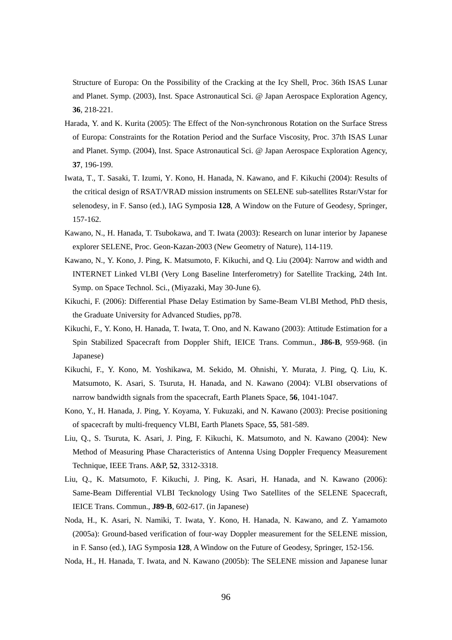Structure of Europa: On the Possibility of the Cracking at the Icy Shell, Proc. 36th ISAS Lunar and Planet. Symp. (2003), Inst. Space Astronautical Sci. @ Japan Aerospace Exploration Agency, **36**, 218-221.

- Harada, Y. and K. Kurita (2005): The Effect of the Non-synchronous Rotation on the Surface Stress of Europa: Constraints for the Rotation Period and the Surface Viscosity, Proc. 37th ISAS Lunar and Planet. Symp. (2004), Inst. Space Astronautical Sci. @ Japan Aerospace Exploration Agency, **37**, 196-199.
- Iwata, T., T. Sasaki, T. Izumi, Y. Kono, H. Hanada, N. Kawano, and F. Kikuchi (2004): Results of the critical design of RSAT/VRAD mission instruments on SELENE sub-satellites Rstar/Vstar for selenodesy, in F. Sanso (ed.), IAG Symposia **128**, A Window on the Future of Geodesy, Springer, 157-162.
- Kawano, N., H. Hanada, T. Tsubokawa, and T. Iwata (2003): Research on lunar interior by Japanese explorer SELENE, Proc. Geon-Kazan-2003 (New Geometry of Nature), 114-119.
- Kawano, N., Y. Kono, J. Ping, K. Matsumoto, F. Kikuchi, and Q. Liu (2004): Narrow and width and INTERNET Linked VLBI (Very Long Baseline Interferometry) for Satellite Tracking, 24th Int. Symp. on Space Technol. Sci., (Miyazaki, May 30-June 6).
- Kikuchi, F. (2006): Differential Phase Delay Estimation by Same-Beam VLBI Method, PhD thesis, the Graduate University for Advanced Studies, pp78.
- Kikuchi, F., Y. Kono, H. Hanada, T. Iwata, T. Ono, and N. Kawano (2003): Attitude Estimation for a Spin Stabilized Spacecraft from Doppler Shift, IEICE Trans. Commun., **J86-B**, 959-968. (in Japanese)
- Kikuchi, F., Y. Kono, M. Yoshikawa, M. Sekido, M. Ohnishi, Y. Murata, J. Ping, Q. Liu, K. Matsumoto, K. Asari, S. Tsuruta, H. Hanada, and N. Kawano (2004): VLBI observations of narrow bandwidth signals from the spacecraft, Earth Planets Space, **56**, 1041-1047.
- Kono, Y., H. Hanada, J. Ping, Y. Koyama, Y. Fukuzaki, and N. Kawano (2003): Precise positioning of spacecraft by multi-frequency VLBI, Earth Planets Space, **55**, 581-589.
- Liu, Q., S. Tsuruta, K. Asari, J. Ping, F. Kikuchi, K. Matsumoto, and N. Kawano (2004): New Method of Measuring Phase Characteristics of Antenna Using Doppler Frequency Measurement Technique, IEEE Trans. A&P, **52**, 3312-3318.
- Liu, Q., K. Matsumoto, F. Kikuchi, J. Ping, K. Asari, H. Hanada, and N. Kawano (2006): Same-Beam Differential VLBI Tecknology Using Two Satellites of the SELENE Spacecraft, IEICE Trans. Commun., **J89-B**, 602-617. (in Japanese)
- Noda, H., K. Asari, N. Namiki, T. Iwata, Y. Kono, H. Hanada, N. Kawano, and Z. Yamamoto (2005a): Ground-based verification of four-way Doppler measurement for the SELENE mission, in F. Sanso (ed.), IAG Symposia **128**, A Window on the Future of Geodesy, Springer, 152-156.
- Noda, H., H. Hanada, T. Iwata, and N. Kawano (2005b): The SELENE mission and Japanese lunar